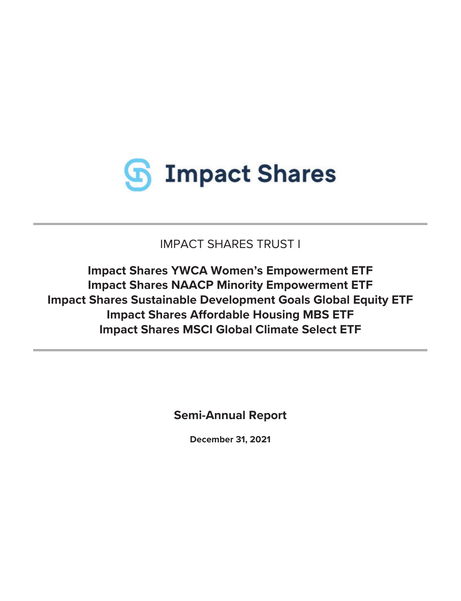

IMPACT SHARES TRUST I

**Impact Shares YWCA Women's Empowerment ETF Impact Shares NAACP Minority Empowerment ETF Impact Shares Sustainable Development Goals Global Equity ETF Impact Shares Affordable Housing MBS ETF Impact Shares MSCI Global Climate Select ETF**

**Semi-Annual Report**

**December 31, 2021**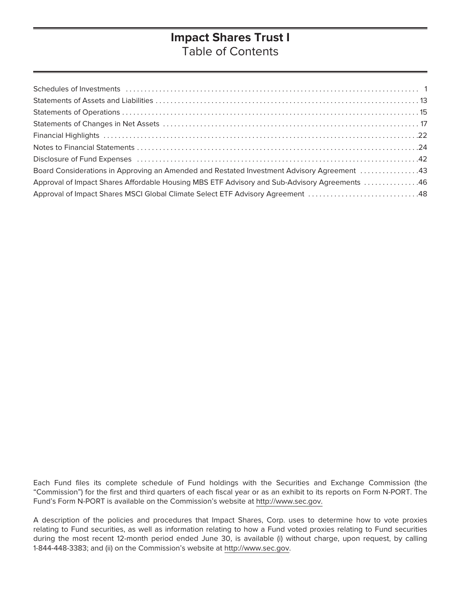# **Impact Shares Trust I** Table of Contents

Each Fund files its complete schedule of Fund holdings with the Securities and Exchange Commission (the "Commission") for the first and third quarters of each fiscal year or as an exhibit to its reports on Form N-PORT. The Fund's Form N-PORT is available on the Commission's website at http://www.sec.gov.

A description of the policies and procedures that Impact Shares, Corp. uses to determine how to vote proxies relating to Fund securities, as well as information relating to how a Fund voted proxies relating to Fund securities during the most recent 12-month period ended June 30, is available (i) without charge, upon request, by calling 1-844-448-3383; and (ii) on the Commission's website at http://www.sec.gov.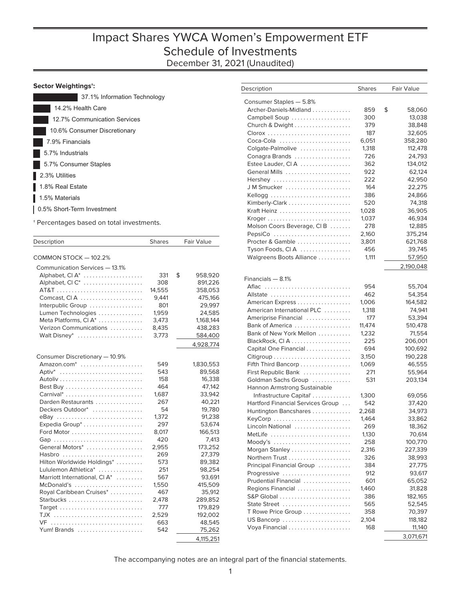### <span id="page-2-0"></span>**Sector Weightings†:**

| 37.1% Information Technology |
|------------------------------|
| 14.2% Health Care            |
| 12.7% Communication Services |
| 10.6% Consumer Discretionary |
| 7.9% Financials              |
| 5.7% Industrials             |
| 5.7% Consumer Staples        |
| 2.3% Utilities               |
| 1.8% Real Estate             |
| 1.5% Materials               |
| 0.5% Short-Term Investment   |
|                              |

† Percentages based on total investments.

| Description                    | <b>Shares</b> | <b>Fair Value</b> |
|--------------------------------|---------------|-------------------|
| COMMON STOCK - 102.2%          |               |                   |
| Communication Services - 13.1% |               |                   |
| Alphabet, CI A <sup>*</sup>    | 331           | \$<br>958,920     |
| Alphabet, CIC <sup>*</sup>     | 308           | 891,226           |
|                                | 14,555        | 358,053           |
| Comcast, CIA                   | 9,441         | 475,166           |
| Interpublic Group              | 801           | 29,997            |
| Lumen Technologies             | 1,959         | 24,585            |
| Meta Platforms, CI A*          | 3,473         | 1,168,144         |
| Verizon Communications         | 8,435         | 438,283           |
| Walt Disney*                   | 3,773         | 584,400           |
|                                |               | 4,928,774         |
|                                |               |                   |
| Consumer Discretionary - 10.9% |               |                   |
| Amazon.com <sup>*</sup>        | 549           | 1,830,553         |
| Aptiv*                         | 543           | 89,568            |
|                                | 158           | 16,338            |
|                                | 464           | 47,142            |
| Carnival*                      | 1,687         | 33.942            |
| Darden Restaurants             | 267           | 40,221            |
| Deckers Outdoor*               | 54            | 19,780            |
| eBay                           | 1,372         | 91,238            |
| Expedia Group <sup>*</sup>     | 297           | 53,674            |
|                                | 8,017         | 166,513           |
| Gap                            | 420           | 7,413             |
| General Motors*                | 2,955         | 173.252           |
| Hasbro                         | 269           | 27,379            |
| Hilton Worldwide Holdings*     | 573           | 89,382            |
| Lululemon Athletica*           | 251           | 98,254            |
| Marriott International, CI A*  | 567           | 93,691            |
| McDonald's                     | 1,550         | 415,509           |
| Royal Caribbean Cruises*       | 467           | 35,912            |
| Starbucks                      | 2,478         | 289,852           |
| Target                         | 777           | 179,829           |
|                                | 2,529         | 192,002           |
| VF                             | 663           | 48,545            |
| Yum! Brands                    | 542           | 75,262            |
|                                |               | 4,115,251         |

| Description                         | <b>Shares</b> | Fair Value   |
|-------------------------------------|---------------|--------------|
|                                     |               |              |
| Consumer Staples - 5.8%             |               |              |
| Archer-Daniels-Midland              | 859           | \$<br>58,060 |
| Campbell Soup                       | 300           | 13,038       |
| Church & Dwight                     | 379           | 38,848       |
|                                     | 187           | 32,605       |
| Coca-Cola                           | 6,051         | 358,280      |
| Colgate-Palmolive                   | 1,318         | 112,478      |
| Conagra Brands                      | 726           | 24,793       |
| Estee Lauder, CIA                   | 362           | 134,012      |
| General Mills                       | 922           | 62,124       |
| Hershey                             | 222           | 42,950       |
| JM Smucker                          | 164           | 22,275       |
| Kellogg                             | 386           | 24,866       |
|                                     | 520           | 74,318       |
| Kraft Heinz                         | 1,028         | 36,905       |
|                                     | 1,037         | 46,934       |
| Molson Coors Beverage, CIB          | 278           | 12,885       |
| PepsiCo                             | 2,160         | 375,214      |
| Procter & Gamble                    | 3,801         | 621,768      |
| Tyson Foods, CIA                    | 456           | 39,745       |
| Walgreens Boots Alliance            | 1,111         | 57,950       |
|                                     |               | 2,190,048    |
| Financials - 8.1%                   |               |              |
| Aflac                               | 954           | 55,704       |
| Allstate                            | 462           | 54,354       |
| American Express                    | 1,006         | 164,582      |
| American International PLC          | 1,318         | 74,941       |
| Ameriprise Financial                | 177           | 53,394       |
| Bank of America                     | 11,474        | 510,478      |
| Bank of New York Mellon             | 1,232         | 71,554       |
| BlackRock, CIA                      | 225           | 206,001      |
| Capital One Financial               | 694           | 100,692      |
|                                     | 3,150         | 190,228      |
| Fifth Third Bancorp                 | 1,069         | 46,555       |
| First Republic Bank                 | 271           | 55,964       |
| Goldman Sachs Group                 | 531           | 203,134      |
| <b>Hannon Armstrong Sustainable</b> |               |              |
| Infrastructure Capital <sup>*</sup> | 1,300         | 69,056       |
| Hartford Financial Services Group   | 542           | 37,420       |
| Huntington Bancshares               | 2,268         | 34,973       |
| KeyCorp                             | 1,464         | 33,862       |
| Lincoln National                    | 269           | 18,362       |
| MetLife                             | 1,130         | 70,614       |
|                                     | 258           | 100,770      |
| Morgan Stanley                      | 2,316         | 227,339      |
|                                     | 326           | 38,993       |
| Principal Financial Group           | 384           | 27,775       |
| Progressive                         | 912           | 93,617       |
| Prudential Financial                | 601           | 65,052       |
| Regions Financial                   | 1,460         | 31,828       |
|                                     | 386           | 182,165      |
| State Street                        | 565           | 52,545       |
| T Rowe Price Group                  | 358           | 70,397       |
| US Bancorp                          | 2,104         | 118,182      |
| Voya Financial                      | 168           | 11,140       |
|                                     |               | 3,071,671    |
|                                     |               |              |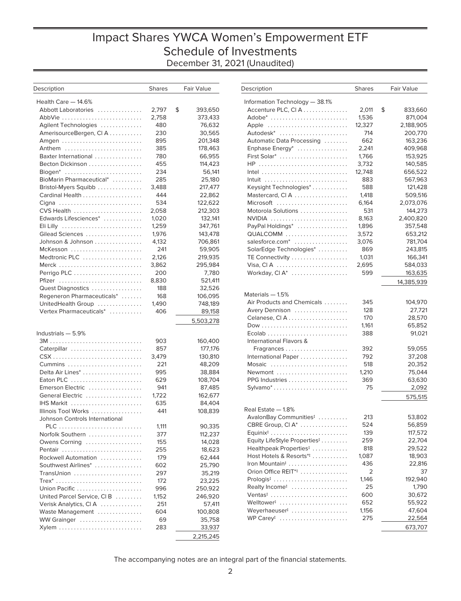# Impact Shares YWCA Women's Empowerment ETF Schedule of Investments December 31, 2021 (Unaudited)

| Description                       | <b>Shares</b> | Fair Value    |
|-----------------------------------|---------------|---------------|
| Health Care - 14.6%               |               |               |
| Abbott Laboratories               | 2,797         | \$<br>393,650 |
| AbbVie                            | 2,758         | 373,433       |
| Agilent Technologies              | 480           | 76,632        |
| AmerisourceBergen, CI A           | 230           | 30,565        |
| Amgen                             | 895           | 201,348       |
| Anthem                            | 385           | 178,463       |
| Baxter International              | 780           | 66,955        |
| Becton Dickinson                  | 455           | 114,423       |
| Biogen*                           | 234           | 56,141        |
| BioMarin Pharmaceutical*          | 285           | 25,180        |
| Bristol-Myers Squibb              | 3,488         | 217,477       |
|                                   | 444           | 22,862        |
| Cigna                             | 534           | 122,622       |
| CVS Health                        | 2,058         | 212,303       |
| Edwards Lifesciences*             | 1,020         | 132,141       |
| Eli Lilly                         | 1,259         | 347,761       |
| Gilead Sciences                   | 1,976         | 143,478       |
| Johnson & Johnson                 | 4,132         | 706,861       |
| McKesson                          | 241           | 59,905        |
| Medtronic PLC                     | 2,126         | 219,935       |
| Merck                             | 3,862         | 295,984       |
|                                   | 200           | 7,780         |
| Pfizer                            | 8,830         | 521,411       |
| Quest Diagnostics                 | 188           | 32,526        |
| Regeneron Pharmaceuticals*        | 168           | 106,095       |
| UnitedHealth Group                | 1,490         | 748,189       |
| Vertex Pharmaceuticals*           | 406           | 89,158        |
|                                   |               | 5,503,278     |
| Industrials - 5.9%                |               |               |
|                                   | 903           | 160,400       |
| Caterpillar                       | 857           | 177,176       |
|                                   | 3,479         | 130,810       |
|                                   | 221           | 48,209        |
|                                   | 995           | 38,884        |
| Eaton PLC                         | 629           | 108,704       |
| Emerson Electric                  | 941           | 87,485        |
| General Electric                  | 1,722<br>635  | 162,677       |
| IHS Markit<br>Illinois Tool Works | 441           | 84,404        |
| Johnson Controls International    |               | 108,839       |
| PLC                               | 1,111         | 90,335        |
| Norfolk Southern                  | 377           | 112,237       |
| Owens Corning                     | 155           | 14,028        |
| Pentair                           | 255           | 18,623        |
| Rockwell Automation               | 179           | 62,444        |
| Southwest Airlines*               | 602           | 25,790        |
| TransUnion                        | 297           | 35,219        |
|                                   | 172           | 23,225        |
| Union Pacific                     | 996           | 250,922       |
| United Parcel Service, CI B       | 1,152         | 246,920       |
| Verisk Analytics, CIA             | 251           | 57,411        |
| Waste Management                  | 604           | 100,808       |
| WW Grainger                       | 69            | 35,758        |
| Xylem                             | 283           | 33,937        |
|                                   |               | 2,215,245     |

| Description                                         | <b>Shares</b> | <b>Fair Value</b> |
|-----------------------------------------------------|---------------|-------------------|
| Information Technology - 38.1%                      |               |                   |
| Accenture PLC, CIA                                  | 2,011         | \$<br>833,660     |
| Adobe*                                              | 1,536         | 871,004           |
| Apple                                               | 12,327        | 2,188,905         |
| Autodesk <sup>*</sup>                               | 714           | 200,770           |
| Automatic Data Processing                           | 662           | 163,236           |
| Enphase Energy*                                     | 2,241         | 409,968           |
| First Solar*                                        | 1,766         | 153,925           |
| HP                                                  | 3,732         | 140,585           |
|                                                     | 12,748        | 656,522           |
|                                                     | 883           | 567,963           |
| Keysight Technologies*                              | 588           | 121,428           |
| Mastercard, CIA                                     | 1,418         | 509,516           |
| Microsoft                                           | 6,164         | 2,073,076         |
| Motorola Solutions                                  | 531           | 144,273           |
| NVIDIA                                              | 8,163         | 2,400,820         |
| PayPal Holdings*                                    | 1,896         | 357,548           |
| QUALCOMM                                            | 3,572         | 653,212           |
| salesforce.com <sup>*</sup>                         |               | 781,704           |
|                                                     | 3,076         |                   |
| SolarEdge Technologies*                             | 869           | 243,815           |
| TE Connectivity                                     | 1,031         | 166,341           |
|                                                     | 2,695         | 584,033           |
| Workday, $CI A^*$                                   | 599           | 163,635           |
|                                                     |               | 14,385,939        |
| Materials - 1.5%                                    |               |                   |
| Air Products and Chemicals                          | 345           | 104,970           |
| Avery Dennison                                      | 128           | 27,721            |
| Celanese, CIA                                       | 170           | 28,570            |
|                                                     | 1,161         | 65,852            |
| Ecolab                                              | 388           | 91,021            |
| International Flavors &                             |               |                   |
| Fragrances                                          | 392           | 59,055            |
| International Paper                                 | 792           | 37,208            |
| Mosaic                                              | 518           | 20,352            |
| Newmont                                             | 1,210         | 75,044            |
| PPG Industries                                      | 369           | 63,630            |
| Sylvamo*                                            | 75            | 2,092             |
|                                                     |               | 575,515           |
| Real Estate - 1.8%                                  |               |                   |
| AvalonBay Communities <sup>#</sup>                  | 213           | 53,802            |
| CBRE Group, CI A*                                   | 524           | 56,859            |
| Equinix <sup><math>\ddagger</math></sup>            | 139           | 117,572           |
| Equity LifeStyle Properties <sup>‡</sup>            | 259           | 22,704            |
| Healthpeak Properties <sup>‡</sup>                  | 818           | 29,522            |
| Host Hotels & Resorts <sup>*</sup> #                | 1,087         | 18,903            |
| Iron Mountain <sup>#</sup>                          | 436           | 22,816            |
| Orion Office REIT <sup>*</sup>                      | 2             | 37                |
|                                                     | 1,146         |                   |
| Prologis <sup>‡</sup><br>Realty Income <sup>#</sup> | 25            | 192,940<br>1,790  |
|                                                     |               |                   |
| Ventas <sup>‡</sup>                                 | 600           | 30,672            |
| Welltower <sup>†</sup>                              | 652           | 55,922            |
| Weyerhaeuser <sup>t</sup>                           | 1,156         | 47,604            |
| WP Carey <sup>#</sup>                               | 275           | 22,564            |
|                                                     |               | 673,707           |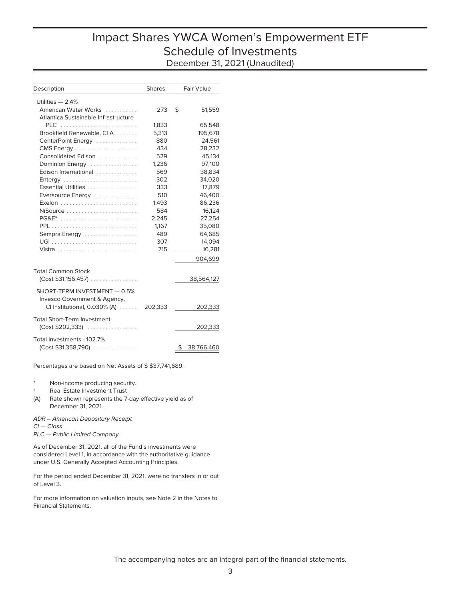# Impact Shares YWCA Women's Empowerment ETF Schedule of Investments December 31, 2021 (Unaudited)

| Description                             | <b>Shares</b> | Fair Value       |
|-----------------------------------------|---------------|------------------|
| Utilities $-2.4%$                       |               |                  |
| American Water Works                    | 273           | \$<br>51.559     |
| Atlantica Sustainable Infrastructure    |               |                  |
| PLC                                     | 1,833         | 65,548           |
| Brookfield Renewable, CIA               | 5,313         | 195,678          |
| CenterPoint Energy                      | 880           | 24,561           |
| CMS Energy                              | 434           | 28,232           |
| Consolidated Edison                     | 529           | 45,134           |
| Dominion Energy                         | 1,236         | 97,100           |
| Edison International                    | 569           | 38,834           |
| Entergy                                 | 302           | 34,020           |
| Essential Utilities                     | 333           | 17.879           |
| Eversource Energy                       | 510           | 46,400           |
| Exelon                                  | 1,493         | 86,236           |
| $N$ iSource                             | 584           | 16,124           |
| $PG@E^*$                                | 2,245         | 27,254           |
| PPL                                     | 1,167         | 35,080           |
| Sempra Energy                           | 489           | 64,685           |
|                                         | 307           | 14,094           |
|                                         | 715           | 16,281           |
|                                         |               | 904,699          |
|                                         |               |                  |
| <b>Total Common Stock</b>               |               |                  |
| $(Cost $31,156,457)$                    |               | 38,564,127       |
| SHORT-TERM INVESTMENT - 0.5%            |               |                  |
| Invesco Government & Agency,            |               |                  |
| CI Institutional, $0.030\%$ (A) $\dots$ | 202,333       | 202,333          |
|                                         |               |                  |
| <b>Total Short-Term Investment</b>      |               |                  |
| $(Cost $202,333)$                       |               | 202,333          |
| Total Investments - 102.7%              |               |                  |
| $(Cost $31,358,790)$                    |               | \$<br>38,766,460 |

Percentages are based on Net Assets of \$ \$37,741,689.

Non-income producing security.

- ‡ Real Estate Investment Trust
- (A) Rate shown represents the 7-day effective yield as of December 31, 2021.

ADR – American Depositary Receipt Cl — Class PLC — Public Limited Company

As of December 31, 2021, all of the Fund's investments were considered Level 1, in accordance with the authoritative guidance under U.S. Generally Accepted Accounting Principles.

For the period ended December 31, 2021, were no transfers in or out of Level 3.

For more information on valuation inputs, see Note 2 in the Notes to Financial Statements.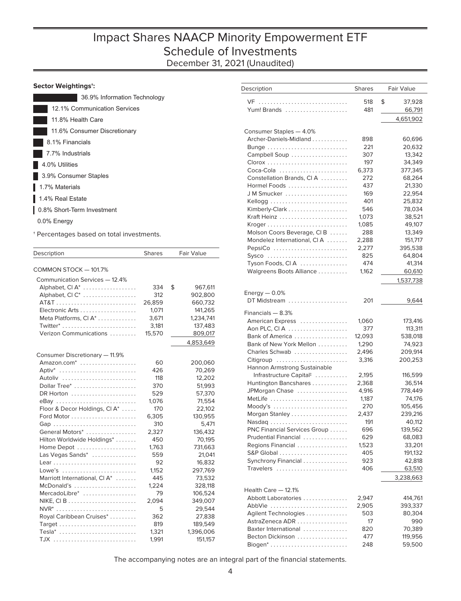# Impact Shares NAACP Minority Empowerment ETF Schedule of Investments December 31, 2021 (Unaudited)

| 36.9% Information Technology |
|------------------------------|
| 12.1% Communication Services |
| 11.8% Health Care            |
| 11.6% Consumer Discretionary |
| 8.1% Financials              |
| 7.7% Industrials             |
| 4.0% Utilities               |
| 3.9% Consumer Staples        |
| 1.7% Materials               |
| 1.4% Real Estate             |
| 0.8% Short-Term Investment   |
| 0.0% Energy                  |

† Percentages based on total investments.

| Description                    | <b>Shares</b> | <b>Fair Value</b> |
|--------------------------------|---------------|-------------------|
|                                |               |                   |
| COMMON STOCK - 101.7%          |               |                   |
| Communication Services - 12.4% |               |                   |
| Alphabet, CI A <sup>*</sup>    | 334           | \$<br>967,611     |
| Alphabet, CIC <sup>*</sup>     | 312           | 902,800           |
|                                | 26,859        | 660,732           |
|                                | 1,071         | 141,265           |
| Meta Platforms, CI A*          | 3,671         | 1,234,741         |
|                                | 3,181         | 137,483           |
| Verizon Communications         | 15,570        | 809,017           |
|                                |               | 4,853,649         |
|                                |               |                   |
| Consumer Discretionary - 11.9% |               |                   |
| Amazon.com <sup>*</sup>        | 60            | 200,060           |
| $Aptiv^*$                      | 426           | 70,269            |
| Autoliv                        | 118           | 12,202            |
| Dollar Tree*                   | 370           | 51,993            |
| DR Horton                      | 529           | 57,370            |
| eBay                           | 1,076         | 71,554            |
| Floor & Decor Holdings, CI A*  | 170           | 22,102            |
|                                | 6,305         | 130,955           |
| Gap                            | 310           | 5,471             |
| General Motors*                | 2,327         | 136,432           |
| Hilton Worldwide Holdings*     | 450           | 70,195            |
| Home Depot                     | 1,763         | 731,663           |
| Las Vegas Sands*               | 559           | 21,041            |
|                                | 92            | 16,832            |
| Lowe's                         | 1,152         | 297,769           |
| Marriott International, CI A*  | 445           | 73,532            |
| McDonald's                     | 1,224         | 328,118           |
| MercadoLibre*                  | 79            | 106,524           |
|                                | 2,094         | 349,007           |
| NVR*                           | 5             | 29,544            |
| Royal Caribbean Cruises*       | 362           | 27,838            |
|                                | 819           | 189,549           |
| Tesla*                         | 1,321         | 1,396,006         |
|                                | 1.991         | 151.157           |

| Description                         | <b>Shares</b> | Fair Value   |
|-------------------------------------|---------------|--------------|
|                                     |               |              |
| VF                                  | 518           | \$<br>37,928 |
| Yum! Brands                         | 481           | 66,791       |
|                                     |               | 4,651,902    |
|                                     |               |              |
| Consumer Staples - 4.0%             |               |              |
| Archer-Daniels-Midland              | 898           | 60,696       |
|                                     | 221           | 20,632       |
| Campbell Soup                       | 307           | 13,342       |
|                                     | 197           | 34,349       |
| Coca-Cola                           | 6,373         | 377,345      |
| Constellation Brands, CIA           | 272           | 68,264       |
| Hormel Foods                        | 437           | 21,330       |
| JM Smucker                          | 169           | 22,954       |
| Kellogg                             | 401           | 25,832       |
|                                     | 546           | 78,034       |
| Kraft Heinz                         | 1,073         | 38,521       |
|                                     | 1,085         | 49,107       |
| Molson Coors Beverage, CIB          | 288           | 13,349       |
| Mondelez International, CI A        | 2,288         | 151,717      |
| PepsiCo                             | 2,277         | 395,538      |
| Sysco                               | 825           | 64,804       |
| Tyson Foods, CIA                    | 474           | 41,314       |
|                                     | 1,162         |              |
| Walgreens Boots Alliance            |               | 60,610       |
|                                     |               | 1,537,738    |
| Energy $-0.0\%$                     |               |              |
| DT Midstream                        | 201           |              |
|                                     |               | 9,644        |
| Financials - 8.3%                   |               |              |
| American Express                    | 1,060         | 173,416      |
| Aon PLC, CIA                        | 377           | 113,311      |
| Bank of America                     | 12,093        | 538,018      |
| Bank of New York Mellon             | 1,290         | 74,923       |
| Charles Schwab                      | 2,496         | 209,914      |
| Citigroup                           | 3,316         | 200,253      |
| Hannon Armstrong Sustainable        |               |              |
| Infrastructure Capital <sup>‡</sup> | 2,195         | 116,599      |
| Huntington Bancshares               | 2,368         | 36,514       |
| JPMorgan Chase                      | 4,916         | 778,449      |
| MetLife                             | 1,187         | 74,176       |
|                                     |               |              |
| Moody's                             | 270           | 105,456      |
| Morgan Stanley                      | 2,437         | 239,216      |
| Nasdaq                              | 191           | 40,112       |
| PNC Financial Services Group        | 696           | 139,562      |
| Prudential Financial                | 629           | 68,083       |
| Regions Financial                   | 1,523         | 33,201       |
| S&P Global                          | 405           | 191,132      |
| Synchrony Financial                 | 923           | 42,818       |
| Travelers                           | 406           | 63,510       |
|                                     |               | 3,238,663    |
|                                     |               |              |
| Health Care - 12.1%                 |               |              |
| Abbott Laboratories                 | 2,947         | 414,761      |
| AbbVie                              | 2,905         | 393,337      |
| Agilent Technologies                | 503           | 80,304       |
| AstraZeneca ADR                     | 17            | 990          |
| Baxter International                | 820           | 70,389       |
| Becton Dickinson                    | 477           | 119,956      |
|                                     | 248           | 59,500       |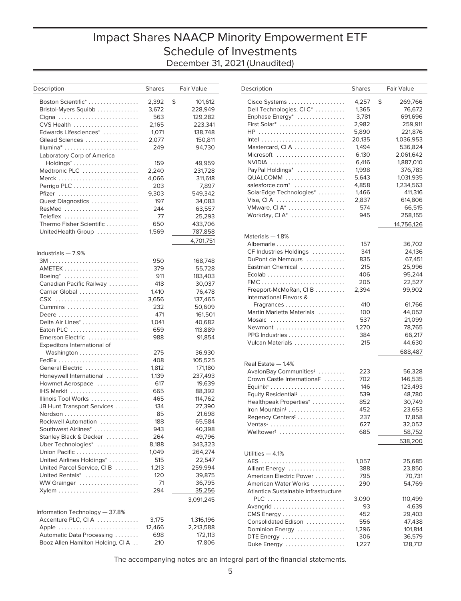# Impact Shares NAACP Minority Empowerment ETF Schedule of Investments December 31, 2021 (Unaudited)

| Description                       | <b>Shares</b> | Fair Value    |
|-----------------------------------|---------------|---------------|
| Boston Scientific*                | 2,392         | \$<br>101,612 |
| Bristol-Myers Squibb              |               |               |
|                                   | 3,672         | 228,949       |
| Cigna                             | 563           | 129,282       |
| CVS Health                        | 2,165         | 223,341       |
| Edwards Lifesciences*             | 1,071         | 138,748       |
| Gilead Sciences                   | 2,077         | 150,811       |
|                                   | 249           | 94,730        |
| Laboratory Corp of America        |               |               |
|                                   | 159           | 49,959        |
| Medtronic PLC                     | 2,240         | 231,728       |
|                                   | 4,066         | 311,618       |
|                                   | 203           | 7,897         |
| Pfizer                            | 9,303         | 549,342       |
| Quest Diagnostics                 | 197           | 34,083        |
| ResMed                            | 244           | 63,557        |
| Teleflex                          | 77            | 25,293        |
| Thermo Fisher Scientific          | 650           | 433,706       |
| UnitedHealth Group                | 1,569         | 787,858       |
|                                   |               | 4,701,751     |
| Industrials — 7.9%                |               |               |
|                                   | 950           | 168,748       |
|                                   | 379           | 55,728        |
| Boeing*                           | 911           | 183,403       |
| Canadian Pacific Railway          | 418           | 30,037        |
| Carrier Global                    | 1,410         | 76,478        |
| CSX                               | 3,656         | 137,465       |
|                                   | 232           | 50,609        |
|                                   | 471           | 161,501       |
| Delta Air Lines*                  | 1,041         | 40,682        |
| Eaton PLC                         | 659           | 113,889       |
| Emerson Electric                  | 988           | 91,854        |
| Expeditors International of       |               |               |
|                                   | 275           | 36,930        |
|                                   | 408           | 105,525       |
| General Electric                  | 1,812         | 171,180       |
| Honeywell International           | 1,139         | 237,493       |
| Howmet Aerospace                  | 617           | 19,639        |
|                                   | 665           | 88,392        |
| Illinois Tool Works               | 465           | 114,762       |
| JB Hunt Transport Services        | 134           | 27,390        |
|                                   | 85            | 21,698        |
| Rockwell Automation               | 188           | 65,584        |
| Southwest Airlines*               | 943           | 40,398        |
| Stanley Black & Decker            | 264           | 49,796        |
| Uber Technologies*                | 8,188         | 343,323       |
| Union Pacific                     | 1,049         | 264,274       |
| United Airlines Holdings*         | 515           | 22,547        |
| United Parcel Service, CI B       | 1,213         | 259,994       |
| United Rentals*                   | 120           | 39,875        |
| WW Grainger                       | 71            | 36,795        |
|                                   | 294           | 35,256        |
|                                   |               |               |
|                                   |               | 3,091,245     |
| Information Technology - 37.8%    |               |               |
| Accenture PLC, CIA                | 3,175         | 1,316,196     |
| Apple                             | 12,466        | 2,213,588     |
| Automatic Data Processing         | 698           | 172,113       |
| Booz Allen Hamilton Holding, CI A | 210           | 17,806        |

| Description                             | <b>Shares</b> | Fair Value    |
|-----------------------------------------|---------------|---------------|
| Cisco Systems                           | 4,257         | \$<br>269,766 |
| Dell Technologies, CI C*                |               |               |
|                                         | 1,365         | 76,672        |
| Enphase Energy*                         | 3,781         | 691,696       |
| First Solar*                            | 2,982         | 259,911       |
| HP                                      | 5,890         | 221,876       |
|                                         | 20,135        | 1,036,953     |
| Mastercard, CIA                         | 1,494         | 536,824       |
| Microsoft                               | 6,130         | 2,061,642     |
| NVIDIA                                  | 6,416         | 1,887,010     |
| PayPal Holdings*                        | 1,998         | 376,783       |
| QUALCOMM                                | 5,643         | 1,031,935     |
| salesforce.com <sup>*</sup>             | 4,858         | 1,234,563     |
| SolarEdge Technologies*                 | 1,466         | 411,316       |
| Visa, CIA                               | 2,837         | 614,806       |
| VMware, CI A*                           | 574           | 66,515        |
| Workday, CI A*                          | 945           | 258,155       |
|                                         |               | 14,756,126    |
| Materials - 1.8%                        |               |               |
|                                         |               |               |
|                                         | 157           | 36,702        |
| CF Industries Holdings                  | 341           | 24,136        |
| DuPont de Nemours                       | 835           | 67,451        |
| Eastman Chemical                        | 215           | 25,996        |
|                                         | 406           | 95,244        |
|                                         | 205           | 22,527        |
| Freeport-McMoRan, CIB                   | 2,394         | 99,902        |
| International Flavors &                 |               |               |
| Fragrances                              | 410           | 61,766        |
| Martin Marietta Materials               | 100           | 44,052        |
| Mosaic                                  | 537           | 21,099        |
| Newmont                                 | 1,270         | 78,765        |
| PPG Industries                          | 384           | 66,217        |
|                                         |               |               |
| Vulcan Materials                        | 215           | 44,630        |
|                                         |               | 688,487       |
| Real Estate - 1.4%                      |               |               |
| AvalonBay Communities <sup>#</sup>      | 223           | 56,328        |
| Crown Castle International <sup>#</sup> | 702           | 146,535       |
|                                         | 146           | 123,493       |
| Equity Residential <sup>#</sup>         | 539           | 48,780        |
| Healthpeak Properties <sup>#</sup>      | 852           | 30,749        |
| Iron Mountain <sup>‡</sup>              | 452           | 23,653        |
| Regency Centers <sup>#</sup>            | 237           | 17,858        |
| $Ventas†$                               | 627           | 32,052        |
| Welltower <sup>#</sup>                  | 685           | 58,752        |
|                                         |               |               |
|                                         |               | 538,200       |
| Utilities - 4.1%                        |               |               |
|                                         | 1,057         | 25,685        |
| Alliant Energy                          | 388           | 23,850        |
| American Electric Power                 | 795           | 70,731        |
| American Water Works                    | 290           | 54,769        |
| Atlantica Sustainable Infrastructure    |               |               |
|                                         |               |               |
| PLC                                     | 3,090         | 110,499       |
| Avangrid                                | 93            | 4,639         |
|                                         | 452           | 29,403        |
| Consolidated Edison                     | 556           | 47,438        |
| Dominion Energy                         | 1,296         | 101,814       |
| DTE Energy                              | 306           | 36,579        |
| Duke Energy                             | 1,227         | 128,712       |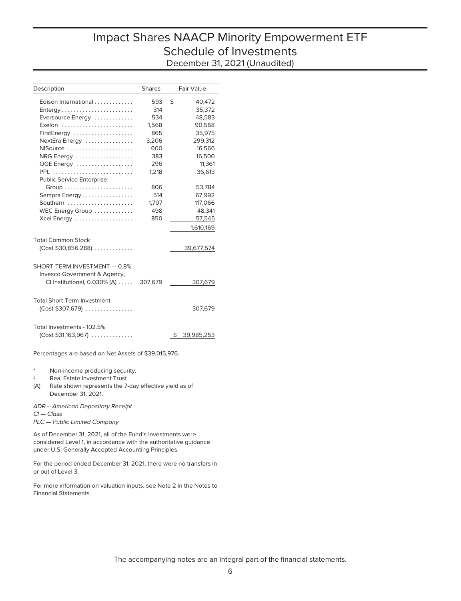# Impact Shares NAACP Minority Empowerment ETF Schedule of Investments December 31, 2021 (Unaudited)

| Description                        | <b>Shares</b> |    | Fair Value |
|------------------------------------|---------------|----|------------|
| Edison International               | 593           | \$ | 40,472     |
| Entergy                            | 314           |    | 35,372     |
| Eversource Energy                  | 534           |    | 48,583     |
| Exelon                             | 1,568         |    | 90,568     |
| FirstEnergy                        | 865           |    | 35,975     |
| NextEra Energy                     | 3,206         |    | 299,312    |
| NiSource                           | 600           |    | 16,566     |
| NRG Energy                         | 383           |    | 16,500     |
| OGE Energy                         | 296           |    | 11,361     |
| PPL                                | 1.218         |    | 36.613     |
| <b>Public Service Enterprise</b>   |               |    |            |
|                                    | 806           |    | 53,784     |
| Sempra Energy                      | 514           |    | 67,992     |
| Southern                           | 1,707         |    | 117,066    |
| WEC Energy Group                   | 498           |    | 48,341     |
|                                    | 850           |    | 57,545     |
|                                    |               |    | 1,610,169  |
|                                    |               |    |            |
| <b>Total Common Stock</b>          |               |    |            |
| $(Cost $30,856,288)$               |               |    | 39,677,574 |
|                                    |               |    |            |
| SHORT-TERM INVESTMENT - 0.8%       |               |    |            |
| Invesco Government & Agency,       |               |    |            |
| CI Institutional, 0.030% (A)       | 307,679       |    | 307,679    |
|                                    |               |    |            |
|                                    |               |    |            |
| <b>Total Short-Term Investment</b> |               |    |            |
| $(Cost $307,679)$                  |               |    | 307,679    |
|                                    |               |    |            |
| Total Investments - 102.5%         |               |    |            |
| $(Cost $31,163,967)$               |               | S  | 39,985,253 |
|                                    |               |    |            |

Percentages are based on Net Assets of \$39,015,976.

Non-income producing security.

‡ Real Estate Investment Trust

(A) Rate shown represents the 7-day effective yield as of December 31, 2021.

ADR – American Depositary Receipt Cl — Class PLC — Public Limited Company

As of December 31, 2021, all of the Fund's investments were considered Level 1, in accordance with the authoritative guidance under U.S. Generally Accepted Accounting Principles.

For the period ended December 31, 2021, there were no transfers in or out of Level 3.

For more information on valuation inputs, see Note 2 in the Notes to Financial Statements.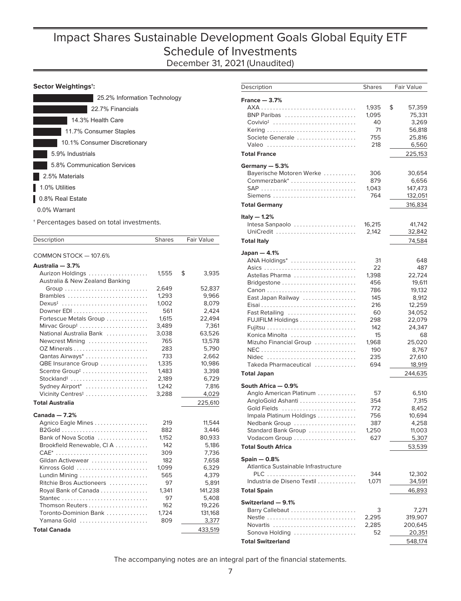# Impact Shares Sustainable Development Goals Global Equity ETF Schedule of Investments December 31, 2021 (Unaudited)

### **Sector Weightings†:**

| 25.2% Information Technology |
|------------------------------|
| 22.7% Financials             |
| 14.3% Health Care            |
| 11.7% Consumer Staples       |
| 10.1% Consumer Discretionary |
| 5.9% Industrials             |
| 5.8% Communication Services  |
| 2.5% Materials               |
| 1.0% Utilities               |
| 0.8% Real Estate             |
| 0.0% Warrant                 |

† Percentages based on total investments.

| Description                                         | <b>Shares</b> | Fair Value       |
|-----------------------------------------------------|---------------|------------------|
|                                                     |               |                  |
| COMMON STOCK - 107.6%                               |               |                  |
| Australia - 3.7%                                    |               | \$               |
| Aurizon Holdings<br>Australia & New Zealand Banking | 1,555         | 3,935            |
| Group                                               | 2,649         | 52,837           |
| Brambles                                            | 1,293         | 9,966            |
| $Dexus†$                                            | 1,002         | 8,079            |
|                                                     | 561           | 2,424            |
| Fortescue Metals Group                              | 1,615         | 22,494           |
| Mirvac Group <sup>#</sup>                           | 3,489         | 7,361            |
| National Australia Bank                             | 3,038         | 63,526           |
| Newcrest Mining                                     | 765           | 13,578           |
|                                                     | 283           | 5,790            |
| Qantas Airways <sup>*</sup>                         | 733           | 2,662            |
| QBE Insurance Group                                 | 1,335         | 10,986           |
| Scentre Group <sup>#</sup>                          | 1,483         | 3,398            |
| Stockland <sup>#</sup>                              | 2,189         | 6,729            |
| Sydney Airport*                                     | 1,242         | 7,816            |
| Vicinity Centres <sup>#</sup>                       | 3,288         | 4,029            |
| <b>Total Australia</b>                              |               | 225,610          |
| Canada $-7.2%$                                      |               |                  |
| Agnico Eagle Mines                                  | 219           | 11,544           |
|                                                     | 882           | 3,446            |
| Bank of Nova Scotia                                 | 1,152         | 80,933           |
| Brookfield Renewable, CIA                           | 142           | 5,186            |
| CAE <sup>*</sup>                                    | 309           | 7,736            |
| Gildan Activewear                                   | 182           | 7,658            |
| Kinross Gold                                        | 1,099         | 6,329            |
| Lundin Mining                                       | 565           | 4,379            |
| Ritchie Bros Auctioneers                            | 97            | 5,891            |
| Royal Bank of Canada                                | 1,341         | 141,238          |
|                                                     | 97            | 5,408            |
| Thomson Reuters                                     | 162           | 19,226           |
| Toronto-Dominion Bank<br>Yamana Gold                | 1,724<br>809  | 131,168<br>3,377 |
| <b>Total Canada</b>                                 |               | 433,519          |

| Description                          | <b>Shares</b> | Fair Value   |
|--------------------------------------|---------------|--------------|
| France $-3.7%$                       |               |              |
|                                      | 1,935         | \$<br>57,359 |
| BNP Paribas                          | 1,095         | 75,331       |
| $\text{Covivio}^{\ddagger}$          | 40            | 3.269        |
|                                      | 71            | 56,818       |
| Societe Generale                     | 755           | 25,816       |
| Valeo                                | 218           | 6,560        |
| <b>Total France</b>                  |               | 225,153      |
| Germany - 5.3%                       |               |              |
| Bayerische Motoren Werke             | 306           | 30,654       |
| Commerzbank <sup>*</sup>             | 879           | 6,656        |
|                                      | 1,043         | 147,473      |
| Siemens                              | 764           | 132,051      |
| <b>Total Germany</b>                 |               | 316,834      |
| Italy $-$ 1.2%                       |               |              |
| Intesa Sanpaolo                      | 16,215        | 41,742       |
| UniCredit                            | 2,142         | 32,842       |
| <b>Total Italy</b>                   |               | 74,584       |
| Japan $-4.1%$                        |               |              |
| ANA Holdings*                        | 31            | 648          |
|                                      | 22            | 487          |
| Astellas Pharma                      | 1,398         | 22,724       |
|                                      | 456           | 19,611       |
|                                      | 786           | 19,132       |
| East Japan Railway                   | 145           | 8,912        |
|                                      | 216           | 12,259       |
| Fast Retailing                       | 60            | 34,052       |
| FUJIFILM Holdings                    | 298           | 22,079       |
|                                      | 142           | 24,347       |
| Konica Minolta                       | 15            | 68           |
| Mizuho Financial Group               | 1,968         | 25,020       |
|                                      | 190           | 8,767        |
| Nidec                                | 235           | 27,610       |
| Takeda Pharmaceutical                | 694           | 18,919       |
| <b>Total Japan</b>                   |               | 244,635      |
| South Africa - 0.9%                  |               |              |
| Anglo American Platinum              | 57            | 6,510        |
| AngloGold Ashanti                    | 354           | 7,315        |
| Gold Fields                          | 772           | 8,452        |
| Impala Platinum Holdings             | 756           | 10,694       |
| Nedbank Group                        | 387           | 4,258        |
| Standard Bank Group                  | 1,250         | 11,003       |
| Vodacom Group                        | 627           | 5,307        |
| <b>Total South Africa</b>            |               | 53,539       |
| $Spin - 0.8%$                        |               |              |
| Atlantica Sustainable Infrastructure |               |              |
|                                      | 344           | 12,302       |
| Industria de Diseno Textil           | 1,071         | 34,591       |
| <b>Total Spain</b>                   |               | 46,893       |
| Switzerland - 9.1%                   |               |              |
| Barry Callebaut                      | 3             | 7,271        |
| Nestle                               | 2,295         | 319,907      |
| Novartis                             | 2,285         | 200,645      |
| Sonova Holding                       | 52            | 20,351       |
| <b>Total Switzerland</b>             |               | 548,174      |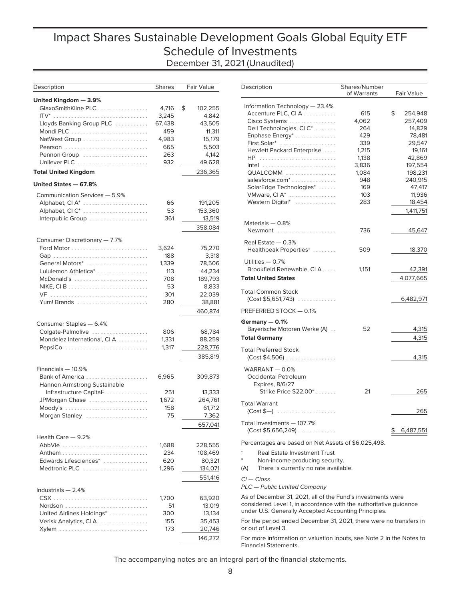# Impact Shares Sustainable Development Goals Global Equity ETF Schedule of Investments December 31, 2021 (Unaudited)

| Description                                       | <b>Shares</b>  | Fair Value    |
|---------------------------------------------------|----------------|---------------|
| United Kingdom — 3.9%                             |                |               |
| GlaxoSmithKline PLC                               | 4,716          | \$<br>102.255 |
| ITV*                                              | 3,245          | 4,842         |
| Lloyds Banking Group PLC                          | 67,438         | 43,505        |
|                                                   | 459            | 11,311        |
| NatWest Group                                     | 4,983          | 15,179        |
| Pearson                                           | 665            | 5,503         |
| Pennon Group                                      | 263            | 4,142         |
| Unilever PLC                                      | 932            | 49,628        |
| <b>Total United Kingdom</b>                       |                | 236,365       |
| United States — 67.8%                             |                |               |
| Communication Services - 5.9%                     |                |               |
| Alphabet, CI A*                                   | 66             | 191,205       |
| Alphabet, CIC <sup>*</sup>                        | 53             | 153,360       |
| Interpublic Group                                 | 361            | 13,519        |
|                                                   |                | 358,084       |
|                                                   |                |               |
| Consumer Discretionary - 7.7%                     | 3,624          | 75,270        |
| Gap                                               | 188            | 3,318         |
| General Motors*                                   | 1,339          | 78,506        |
| Lululemon Athletica*                              | 113            | 44.234        |
| McDonald's                                        | 708            | 189,793       |
|                                                   | 53             | 8,833         |
| VF                                                | 301            | 22,039        |
| Yum! Brands                                       | 280            | 38,881        |
|                                                   |                | 460,874       |
|                                                   |                |               |
| Consumer Staples - 6.4%                           | 806            |               |
| Colgate-Palmolive<br>Mondelez International, CI A |                | 68,784        |
|                                                   | 1,331<br>1,317 | 88,259        |
| PepsiCo                                           |                | 228,776       |
|                                                   |                | 385,819       |
| Financials - 10.9%                                |                |               |
| Bank of America                                   | 6,965          | 309,873       |
| Hannon Armstrong Sustainable                      |                |               |
| Infrastructure Capital <sup>‡</sup>               | 251            | 13,333        |
| JPMorgan Chase                                    | 1,672          | 264,761       |
| Moody's                                           | 158            | 61,712        |
| Morgan Stanley                                    | 75             | 7,362         |
|                                                   |                | 657.041       |
| Health Care - 9.2%                                |                |               |
| AbbVie                                            | 1,688          | 228,555       |
|                                                   | 234            | 108,469       |
| Edwards Lifesciences <sup>*</sup>                 | 620            | 80,321        |
| Medtronic PLC                                     | 1,296          | 134,071       |
|                                                   |                | 551,416       |
| Industrials $-2.4%$                               |                |               |
| CSX                                               | 1,700          | 63,920        |
| Nordson                                           | 51             | 13,019        |
| United Airlines Holdings*                         | 300            | 13,134        |
| Verisk Analytics, CI A                            | 155            | 35,453        |
| Xylem                                             | 173            | 20,746        |
|                                                   |                | 146,272       |

| Description                                                            | Shares/Number<br>of Warrants | Fair Value      |
|------------------------------------------------------------------------|------------------------------|-----------------|
| Information Technology - 23.4%                                         |                              |                 |
| Accenture PLC, CIA                                                     | 615                          | \$<br>254,948   |
| Cisco Systems                                                          | 4,062                        | 257,409         |
| Dell Technologies, CI C*                                               | 264                          | 14,829          |
| Enphase Energy*                                                        | 429                          | 78,481          |
| First Solar*                                                           | 339                          | 29,547          |
| Hewlett Packard Enterprise                                             | 1,215                        | 19,161          |
| HP                                                                     | 1,138                        | 42,869          |
| Intel                                                                  | 3,836                        | 197,554         |
| QUALCOMM                                                               | 1,084                        | 198,231         |
| salesforce.com <sup>*</sup>                                            | 948                          | 240,915         |
| SolarEdge Technologies*                                                | 169                          | 47,417          |
| VMware, Cl A*                                                          | 103                          | 11,936          |
| Western Digital*                                                       | 283                          | 18,454          |
|                                                                        |                              | 1,411,751       |
| Materials - 0.8%                                                       |                              |                 |
| Newmont                                                                | 736                          | 45,647          |
| Real Estate $-0.3%$                                                    |                              |                 |
| Healthpeak Properties <sup>#</sup>                                     | 509                          | 18,370          |
| Utilities $-0.7%$<br>Brookfield Renewable, CIA                         | 1,151                        |                 |
|                                                                        |                              | 42,391          |
| <b>Total United States</b>                                             |                              | 4,077,665       |
| <b>Total Common Stock</b>                                              |                              |                 |
| $(Cost $5,651,743)$                                                    |                              | 6,482,971       |
| PREFERRED STOCK - 0.1%                                                 |                              |                 |
| Germany - 0.1%<br>Bayerische Motoren Werke (A)                         | 52                           | 4,315           |
| <b>Total Germany</b>                                                   |                              | 4,315           |
|                                                                        |                              |                 |
| <b>Total Preferred Stock</b><br>$(Cost $4,506)$                        |                              | 4,315           |
| WARRANT $-0.0%$<br>Occidental Petroleum<br>Expires, 8/6/27             |                              |                 |
| Strike Price \$22.00*                                                  | 21                           | 265             |
| <b>Total Warrant</b><br>$(Cost $—) \ldots \ldots \ldots \ldots \ldots$ |                              | 265             |
| Total Investments - 107.7%                                             |                              |                 |
| $(Cost $5,656,249) \ldots \ldots \ldots$                               |                              | 6,487,551<br>\$ |
| Percentages are based on Net Assets of \$6,025,498.                    |                              |                 |

‡ Real Estate Investment Trust

- Non-income producing security.
- (A) There is currently no rate available.

Cl — Class

PLC — Public Limited Company

As of December 31, 2021, all of the Fund's investments were considered Level 1, in accordance with the authoritative guidance under U.S. Generally Accepted Accounting Principles.

For the period ended December 31, 2021, there were no transfers in or out of Level 3.

For more information on valuation inputs, see Note 2 in the Notes to Financial Statements.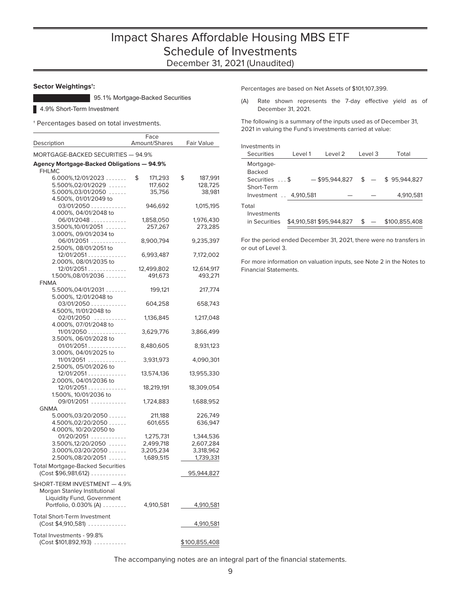### **Sector Weightings†:**

95.1% Mortgage-Backed Securities

4.9% Short-Term Investment

† Percentages based on total investments.

|                                            | Face          |               |
|--------------------------------------------|---------------|---------------|
| Description                                | Amount/Shares | Fair Value    |
| MORTGAGE-BACKED SECURITIES - 94.9%         |               |               |
| Agency Mortgage-Backed Obligations - 94.9% |               |               |
| <b>FHLMC</b>                               |               |               |
|                                            | \$            | \$            |
| $6.000\%, 12/01/2023$                      | 171,293       | 187,991       |
| $5.500\%, 02/01/2029$                      | 117,602       | 128,725       |
| $5.000\%, 03/01/2050$                      | 35,756        | 38,981        |
| 4.500%, 01/01/2049 to                      |               |               |
| 03/01/2050                                 | 946,692       | 1,015,195     |
| 4.000%, 04/01/2048 to                      |               |               |
| 06/01/2048                                 | 1,858,050     | 1,976,430     |
|                                            |               |               |
| $3.500\%, 10/01/2051$                      | 257,267       | 273,285       |
| 3.000%, 09/01/2034 to                      |               |               |
| 06/01/2051                                 | 8,900,794     | 9,235,397     |
| 2.500%, 08/01/2051 to                      |               |               |
| 12/01/2051                                 | 6,993,487     | 7,172,002     |
| 2.000%, 08/01/2035 to                      |               |               |
|                                            |               |               |
| 12/01/2051                                 | 12,499,802    | 12,614,917    |
| $1.500\%, 08/01/2036$                      | 491,673       | 493,271       |
| <b>FNMA</b>                                |               |               |
| $5.500\%, 04/01/2031$                      | 199,121       | 217,774       |
| 5.000%, 12/01/2048 to                      |               |               |
| $03/01/2050$                               | 604,258       | 658,743       |
|                                            |               |               |
| 4.500%, 11/01/2048 to                      |               |               |
| 02/01/2050                                 | 1,136,845     | 1,217,048     |
| 4.000%, 07/01/2048 to                      |               |               |
| 11/01/2050                                 | 3,629,776     | 3,866,499     |
| 3.500%, 06/01/2028 to                      |               |               |
| 01/01/2051                                 | 8,480,605     | 8,931,123     |
|                                            |               |               |
| 3.000%, 04/01/2025 to                      |               |               |
| 11/01/2051                                 | 3,931,973     | 4,090,301     |
| 2.500%, 05/01/2026 to                      |               |               |
| 12/01/2051                                 | 13,574,136    | 13,955,330    |
| 2.000%, 04/01/2036 to                      |               |               |
| 12/01/2051                                 | 18,219,191    | 18,309,054    |
| 1.500%, 10/01/2036 to                      |               |               |
|                                            |               |               |
| 09/01/2051                                 | 1,724,883     | 1,688,952     |
| GNMA                                       |               |               |
| $5.000\%, 03/20/2050$                      | 211,188       | 226,749       |
| 4.500%,02/20/2050                          | 601,655       | 636,947       |
| 4.000%, 10/20/2050 to                      |               |               |
| 01/20/2051                                 | 1,275,731     | 1,344,536     |
|                                            |               |               |
| $3.500\%, 12/20/2050$                      | 2,499,718     | 2,607,284     |
| $3.000\%, 03/20/2050$                      | 3,205,234     | 3,318,962     |
| 2.500%,08/20/2051                          | 1,689,515     | 1,739,331     |
| <b>Total Mortgage-Backed Securities</b>    |               |               |
| (Cost \$96,981,612)                        |               |               |
|                                            |               | 95,944,827    |
| SHORT-TERM INVESTMENT - 4.9%               |               |               |
| Morgan Stanley Institutional               |               |               |
|                                            |               |               |
| Liquidity Fund, Government                 |               |               |
| Portfolio, 0.030% (A)                      | 4,910,581     | 4,910,581     |
|                                            |               |               |
| <b>Total Short-Term Investment</b>         |               |               |
| $(Cost $4,910,581)$                        |               | 4,910,581     |
|                                            |               |               |
| Total Investments - 99.8%                  |               |               |
| (Cost \$101,892,193)                       |               | \$100,855,408 |
|                                            |               |               |

Percentages are based on Net Assets of \$101,107,399.

(A) Rate shown represents the 7-day effective yield as of December 31, 2021.

The following is a summary of the inputs used as of December 31, 2021 in valuing the Fund's investments carried at value:

| Investments in                       |          |                          |         |               |
|--------------------------------------|----------|--------------------------|---------|---------------|
| <b>Securities</b>                    | l evel 1 | l evel 2                 | Level 3 | Total         |
| Mortgage-<br><b>Backed</b>           |          |                          |         |               |
| Securities  \$                       |          | $-$ \$95,944,827 \$ $-$  |         | \$95,944,827  |
| Short-Term<br>Investment . 4,910,581 |          |                          |         | 4,910,581     |
| Total                                |          |                          |         |               |
| Investments<br>in Securities         |          | \$4.910.581 \$95.944.827 | \$      | \$100,855,408 |

For the period ended December 31, 2021, there were no transfers in or out of Level 3.

For more information on valuation inputs, see Note 2 in the Notes to Financial Statements.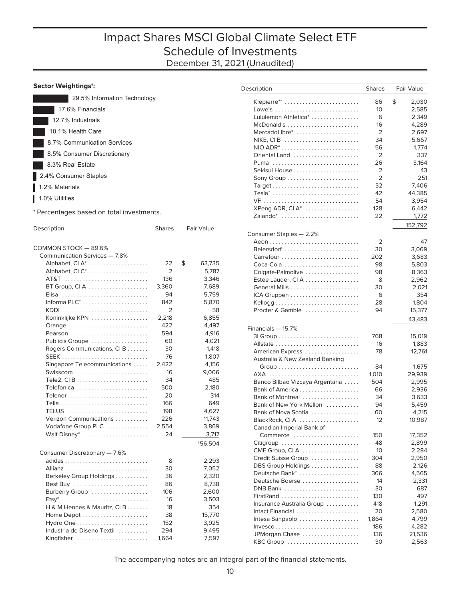### **Sector Weightings†:**

| 29.5% Information Technology |
|------------------------------|
| 17.6% Financials             |
| 12.7% Industrials            |
| 10.1% Health Care            |
| 8.7% Communication Services  |
| 8.5% Consumer Discretionary  |
| 8.3% Real Estate             |
| 2.4% Consumer Staples        |
| 1.2% Materials               |
| 1.0% Utilities               |
|                              |

† Percentages based on total investments.

| Description                   | <b>Shares</b>  | <b>Fair Value</b> |
|-------------------------------|----------------|-------------------|
|                               |                |                   |
| COMMON STOCK - 89.6%          |                |                   |
| Communication Services - 7.8% |                |                   |
| Alphabet, CI A <sup>*</sup>   | 22             | \$<br>63,735      |
| Alphabet, CIC <sup>*</sup>    | 2              | 5,787             |
| AT&T                          | 136            | 3,346             |
| BT Group, CIA                 | 3,360          | 7,689             |
| Elisa                         | 94             | 5,759             |
| Informa $PLC^*$               | 842            | 5,870             |
|                               | $\overline{2}$ | 58                |
| Koninklijke KPN               | 2,218          | 6,855             |
| Orange                        | 422            | 4,497             |
| Pearson                       | 594            | 4,916             |
| Publicis Groupe               | 60             | 4,021             |
| Rogers Communications, CIB    | 30             | 1,418             |
|                               | 76             | 1,807             |
| Singapore Telecommunications  | 2,422          | 4,156             |
|                               | 16             | 9,006             |
|                               | 34             | 485               |
| Telefonica                    | 500            | 2,180             |
|                               | 20             | 314               |
| Telia                         | 166            | 649               |
| <b>TELUS</b>                  | 198            | 4,627             |
| Verizon Communications        | 226            | 11,743            |
| Vodafone Group PLC            | 2,554          | 3,869             |
| Walt Disney*                  | 24             | 3,717             |
|                               |                | 156,504           |
| Consumer Discretionary - 7.6% |                |                   |
|                               | 8              | 2,293             |
|                               | 30             | 7,052             |
| Berkeley Group Holdings       | 36             | 2,320             |
|                               | 86             | 8,738             |
| Burberry Group                | 106            | 2,600             |
|                               | 16             | 3,503             |
| H & M Hennes & Mauritz, CI B  | 18             | 354               |
| Home Depot                    | 38             | 15,770            |
| Hydro One                     | 152            | 3,925             |
| Industria de Diseno Textil    | 294            | 9,495             |
| Kingfisher                    | 1,664          | 7,597             |
|                               |                |                   |

| Description                     | <b>Shares</b> | Fair Value       |
|---------------------------------|---------------|------------------|
| Klepierre* <sup>‡</sup>         | 86            | \$<br>2,030      |
| Lowe's                          | 10            | 2,585            |
| Lululemon Athletica*            | 6             | 2,349            |
| McDonald's                      | 16            | 4,289            |
| MercadoLibre*                   | 2             | 2,697            |
|                                 | 34            | 5,667            |
|                                 | 56            | 1,774            |
| Oriental Land                   | 2             | 337              |
| Puma                            | 26            | 3,164            |
|                                 | 2             | 43               |
|                                 | 2             | 251              |
|                                 | 32            | 7,406            |
| Tesla*                          | 42            | 44,385           |
| VF                              | 54            | 3,954            |
| XPeng ADR, CI A*                | 128           | 6,442            |
| Zalando*                        | 22            | 1,772            |
|                                 |               |                  |
|                                 |               | 152,792          |
| Consumer Staples - 2.2%         | 2             | 47               |
| Beiersdorf                      | 30            | 3,069            |
| Carrefour                       | 202           | 3,683            |
| Coca-Cola                       | 98            | 5,803            |
| Colgate-Palmolive               | 98            | 8,363            |
| Estee Lauder, CIA               | 8             | 2,962            |
|                                 | 30            | 2,021            |
|                                 | 6             | 354              |
|                                 | 28            |                  |
| Procter & Gamble                | 94            | 1,804            |
|                                 |               | 15,377<br>43,483 |
| Financials - 15.7%              |               |                  |
|                                 | 768           | 15,019           |
| Allstate                        | 16            | 1,883            |
| American Express                | 78            | 12,761           |
| Australia & New Zealand Banking |               |                  |
|                                 | 84            | 1,675            |
| AXA                             | 1,010         | 29,939           |
| Banco Bilbao Vizcaya Argentaria | 504           | 2,995            |
|                                 | 66            | 2,936            |
| Bank of Montreal                | 34            | 3,633            |
| Bank of New York Mellon         | 94            | 5,459            |
| Bank of Nova Scotia             | 60            | 4,215            |
| BlackRock, CIA                  | 12            | 10,987           |
| Canadian Imperial Bank of       |               |                  |
| Commerce                        | 150           | 17,352           |
| Citigroup                       | 48            | 2,899            |
| CME Group, CIA                  | 10            | 2,284            |
| Credit Suisse Group             | 304           | 2,950            |
|                                 | 88            |                  |
| DBS Group Holdings              |               | 2,126            |
| Deutsche Bank*                  | 366           | 4,565            |
| Deutsche Boerse                 | 14            | 2,331            |
| DNB Bank                        | 30            | 687              |
| FirstRand                       | 130           | 497              |
| Insurance Australia Group       | 418           | 1,291            |
| Intact Financial                | 20            | 2,580            |
| Intesa Sanpaolo                 | 1,864         | 4,799            |
|                                 | 186           | 4,282            |
| JPMorgan Chase                  | 136           | 21,536           |
| KBC Group                       | 30            | 2,563            |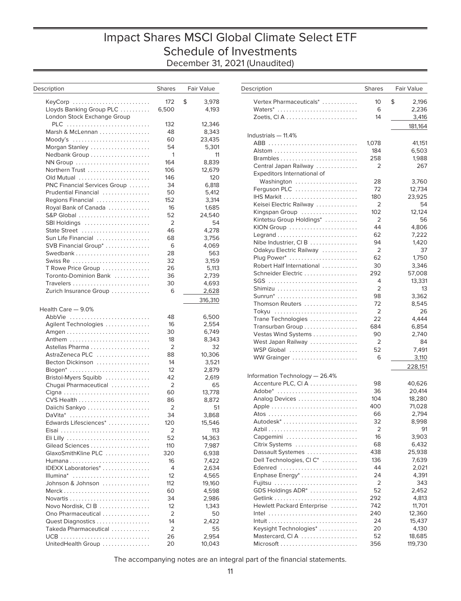# Impact Shares MSCI Global Climate Select ETF Schedule of Investments December 31, 2021 (Unaudited)

| Description                  | <b>Shares</b>  | Fair Value  | Description         |
|------------------------------|----------------|-------------|---------------------|
| KeyCorp                      | 172            | \$<br>3,978 | Vertex Phar         |
| Lloyds Banking Group PLC     | 6,500          | 4,193       | Waters*             |
| London Stock Exchange Group  |                |             | Zoetis, CI A        |
| PLC                          | 132            | 12,346      |                     |
| Marsh & McLennan             | 48             | 8,343       | Industrials $-$     |
|                              | 60             | 23,435      | $ABB$               |
| Morgan Stanley               | 54             | 5,301       | Alstom              |
| Nedbank Group                | 1              | 11          | Brambles.           |
| NN Group                     | 164            | 8,839       | Central Jap         |
| Northern Trust               | 106            | 12,679      | <b>Expeditors</b>   |
| Old Mutual                   | 146            | 120         | Washingt            |
| PNC Financial Services Group | 34             | 6,818       | Ferguson P          |
| Prudential Financial         | 50             | 5,412       | IHS Markit          |
| Regions Financial            | 152            | 3,314       | Keisei Elect        |
| Royal Bank of Canada         | 16             | 1,685       |                     |
| S&P Global                   | 52             | 24,540      | Kingspan G          |
| SBI Holdings                 | $\overline{2}$ | 54          | Kintetsu Gr         |
| State Street                 | 46             | 4,278       | <b>KION Group</b>   |
| Sun Life Financial           | 68             | 3,756       | Legrand $\ldots$    |
| SVB Financial Group*         | 6              | 4,069       | Nibe Indust         |
| Swedbank                     | 28             | 563         | Odakyu Ele          |
| Swiss Re                     | 32             | 3,159       | Plug Power          |
| T Rowe Price Group           | 26             | 5,113       | <b>Robert Half</b>  |
| Toronto-Dominion Bank        | 36             | 2,739       | Schneider I         |
| Travelers                    | 30             | 4,693       | $SGS$               |
| Zurich Insurance Group       | 6              | 2,628       | Shimizu             |
|                              |                | 316,310     | Sunrun*             |
|                              |                |             | Thomson R           |
| Health Care - 9.0%           |                |             | Tokyu               |
| AbbVie                       | 48             | 6,500       | <b>Trane Tech</b>   |
| Agilent Technologies         | 16             | 2,554       | Transurban          |
|                              | 30             | 6,749       | <b>Vestas Win</b>   |
| Anthem                       | 18             | 8,343       | West Japar          |
| Astellas Pharma              | 2              | 32          | <b>WSP Globa</b>    |
| AstraZeneca PLC              | 88             | 10,306      | <b>WW Graing</b>    |
| Becton Dickinson             | 14             | 3,521       |                     |
| Biogen*                      | 12             | 2,879       | Information To      |
| Bristol-Myers Squibb         | 42             | 2,619       | Accenture I         |
| Chugai Pharmaceutical        | $\overline{2}$ | 65          |                     |
|                              | 60             | 13,778      | Adobe*              |
| CVS Health                   | 86             | 8,872       | Analog Dev          |
| Daiichi Sankyo               | 2              | 51          | Apple               |
| DaVita*                      | 34             | 3,868       | Atos $\dots$        |
| Edwards Lifesciences*        | 120            | 15,546      | Autodesk*           |
| Eisai                        | 2              | 113         | Azbil               |
| Eli Lilly                    | 52             | 14,363      | Capgemini           |
| Gilead Sciences              | 110            | 7,987       | <b>Citrix Syste</b> |
| GlaxoSmithKline PLC          | 320            | 6,938       | Dassault Sy         |
|                              | 16             | 7,422       | <b>Dell Techno</b>  |
| IDEXX Laboratories*          | $\overline{4}$ | 2,634       | Edenred             |
| Illumina*                    | 12             | 4,565       | Enphase Er          |
| Johnson & Johnson            | 112            | 19,160      | Fujitsu             |
|                              | 60             | 4,598       | <b>GDS Holdir</b>   |
|                              | 34             | 2,986       | Getlink             |
| Novo Nordisk, CIB            | 12             | 1,343       | Hewlett Pa          |
| Ono Pharmaceutical           | 2              | 50          | $Intel \dots$       |
| Quest Diagnostics            | 14             | 2,422       | Intuit              |
| Takeda Pharmaceutical        | 2              | 55          | Keysight Te         |
|                              | 26             | 2,954       | Mastercard          |
| UnitedHealth Group           | 20             | 10,043      | Microsoft.          |

| Description                                          | <b>Shares</b>  | Fair Value       |
|------------------------------------------------------|----------------|------------------|
| Vertex Pharmaceuticals*                              | 10             | \$<br>2,196      |
| Waters*                                              | 6              | 2,236            |
|                                                      | 14             | 3,416            |
| Industrials - 11.4%                                  |                | 181,164          |
| ABB                                                  | 1,078          | 41,151           |
|                                                      | 184            | 6,503            |
| Brambles                                             | 258            | 1,988            |
| Central Japan Railway                                | 2              | 267              |
| Expeditors International of                          |                |                  |
| Washington                                           | 28             | 3,760            |
| Ferguson PLC                                         | 72             | 12,734           |
|                                                      | 180            | 23,925           |
| Keisei Electric Railway                              | $\overline{2}$ | 54               |
| Kingspan Group                                       | 102            | 12,124           |
| Kintetsu Group Holdings*                             | 2<br>44        | 56               |
| KION Group                                           | 62             | 4,806<br>7,222   |
| Nibe Industrier, CIB                                 | 94             | 1,420            |
| Odakyu Electric Railway                              | 2              | 37               |
| Plug Power*                                          | 62             | 1,750            |
| Robert Half International                            | 30             | 3,346            |
| Schneider Electric                                   | 292            | 57,008           |
| SGS                                                  | 4              | 13,331           |
| Shimizu                                              | 2              | 13               |
| $S$ unrun $*$                                        | 98             | 3,362            |
| Thomson Reuters                                      | 72             | 8,545            |
| Tokyu                                                | $\overline{2}$ | 26               |
| Trane Technologies                                   | 22             | 4,444            |
| Transurban Group                                     | 684            | 6,854            |
| Vestas Wind Systems                                  | 90             | 2,740            |
| West Japan Railway                                   | 2              | 84               |
| WSP Global                                           | 52             | 7,491            |
| WW Grainger                                          | 6              | 3,110            |
|                                                      |                | 228,151          |
| Information Technology - 26.4%<br>Accenture PLC, CIA | 98             |                  |
| Adobe*                                               | 36             | 40,626<br>20,414 |
| Analog Devices                                       | 104            | 18,280           |
|                                                      | 400            | 71,028           |
|                                                      | 66             | 2,794            |
| Autodesk <sup>*</sup>                                | 32             | 8,998            |
|                                                      | 2              | 91               |
| Capgemini                                            | 16             | 3,903            |
| Citrix Systems                                       | 68             | 6,432            |
| Dassault Systemes                                    | 438            | 25,938           |
| Dell Technologies, CI C*                             | 136            | 7,639            |
| Edenred                                              | 44             | 2,021            |
| Enphase Energy <sup>*</sup>                          | 24             | 4,391            |
|                                                      | 2              | 343              |
| GDS Holdings ADR <sup>*</sup>                        | 52             | 2,452            |
| Getlink                                              | 292            | 4,813            |
| Hewlett Packard Enterprise                           | 742<br>240     | 11,701           |
|                                                      |                | 12,360           |
| Keysight Technologies*                               | 24<br>20       | 15,437<br>4,130  |
| Mastercard, CIA                                      | 52             | 18,685           |
|                                                      | 356            | 119,730          |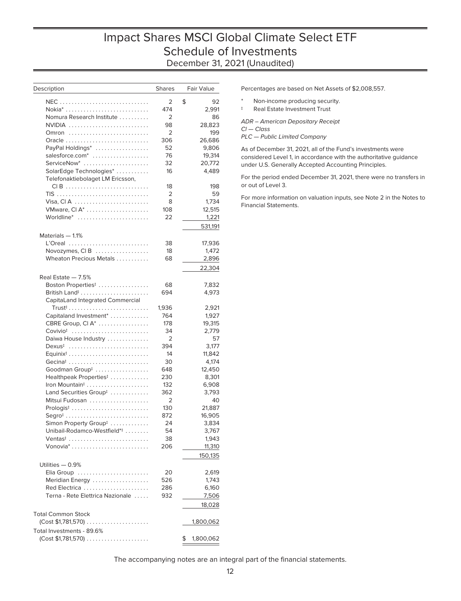# Impact Shares MSCI Global Climate Select ETF Schedule of Investments December 31, 2021 (Unaudited)

| Description                             | <b>Shares</b>  | Fair Value      |
|-----------------------------------------|----------------|-----------------|
|                                         | 2              | \$<br>92        |
|                                         | 474            | 2,991           |
| Nomura Research Institute               | 2              | 86              |
| NVIDIA                                  | 98             | 28,823          |
| Omron                                   | 2              | 199             |
| Oracle                                  | 306            | 26,686          |
| PayPal Holdings*                        | 52             | 9,806           |
| salesforce.com <sup>*</sup>             | 76             | 19,314          |
| ServiceNow*                             | 32             | 20,772          |
| SolarEdge Technologies*                 | 16             | 4,489           |
| Telefonaktiebolaget LM Ericsson,        |                |                 |
| CIB                                     | 18             | 198             |
|                                         | 2              | 59              |
| Visa, CIA                               | 8              | 1,734           |
| VMware, CI A*                           | 108            | 12,515          |
| Worldline*                              | 22             | 1,221           |
|                                         |                | 531,191         |
| Materials - 1.1%                        |                |                 |
| L'Oreal                                 | 38             | 17,936          |
| Novozymes, $CI B$                       | 18             | 1,472           |
| Wheaton Precious Metals                 | 68             | 2,896           |
|                                         |                | 22,304          |
| Real Estate - 7.5%                      |                |                 |
| Boston Properties <sup>‡</sup>          | 68             | 7,832           |
|                                         | 694            | 4,973           |
| CapitaLand Integrated Commercial        |                |                 |
| $Trust‡$                                | 1,936          | 2,921           |
| Capitaland Investment*                  | 764            | 1,927           |
| CBRE Group, CI A*                       | 178            | 19,315          |
| $Covivio†$                              | 34             | 2,779           |
| Daiwa House Industry                    | 2              | 57              |
| Dexus <sup>‡</sup>                      | 394            | 3,177           |
|                                         | 14             | 11,842          |
| Gecina <sup>#</sup>                     | 30             | 4,174           |
| Goodman Group <sup>#</sup>              | 648            | 12,450          |
| Healthpeak Properties <sup>‡</sup>      | 230            | 8,301           |
|                                         | 132            | 6,908           |
| Land Securities Group <sup>#</sup>      | 362            | 3,793           |
| Mitsui Fudosan                          | $\overline{2}$ | 40              |
| $Prologis†$                             | 130            | 21,887          |
| $Segro‡$                                | 872            | 16,905          |
| Simon Property Group <sup>#</sup>       | 24             | 3,834           |
| Unibail-Rodamco-Westfield* <sup>‡</sup> | 54             | 3,767           |
| Ventas <sup><math>\ddagger</math></sup> | 38             | 1,943           |
|                                         | 206            | 11,310          |
|                                         |                | 150,135         |
| Utilities - 0.9%                        |                |                 |
| Elia Group                              | 20             | 2,619           |
| Meridian Energy                         | 526            | 1,743           |
| Red Electrica                           | 286            | 6,160           |
| Terna - Rete Elettrica Nazionale        | 932            | 7,506           |
|                                         |                | 18,028          |
| <b>Total Common Stock</b>               |                |                 |
| $(Cost $1,781,570)$                     |                | 1,800,062       |
| Total Investments - 89.6%               |                |                 |
| (Cost \$1,781,570)                      |                | \$<br>1,800,062 |
|                                         |                |                 |

Percentages are based on Net Assets of \$2,008,557.

- Non-income producing security.
- ‡ Real Estate Investment Trust

ADR – American Depositary Receipt Cl — Class PLC — Public Limited Company

As of December 31, 2021, all of the Fund's investments were considered Level 1, in accordance with the authoritative guidance under U.S. Generally Accepted Accounting Principles.

For the period ended December 31, 2021, there were no transfers in or out of Level 3.

For more information on valuation inputs, see Note 2 in the Notes to Financial Statements.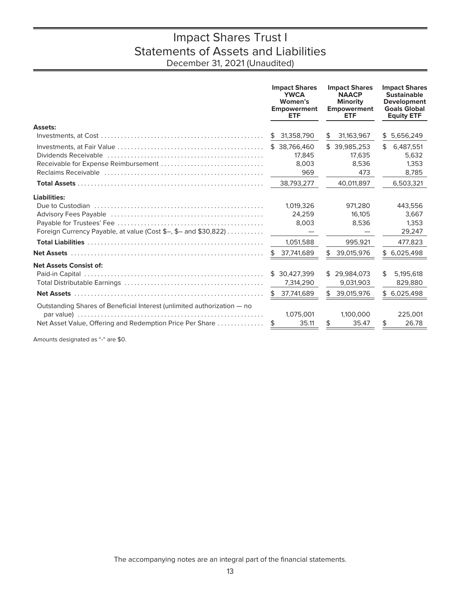# Impact Shares Trust I Statements of Assets and Liabilities December 31, 2021 (Unaudited)

<span id="page-14-0"></span>

|                                                                                                                | <b>Impact Shares</b><br><b>YWCA</b><br>Women's<br><b>Empowerment</b><br><b>ETF</b> | <b>Impact Shares</b><br><b>NAACP</b><br><b>Minority</b><br><b>Empowerment</b><br><b>ETF</b> | <b>Impact Shares</b><br><b>Sustainable</b><br>Development<br><b>Goals Global</b><br><b>Equity ETF</b> |
|----------------------------------------------------------------------------------------------------------------|------------------------------------------------------------------------------------|---------------------------------------------------------------------------------------------|-------------------------------------------------------------------------------------------------------|
| <b>Assets:</b>                                                                                                 |                                                                                    |                                                                                             |                                                                                                       |
|                                                                                                                | 31,358,790<br>\$                                                                   | 31,163,967<br>\$                                                                            | 5,656,249<br>\$                                                                                       |
|                                                                                                                | \$ 38,766,460                                                                      | \$39,985,253                                                                                | \$<br>6,487,551                                                                                       |
| Dividends Receivable (and contained according to Dividends Receivable and contained according to Dividends Rec | 17,845                                                                             | 17,635                                                                                      | 5,632                                                                                                 |
|                                                                                                                | 8,003                                                                              | 8,536                                                                                       | 1,353                                                                                                 |
|                                                                                                                | 969                                                                                | 473                                                                                         | 8,785                                                                                                 |
|                                                                                                                | 38.793.277                                                                         | 40.011.897                                                                                  | 6,503,321                                                                                             |
| Liabilities:                                                                                                   |                                                                                    |                                                                                             |                                                                                                       |
|                                                                                                                | 1,019,326                                                                          | 971.280                                                                                     | 443,556                                                                                               |
|                                                                                                                | 24.259                                                                             | 16.105                                                                                      | 3.667                                                                                                 |
|                                                                                                                | 8,003                                                                              | 8,536                                                                                       | 1,353                                                                                                 |
| Foreign Currency Payable, at value (Cost \$-, \$- and \$30,822)                                                | $\hspace{0.1mm}-\hspace{0.1mm}$                                                    |                                                                                             | 29,247                                                                                                |
|                                                                                                                | 1,051,588                                                                          | 995,921                                                                                     | 477,823                                                                                               |
|                                                                                                                | \$ 37,741,689                                                                      | \$<br>39,015,976                                                                            | \$6,025,498                                                                                           |
| <b>Net Assets Consist of:</b>                                                                                  |                                                                                    |                                                                                             |                                                                                                       |
|                                                                                                                | \$30,427,399                                                                       | \$29.984.073                                                                                | \$<br>5,195,618                                                                                       |
|                                                                                                                | 7,314,290                                                                          | 9,031,903                                                                                   | 829,880                                                                                               |
|                                                                                                                | \$37,741,689                                                                       | \$<br>39,015,976                                                                            | \$6,025,498                                                                                           |
| Outstanding Shares of Beneficial Interest (unlimited authorization - no                                        |                                                                                    |                                                                                             |                                                                                                       |
|                                                                                                                | 1,075,001                                                                          | 1,100,000                                                                                   | 225,001                                                                                               |
| Net Asset Value, Offering and Redemption Price Per Share                                                       | 35.11<br>\$                                                                        | 35.47<br>\$                                                                                 | 26.78<br>\$                                                                                           |

Amounts designated as "-" are \$0.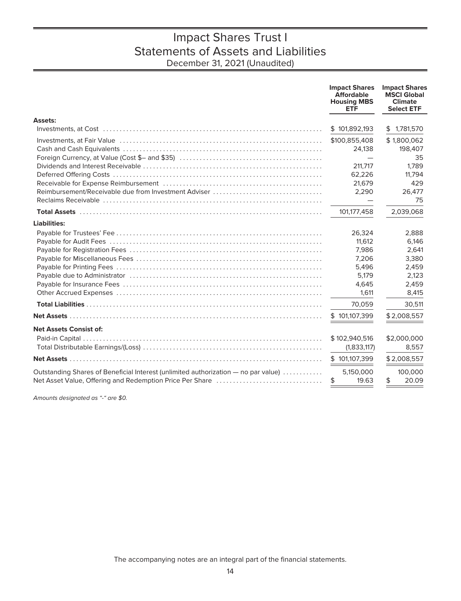# Impact Shares Trust I Statements of Assets and Liabilities December 31, 2021 (Unaudited)

|                                                                                                                | <b>Impact Shares</b><br><b>Affordable</b><br><b>Housing MBS</b><br><b>ETF</b> | <b>Impact Shares</b><br><b>MSCI Global</b><br><b>Climate</b><br><b>Select ETF</b> |
|----------------------------------------------------------------------------------------------------------------|-------------------------------------------------------------------------------|-----------------------------------------------------------------------------------|
| Assets:                                                                                                        |                                                                               |                                                                                   |
|                                                                                                                | \$101,892,193                                                                 | \$1,781,570                                                                       |
| Investments, at Fair Value (all contained according to the contained and the contact of the state of the state | \$100,855,408<br>24,138                                                       | \$1,800,062<br>198,407<br>35                                                      |
|                                                                                                                | 211,717<br>62,226                                                             | 1.789<br>11,794<br>429                                                            |
| Reimbursement/Receivable due from Investment Adviser                                                           | 21,679<br>2,290                                                               | 26,477<br>75                                                                      |
|                                                                                                                | 101,177,458                                                                   | 2,039,068                                                                         |
| Liabilities:                                                                                                   |                                                                               |                                                                                   |
|                                                                                                                | 26,324<br>11,612                                                              | 2,888<br>6,146                                                                    |
|                                                                                                                | 7,986<br>7,206                                                                | 2,641<br>3,380                                                                    |
|                                                                                                                | 5,496<br>5,179                                                                | 2,459<br>2,123                                                                    |
|                                                                                                                | 4,645<br>1,611                                                                | 2,459<br>8,415                                                                    |
|                                                                                                                | 70,059                                                                        | 30,511                                                                            |
|                                                                                                                | \$101,107,399                                                                 | \$2,008,557                                                                       |
| <b>Net Assets Consist of:</b>                                                                                  |                                                                               |                                                                                   |
|                                                                                                                | \$102,940,516<br>(1,833,117)                                                  | \$2,000,000<br>8,557                                                              |
|                                                                                                                | \$101,107,399                                                                 | \$2,008,557                                                                       |
| Outstanding Shares of Beneficial Interest (unlimited authorization - no par value)                             | 5,150,000<br>19.63<br>\$                                                      | 100,000<br>20.09<br>\$                                                            |

Amounts designated as "-" are \$0.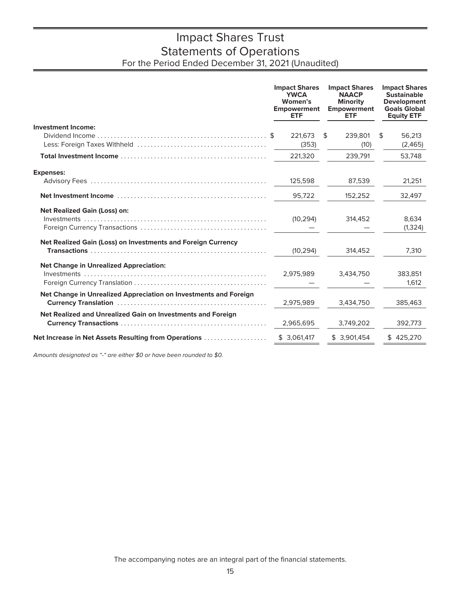# Impact Shares Trust Statements of Operations For the Period Ended December 31, 2021 (Unaudited)

<span id="page-16-0"></span>

|                                                                  | <b>Impact Shares</b><br><b>YWCA</b><br>Women's<br><b>Empowerment</b><br><b>ETF</b> | <b>Impact Shares</b><br><b>NAACP</b><br>Minority<br><b>Empowerment</b><br><b>ETF</b> | <b>Impact Shares</b><br><b>Sustainable</b><br><b>Development</b><br><b>Goals Global</b><br><b>Equity ETF</b> |
|------------------------------------------------------------------|------------------------------------------------------------------------------------|--------------------------------------------------------------------------------------|--------------------------------------------------------------------------------------------------------------|
| <b>Investment Income:</b>                                        |                                                                                    |                                                                                      |                                                                                                              |
|                                                                  | 221.673<br>(353)                                                                   | \$<br>239,801<br>(10)                                                                | \$<br>56.213<br>(2,465)                                                                                      |
|                                                                  | 221,320                                                                            | 239,791                                                                              | 53,748                                                                                                       |
| <b>Expenses:</b>                                                 |                                                                                    |                                                                                      |                                                                                                              |
|                                                                  | 125,598                                                                            | 87,539                                                                               | 21,251                                                                                                       |
|                                                                  | 95,722                                                                             | 152,252                                                                              | 32,497                                                                                                       |
| <b>Net Realized Gain (Loss) on:</b>                              |                                                                                    |                                                                                      |                                                                                                              |
|                                                                  | (10, 294)                                                                          | 314,452                                                                              | 8,634<br>(1, 324)                                                                                            |
|                                                                  |                                                                                    |                                                                                      |                                                                                                              |
| Net Realized Gain (Loss) on Investments and Foreign Currency     | (10, 294)                                                                          | 314,452                                                                              | 7,310                                                                                                        |
| <b>Net Change in Unrealized Appreciation:</b>                    |                                                                                    |                                                                                      |                                                                                                              |
|                                                                  | 2,975,989                                                                          | 3,434,750                                                                            | 383,851                                                                                                      |
|                                                                  |                                                                                    |                                                                                      | 1,612                                                                                                        |
| Net Change in Unrealized Appreciation on Investments and Foreign | 2,975,989                                                                          | 3,434,750                                                                            | 385,463                                                                                                      |
| Net Realized and Unrealized Gain on Investments and Foreign      | 2,965,695                                                                          | 3,749,202                                                                            | 392,773                                                                                                      |
| Net Increase in Net Assets Resulting from Operations             | \$3,061,417                                                                        | \$3.901.454                                                                          | \$425,270                                                                                                    |
|                                                                  |                                                                                    |                                                                                      |                                                                                                              |

Amounts designated as "-" are either \$0 or have been rounded to \$0.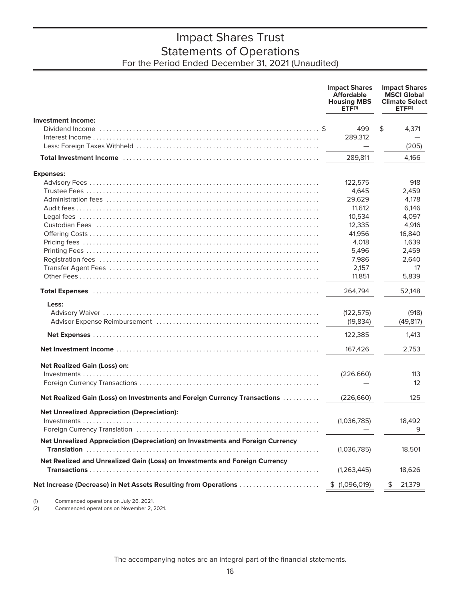# Impact Shares Trust Statements of Operations For the Period Ended December 31, 2021 (Unaudited)

|                                                                                | <b>Impact Shares</b><br><b>Affordable</b><br><b>Housing MBS</b><br>ETF <sup>(1)</sup> | <b>Impact Shares</b><br><b>MSCI Global</b><br><b>Climate Select</b><br>ETF <sup>(2)</sup> |
|--------------------------------------------------------------------------------|---------------------------------------------------------------------------------------|-------------------------------------------------------------------------------------------|
| <b>Investment Income:</b>                                                      |                                                                                       |                                                                                           |
|                                                                                | 499                                                                                   | \$<br>4,371                                                                               |
|                                                                                | 289,312                                                                               |                                                                                           |
|                                                                                |                                                                                       | (205)                                                                                     |
|                                                                                | 289,811                                                                               | 4,166                                                                                     |
| <b>Expenses:</b>                                                               |                                                                                       |                                                                                           |
|                                                                                | 122,575                                                                               | 918                                                                                       |
|                                                                                | 4,645                                                                                 | 2,459                                                                                     |
|                                                                                | 29,629                                                                                | 4,178                                                                                     |
|                                                                                | 11,612                                                                                | 6,146                                                                                     |
|                                                                                | 10,534                                                                                | 4,097                                                                                     |
|                                                                                | 12,335                                                                                | 4,916                                                                                     |
|                                                                                | 41,956                                                                                | 16,840                                                                                    |
|                                                                                | 4,018                                                                                 | 1,639                                                                                     |
|                                                                                | 5,496                                                                                 | 2,459                                                                                     |
|                                                                                | 7,986                                                                                 | 2,640                                                                                     |
|                                                                                | 2,157                                                                                 | 17                                                                                        |
|                                                                                | 11,851                                                                                | 5,839                                                                                     |
|                                                                                | 264.794                                                                               | 52,148                                                                                    |
| Less:                                                                          |                                                                                       |                                                                                           |
|                                                                                | (122, 575)                                                                            | (918)                                                                                     |
|                                                                                | (19, 834)                                                                             | (49, 817)                                                                                 |
|                                                                                | 122,385                                                                               | 1,413                                                                                     |
|                                                                                | 167,426                                                                               | 2,753                                                                                     |
|                                                                                |                                                                                       |                                                                                           |
| <b>Net Realized Gain (Loss) on:</b>                                            |                                                                                       |                                                                                           |
|                                                                                | (226,660)                                                                             | 113                                                                                       |
|                                                                                |                                                                                       | $12 \overline{ }$                                                                         |
| Net Realized Gain (Loss) on Investments and Foreign Currency Transactions      | (226, 660)                                                                            | 125                                                                                       |
| <b>Net Unrealized Appreciation (Depreciation):</b>                             |                                                                                       |                                                                                           |
|                                                                                | (1,036,785)                                                                           | 18,492                                                                                    |
|                                                                                |                                                                                       | 9                                                                                         |
| Net Unrealized Appreciation (Depreciation) on Investments and Foreign Currency |                                                                                       |                                                                                           |
|                                                                                | (1,036,785)                                                                           | 18,501                                                                                    |
| Net Realized and Unrealized Gain (Loss) on Investments and Foreign Currency    |                                                                                       |                                                                                           |
|                                                                                | (1,263,445)                                                                           | 18,626                                                                                    |
|                                                                                |                                                                                       |                                                                                           |
| Net Increase (Decrease) in Net Assets Resulting from Operations                | \$(1,096,019)                                                                         | 21,379                                                                                    |
|                                                                                |                                                                                       |                                                                                           |

(1) Commenced operations on July 26, 2021.<br>(2) Commenced operations on November 2, 2 Commenced operations on November 2, 2021.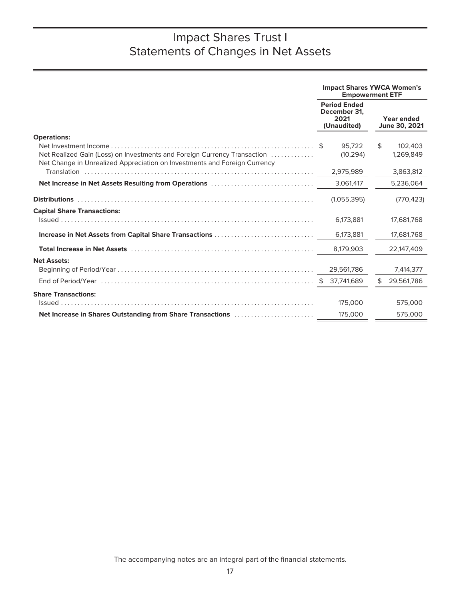<span id="page-18-0"></span>

|                                                                                                                                                       |                                                            | <b>Impact Shares YWCA Women's</b><br><b>Empowerment ETF</b> |
|-------------------------------------------------------------------------------------------------------------------------------------------------------|------------------------------------------------------------|-------------------------------------------------------------|
|                                                                                                                                                       | <b>Period Ended</b><br>December 31.<br>2021<br>(Unaudited) | Year ended<br>June 30, 2021                                 |
| <b>Operations:</b>                                                                                                                                    |                                                            |                                                             |
| Net Realized Gain (Loss) on Investments and Foreign Currency Transaction<br>Net Change in Unrealized Appreciation on Investments and Foreign Currency | 95.722<br>(10, 294)                                        | \$<br>102,403<br>1,269,849                                  |
|                                                                                                                                                       | 2,975,989                                                  | 3,863,812                                                   |
| Net Increase in Net Assets Resulting from Operations                                                                                                  | 3,061,417                                                  | 5,236,064                                                   |
|                                                                                                                                                       | (1,055,395)                                                | (770, 423)                                                  |
| <b>Capital Share Transactions:</b>                                                                                                                    |                                                            |                                                             |
|                                                                                                                                                       | 6,173,881                                                  | 17,681,768                                                  |
| Increase in Net Assets from Capital Share Transactions                                                                                                | 6,173,881                                                  | 17,681,768                                                  |
|                                                                                                                                                       | 8.179.903                                                  | 22,147,409                                                  |
| <b>Net Assets:</b>                                                                                                                                    | 29,561,786                                                 | 7,414,377                                                   |
|                                                                                                                                                       | 37.741.689<br>\$                                           | 29,561,786<br>\$                                            |
| <b>Share Transactions:</b>                                                                                                                            |                                                            |                                                             |
|                                                                                                                                                       | 175,000                                                    | 575,000                                                     |
| Net Increase in Shares Outstanding from Share Transactions                                                                                            | 175,000                                                    | 575,000                                                     |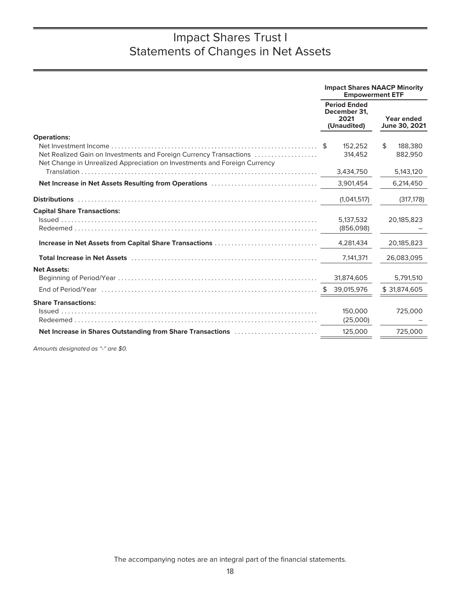|                                                                                                                                                 | <b>Impact Shares NAACP Minority</b><br><b>Empowerment ETF</b> |                             |
|-------------------------------------------------------------------------------------------------------------------------------------------------|---------------------------------------------------------------|-----------------------------|
|                                                                                                                                                 | <b>Period Ended</b><br>December 31.<br>2021<br>(Unaudited)    | Year ended<br>June 30, 2021 |
| <b>Operations:</b>                                                                                                                              |                                                               |                             |
| Net Realized Gain on Investments and Foreign Currency Transactions<br>Net Change in Unrealized Appreciation on Investments and Foreign Currency | 152.252<br>314,452                                            | \$<br>188,380<br>882.950    |
|                                                                                                                                                 | 3,434,750                                                     | 5,143,120                   |
| Net Increase in Net Assets Resulting from Operations                                                                                            | 3,901,454                                                     | 6,214,450                   |
|                                                                                                                                                 | (1,041,517)                                                   | (317, 178)                  |
| <b>Capital Share Transactions:</b>                                                                                                              |                                                               |                             |
|                                                                                                                                                 | 5.137.532<br>(856,098)                                        | 20,185,823                  |
| Increase in Net Assets from Capital Share Transactions                                                                                          | 4,281,434                                                     | 20,185,823                  |
|                                                                                                                                                 | 7,141,371                                                     | 26,083,095                  |
| <b>Net Assets:</b>                                                                                                                              |                                                               |                             |
|                                                                                                                                                 | 31,874,605                                                    | 5,791,510                   |
|                                                                                                                                                 |                                                               | \$31,874,605                |
| <b>Share Transactions:</b>                                                                                                                      | 150,000<br>(25,000)                                           | 725,000                     |
| Net Increase in Shares Outstanding from Share Transactions                                                                                      | 125,000                                                       | 725,000                     |
|                                                                                                                                                 |                                                               |                             |

Amounts designated as "-" are \$0.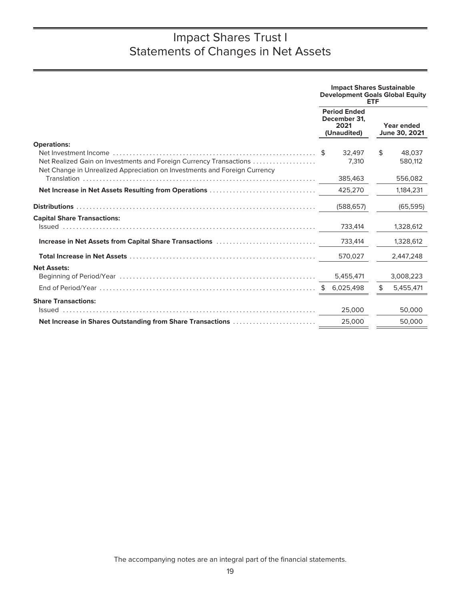| <b>Period Ended</b><br>December 31.<br>2021<br>Year ended<br>June 30, 2021<br>(Unaudited)<br><b>Operations:</b><br>32.497<br>\$<br>48,037<br>- S<br>Net Realized Gain on Investments and Foreign Currency Transactions<br>7,310<br>580,112<br>Net Change in Unrealized Appreciation on Investments and Foreign Currency<br>385,463<br>556,082<br>Net Increase in Net Assets Resulting from Operations<br>425,270<br>1,184,231<br>(588, 657)<br>(65, 595)<br><b>Capital Share Transactions:</b><br>733,414<br>1,328,612<br>Increase in Net Assets from Capital Share Transactions<br>733,414<br>1,328,612<br>570,027<br>2,447,248<br><b>Net Assets:</b><br>5,455,471<br>3,008,223<br>6,025,498<br>\$<br>5,455,471<br><b>Share Transactions:</b><br>25,000<br>50,000<br>25,000<br>50,000<br>Net Increase in Shares Outstanding from Share Transactions |  | <b>Impact Shares Sustainable</b><br><b>Development Goals Global Equity</b> | ETF |  |
|------------------------------------------------------------------------------------------------------------------------------------------------------------------------------------------------------------------------------------------------------------------------------------------------------------------------------------------------------------------------------------------------------------------------------------------------------------------------------------------------------------------------------------------------------------------------------------------------------------------------------------------------------------------------------------------------------------------------------------------------------------------------------------------------------------------------------------------------------|--|----------------------------------------------------------------------------|-----|--|
|                                                                                                                                                                                                                                                                                                                                                                                                                                                                                                                                                                                                                                                                                                                                                                                                                                                      |  |                                                                            |     |  |
|                                                                                                                                                                                                                                                                                                                                                                                                                                                                                                                                                                                                                                                                                                                                                                                                                                                      |  |                                                                            |     |  |
|                                                                                                                                                                                                                                                                                                                                                                                                                                                                                                                                                                                                                                                                                                                                                                                                                                                      |  |                                                                            |     |  |
|                                                                                                                                                                                                                                                                                                                                                                                                                                                                                                                                                                                                                                                                                                                                                                                                                                                      |  |                                                                            |     |  |
|                                                                                                                                                                                                                                                                                                                                                                                                                                                                                                                                                                                                                                                                                                                                                                                                                                                      |  |                                                                            |     |  |
|                                                                                                                                                                                                                                                                                                                                                                                                                                                                                                                                                                                                                                                                                                                                                                                                                                                      |  |                                                                            |     |  |
|                                                                                                                                                                                                                                                                                                                                                                                                                                                                                                                                                                                                                                                                                                                                                                                                                                                      |  |                                                                            |     |  |
|                                                                                                                                                                                                                                                                                                                                                                                                                                                                                                                                                                                                                                                                                                                                                                                                                                                      |  |                                                                            |     |  |
|                                                                                                                                                                                                                                                                                                                                                                                                                                                                                                                                                                                                                                                                                                                                                                                                                                                      |  |                                                                            |     |  |
|                                                                                                                                                                                                                                                                                                                                                                                                                                                                                                                                                                                                                                                                                                                                                                                                                                                      |  |                                                                            |     |  |
|                                                                                                                                                                                                                                                                                                                                                                                                                                                                                                                                                                                                                                                                                                                                                                                                                                                      |  |                                                                            |     |  |
|                                                                                                                                                                                                                                                                                                                                                                                                                                                                                                                                                                                                                                                                                                                                                                                                                                                      |  |                                                                            |     |  |
|                                                                                                                                                                                                                                                                                                                                                                                                                                                                                                                                                                                                                                                                                                                                                                                                                                                      |  |                                                                            |     |  |
|                                                                                                                                                                                                                                                                                                                                                                                                                                                                                                                                                                                                                                                                                                                                                                                                                                                      |  |                                                                            |     |  |
|                                                                                                                                                                                                                                                                                                                                                                                                                                                                                                                                                                                                                                                                                                                                                                                                                                                      |  |                                                                            |     |  |
|                                                                                                                                                                                                                                                                                                                                                                                                                                                                                                                                                                                                                                                                                                                                                                                                                                                      |  |                                                                            |     |  |
|                                                                                                                                                                                                                                                                                                                                                                                                                                                                                                                                                                                                                                                                                                                                                                                                                                                      |  |                                                                            |     |  |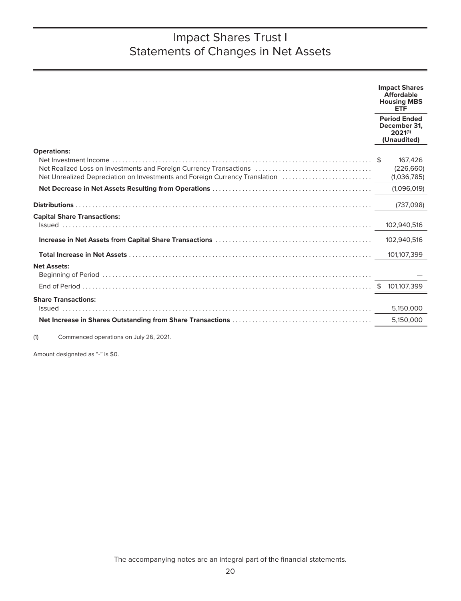|                                                                             | <b>Impact Shares</b><br><b>Affordable</b><br><b>Housing MBS</b><br><b>ETF</b> |
|-----------------------------------------------------------------------------|-------------------------------------------------------------------------------|
|                                                                             | <b>Period Ended</b><br>December 31.<br>2021(1)<br>(Unaudited)                 |
| <b>Operations:</b>                                                          |                                                                               |
|                                                                             | 167,426                                                                       |
|                                                                             | (226, 660)                                                                    |
| Net Unrealized Depreciation on Investments and Foreign Currency Translation | (1,036,785)                                                                   |
|                                                                             | (1,096,019)                                                                   |
|                                                                             | (737,098)                                                                     |
| <b>Capital Share Transactions:</b>                                          |                                                                               |
|                                                                             | 102,940,516                                                                   |
|                                                                             | 102,940,516                                                                   |
|                                                                             | 101,107,399                                                                   |
| <b>Net Assets:</b>                                                          |                                                                               |
|                                                                             | 101,107,399                                                                   |
|                                                                             |                                                                               |
| <b>Share Transactions:</b>                                                  |                                                                               |
|                                                                             | 5,150,000                                                                     |
|                                                                             | 5,150,000                                                                     |
|                                                                             |                                                                               |

(1) Commenced operations on July 26, 2021.

Amount designated as "-" is \$0.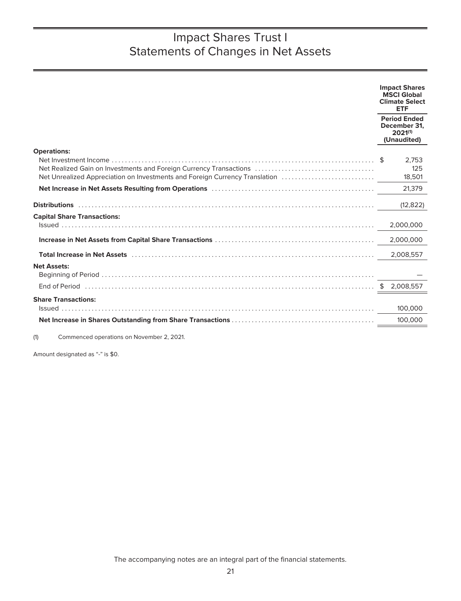|                                    | <b>Impact Shares</b><br><b>MSCI Global</b><br><b>Climate Select</b><br><b>ETF</b> |
|------------------------------------|-----------------------------------------------------------------------------------|
|                                    | <b>Period Ended</b><br>December 31.<br>2021(1)<br>(Unaudited)                     |
| <b>Operations:</b>                 | 2.753<br>125<br>18,501                                                            |
|                                    | 21,379                                                                            |
|                                    | (12, 822)                                                                         |
| <b>Capital Share Transactions:</b> | 2,000,000                                                                         |
|                                    | 2,000,000                                                                         |
|                                    | 2.008.557                                                                         |
| <b>Net Assets:</b>                 |                                                                                   |
|                                    | \$<br>2,008,557                                                                   |
| <b>Share Transactions:</b>         |                                                                                   |
|                                    | 100,000                                                                           |
|                                    | 100,000                                                                           |
|                                    |                                                                                   |

(1) Commenced operations on November 2, 2021.

Amount designated as "-" is \$0.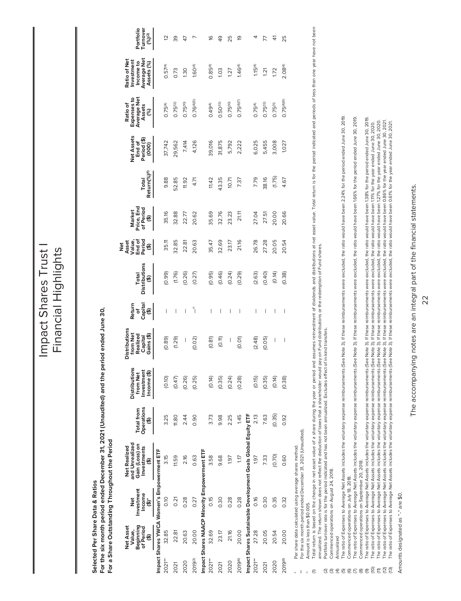Impact Shares Trust Impact Shares Trust I Financial Highlights Financial Highlights

> Selected Per Share Data & Ratios **Selected Per Share Data & Ratios**

For the six month period ended December 31, 2021 (Unaudited) and the period ended June 30, For the six month period ended December 31, 2021 (Unaudited) and the period ended June 30, For a Share Outstanding Throughout the Period **For a Share Outstanding Throughout the Period**

<span id="page-23-0"></span>

|          | <b>Net Asset</b><br>Beginning<br>of Period<br>Value, | Investment<br>Ž                                        | and Unrealized<br>Gain (Loss) on<br>Net Realized              | Total from      | <b>Distributions</b>                  | <b>Distributions</b>                          | Return                   |                                | Asset<br>Value,<br>End of<br>Period<br>ot<br>Net | Market                                            |                                   | <b>Vet Assets</b>              | Expenses to<br>Average Net<br>Ratio of | <b>Ratio of Net</b><br>Investment<br>Income to |                                      |
|----------|------------------------------------------------------|--------------------------------------------------------|---------------------------------------------------------------|-----------------|---------------------------------------|-----------------------------------------------|--------------------------|--------------------------------|--------------------------------------------------|---------------------------------------------------|-----------------------------------|--------------------------------|----------------------------------------|------------------------------------------------|--------------------------------------|
|          | ⊕                                                    | Income<br>$\ddot{\hat{\mathbf{e}}}$                    | Investments<br>⊕                                              | Operations<br>⊕ | from Net<br>Investment<br>Income (\$) | from Net<br>Realized<br>Capital<br>Gains (\$) | of<br>Capital<br>(\$)    | Total<br>Distributions<br>(\$) |                                                  | Price, End<br>of Period<br>$\widehat{\mathbf{e}}$ | Return(%) <sup>(1)</sup><br>Total | End of<br>Period (\$)<br>(000) | Assets<br>(%)                          | Average Net<br>Assets (%)                      | Portfolio<br>Turnover<br>$(%)^{(2)}$ |
|          |                                                      | Impact Shares YWCA Women's Empowerment ETF             |                                                               |                 |                                       |                                               |                          |                                |                                                  |                                                   |                                   |                                |                                        |                                                |                                      |
| $2021**$ | 32.85                                                | 0.10                                                   | 3.15                                                          | 3.25            | (0.10)                                | (0.89)                                        | I                        | (0.99)                         | 35.11                                            | 35.16                                             | 9.88                              | 37,742                         | $0.75^{(4)}$                           | 0.57(4)                                        | 2                                    |
| 2021     | 22.81                                                | 0.21                                                   | 11.59                                                         | 11.80           | (0.47)                                | (1.29)                                        | I                        | (1.76)                         | 32.85                                            | 32.88                                             | 52.85                             | 29,562                         | $0.75^{(12)}$                          | 0.73                                           | 39                                   |
| 2020     | 20.63                                                | 0.28                                                   | 2.16                                                          | 2.44            | (0.26)                                | $\overline{\phantom{a}}$                      | I                        | (0.26)                         | 22.81                                            | 22.77                                             | 11.92                             | 7,414                          | 0.75(10)                               | 1.30                                           | 47                                   |
| 2019(3)  | 20.00                                                | 0.27                                                   | 0.63                                                          | 0.90            | (0.25)                                | (0.02)                                        | $\check{\mathcal{L}}$    | (0.27)                         | 20.63                                            | 20.62                                             | 4.71                              | 4,126                          | 0.76(4)(5)                             | 1.60(4)                                        |                                      |
|          |                                                      | Impact Shares NAACP Minority Empowerment ETF           |                                                               |                 |                                       |                                               |                          |                                |                                                  |                                                   |                                   |                                |                                        |                                                |                                      |
| 2021**   | 32.69                                                | 0.15                                                   | 3.58                                                          | 3.73            | (0.14)                                | (0.81)                                        | I                        | (0.95)                         | 35.47                                            | 35.69                                             | 11.42                             | 39,016                         | 0.49(4)                                | $0.85^{(4)}$                                   | 9                                    |
| 2021     | 23.17                                                | 0.30                                                   | 9.68                                                          | 9.98            | (0.35)                                | (0.11)                                        | I                        | (0.46)                         | 32.69                                            | 32.76                                             | 43.35                             | 31,875                         | 0.50(13)                               | 1.03                                           | 49                                   |
| 2020     | 21.16                                                | 0.28                                                   | 1.97                                                          | 2.25            | (0.24)                                | $\mid$                                        | I                        | (0.24)                         | 23.17                                            | 23.23                                             | 10.71                             | 5,792                          | 0.75(0)                                | 1.27                                           | 25                                   |
| 2019(6)  | 20.00                                                | 0.28                                                   | 1.17                                                          | 1.45            | (0.28)                                | (0.01)                                        | $\mid$                   | (0.29)                         | 21.16                                            | 21.11                                             | 7.37                              | 2,222                          | $0.75^{(4)7}$                          | 1.46(4)                                        | ഇ                                    |
|          |                                                      |                                                        | Impact Shares Sustainable Development Goals Global Equity ETF |                 |                                       |                                               |                          |                                |                                                  |                                                   |                                   |                                |                                        |                                                |                                      |
| $2021**$ | 27.28                                                | 0.16                                                   | 1.97                                                          | 2.13            | (0.15)                                | (2.48)                                        | I                        | (2.63)                         | 26.78                                            | 27.04                                             | 7.79                              | 6,025                          | $0.75^{(4)}$                           | $1.15^{(4)}$                                   | 4                                    |
| 2021     | 20.05                                                | 0.30                                                   | 7.33                                                          | 7.63            | (0.35)                                | (0.05)                                        | I                        | (0.40)                         | 27.28                                            | 27.51                                             | 38.16                             | 5,455                          | 0.75(12)                               | 1.21                                           | 77                                   |
| 2020     | 20.54                                                | 0.35                                                   | (0.70)                                                        | (0.35)          | (0.14)                                | I                                             | I                        | (0.14)                         | 20.05                                            | 20.00                                             | (1.75)                            | 3,008                          | 0.75 <sup>(11)</sup>                   | 1.72                                           | 4                                    |
| 2019(8)  | 20.00                                                | 0.32                                                   | 0.60                                                          | 0.92            | (0.38)                                | $\overline{\phantom{a}}$                      | $\overline{\phantom{a}}$ | (0.38)                         | 20.54                                            | 20.66                                             | 4.67                              | 1,027                          | $0.75^{(4)(9)}$                        | 2.08(4)                                        | 25                                   |
| ¥        |                                                      | Per share data calculated using average shares method. | For the six month period ended December 31, 2021 (Unaudited). |                 |                                       |                                               |                          |                                |                                                  |                                                   |                                   |                                |                                        |                                                |                                      |

Amount is less than \$0.005. Amount is less than \$0.005.

Total return is based on the change in net asset value of a share of paring the year or period and assumes reinvestment of dividends and distributions at net asset value. Total return is for the period indicated and period (1) Total return is based on the change in net asset value of a share during the year of period and assumes reinvestment of dividends and distributions at net asset value. Total return is for the period indicated and perio  $\leftarrow$   $\epsilon$ 

annualized. The return shown does not reflect the deduction of taxes that a shareholder would pay on Fund distributions or the redemption of Fund shares.<br>Portfolio turnover rate is for the period indicated and has not been annualized. The return shown does not reflect the deduction of taxes that a shareholder would pay on Fund distributions or the redemption of Fund shares.

(2) Portfolio turnover rate is for the period indicated and has not been annualized. Excludes effect of in-kind transfers.

Commenced operations on August 24, 2018. (3) Commenced operations on August 24, 2018.

Annualized (4) Annualized

The ratio of Expenses to Average Net Assets includes the voluntary expense reimbursements (See Note 3). If these reimbursements were excluded, the ratio would have been 2.24% for the period ended June 30, 2019. (5) The ratio of Expenses to Average Net Assets includes the voluntary expense reimbursements (See Note 3). If these reimbursements were excluded, the ratio would have been 2.24% for the period ended June 30, 2019. Commenced operations on July 18, 2018. (6) Commenced operations on July 18, 2018.

The ratio of Expenses to Average Net Assets includes the voluntary expense reimbursements (See Note 3). If these reimbursements were excluded, the ratio would have been 1.66% for the period ended June 30, 2019. (7) The ratio of Expenses to Average Net Assets includes the voluntary expense reimbursements (See Note 3). If these reimbursements were excluded, the ratio would have been 1.66% for the period ended June 30, 2019. Commenced operations on September 20, 2018. (8) Commenced operations on September 20, 2018.

The ratio of Expenses to Average Net Assets includes the voluntary expense reimbursements. See Note 3). If these reimbursements were excluded, the ratio would have been 1.38% for the period ended June 30, 2019. (9) The ratio of Expenses to Average Net Assets includes the voluntary expense reimbursements (See Note 3). If these reimbursements were excluded, the ratio would have been 1.38% for the period ended June 30, 2019.

The ratio of Expenses to Average Net Assets includes the voluntary expense reimbursements yees reimbursements were excluded, the ratio would have been 1.11% for the year ended June 30, 2020. (10) The ratio of Expenses to Average Net Assets includes the voluntary expense reimbursements (See Note 3). If these reimbursements were excluded, the ratio would have been 1.11% for the year ended June 30, 2020.

The ratio of Expenses to Average Net Assets includes the voluntary expense reimbursements (See Note 3). If these reimbursements were excluded, the ratio would have been 127% for the year ended June 30, 2020. (12) The ratio of Expenses to Average Net Assets includes the voluntary expense reimbursements (See Note 3). If these reimbursements were excluded, the ratio would have been 0.86% for the year ended June 30, 2021. (11) The ratio of Expenses to Average Net Assets includes the voluntary expense reimbursements (See Note 3). If these reimbursements were excluded, the ratio would have been 1.27% for the year ended June 30, 2020.  $\begin{tabular}{cc} $\alpha \otimes \alpha \in \alpha \otimes \beta \in \mathbb{R}$ & $\alpha$ \\ $\alpha \otimes \alpha \in \alpha \otimes \beta \in \mathbb{R}$ & $\alpha$ \\ $\alpha \otimes \alpha \in \alpha \otimes \beta \in \mathbb{R}$ & $\alpha$ \\ $\alpha \otimes \alpha \in \alpha \otimes \beta \in \mathbb{R}$ & $\alpha$ \\ $\alpha \otimes \alpha \in \alpha \otimes \beta \in \mathbb{R}$ & $\alpha$ \\ $\alpha \otimes \alpha \in \alpha \otimes \beta \in \mathbb{R}$ & $\alpha$ \\ $\alpha \otimes \alpha \in \alpha \otimes \beta \in \mathbb{R}$ & $\alpha$ \\ $\alpha \otimes \alpha \in$ 

The ratio of Expenses to Average Net Assets includes the voluntary expense reimbursements (See Note 3). If these reimbursements were excluded, the ratio would have been 0.86% for the year ended June 30, 2021.<br>The ratio of (13) The ratio of Expenses to Average Net Assets includes the voluntary expense reimbursements (See Note 3). If these reimbursements were excluded, the ratio would have been 0.61% for the year ended June 30, 2021.

Amounts designated as "-" are \$0. Amounts designated as "-" are \$0.

# The accompanying notes are an integral part of the financial statements. The accompanying notes are an integral part of the financial statements.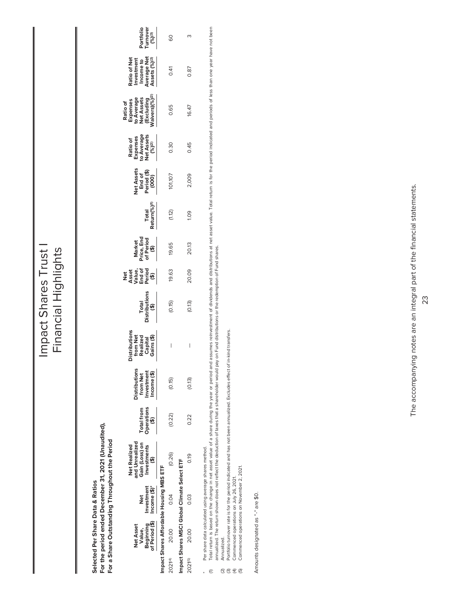Impact Shares Trust Impact Shares Trust I Financial Highlights Financial Highlights

> For the period ended December 31, 2021 (Unaudited), **For the period ended December 31, 2021 (Unaudited),** For a Share Outstanding Throughout the Period **For a Share Outstanding Throughout the Period** Selected Per Share Data & Ratios **Selected Per Share Data & Ratios**

| Value,<br>Beginning<br>of Period (\$)<br>Net Asset | Impact Shares Affordable Housing MBS ETF<br>Investment<br>Income (\$)*<br>Jet | Gain (Loss) on<br>Investments<br>(\$)<br>nd Unrealized<br><b>Vet Realized</b> | Total from<br>Operations<br>(\$) | Distributions<br>from Net<br>Investment<br>Income (\$) | Distributions<br>from Net<br>Realized<br>Capital<br>Gains (\$) | Total<br>Istributions<br>(\$) | Net<br>Asset<br>Value,<br>The of<br>City | Market<br>rice, End<br>of Period<br>(\$) | Total<br>!eturn(%) <sup>(1)</sup> | let Asset:<br>End of<br>Period (\$)<br>(000) | Ratio of<br>Expenses<br>o Average<br>Vet Assets<br>(%) <sup>(2)</sup> | Ratio of<br>Expenses<br>to Average<br>Net Assets<br>(Excluding<br>/aivers)(%) <sup>2)</sup> | Ratio of Net<br>Investment<br>Income to<br>Nerage Net<br>Assets (%) <sup>(2)</sup> | Portfolio<br>Turnover<br>__(%)! <sup>3)</sup> |
|----------------------------------------------------|-------------------------------------------------------------------------------|-------------------------------------------------------------------------------|----------------------------------|--------------------------------------------------------|----------------------------------------------------------------|-------------------------------|------------------------------------------|------------------------------------------|-----------------------------------|----------------------------------------------|-----------------------------------------------------------------------|---------------------------------------------------------------------------------------------|------------------------------------------------------------------------------------|-----------------------------------------------|
| 20.00                                              | mpact Shares MSCI Global Climate Select ETF<br>0.04                           | (0.26)                                                                        | (0.22)                           | (0.15)                                                 | I                                                              | (0.15)                        | 19.63                                    | 19.65                                    | (1.12)                            | 101,107                                      | 0.30                                                                  | 0.65                                                                                        | 0.41                                                                               | 80                                            |
| 20.00                                              | 0.03                                                                          | 0.19                                                                          | 0.22                             | (0.13)                                                 | I                                                              | (6.13)                        | 20.09                                    | 20.13                                    | ိ                                 | 2,009                                        | 0.45                                                                  | 16.47                                                                                       | 0.87                                                                               |                                               |

Per share data calculated using average shares method. \* Per share data calculated using average shares method.  $\ast$   $\in$ 

Total return is based on the change in net asset value of a share during the year or period and assumes reinvestment of dividends and distributions at net asset value. Total return is for the period indicated and periods o Total return is based on the change in net asset value of a share during the year of a period and assumes reinvestment of dividends and distributions at net asset value. Total return is for the period and periods of less t annualized. The return shown does not reflect the deduction of taxes that a shareholder would pay on Fund distributions or the redemption of Fund shares.

Annualized. (2) Annualized.  $\overline{0}$  $\overline{0}$  $\overline{1}$  $\overline{0}$ 

Portfolio turnover rate is for the period indicated and has not been annualized. Excludes effect of in-kind transfers. (3) Portfolio turnover rate is for the period indicated and has not been annualized. Excludes effect of in-kind transfers.

(4) Commenced operations on July 26, 2021.

Commenced operations on July 26, 2021.<br>Commenced operations on November 2, 2021. (5) Commenced operations on November 2, 2021.

Amounts designated as "-" are \$0. Amounts designated as "-" are \$0.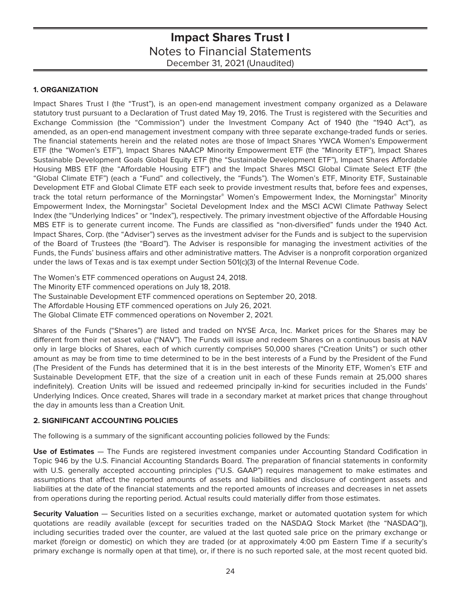### <span id="page-25-0"></span>**1. ORGANIZATION**

Impact Shares Trust I (the "Trust"), is an open-end management investment company organized as a Delaware statutory trust pursuant to a Declaration of Trust dated May 19, 2016. The Trust is registered with the Securities and Exchange Commission (the "Commission") under the Investment Company Act of 1940 (the "1940 Act"), as amended, as an open-end management investment company with three separate exchange-traded funds or series. The financial statements herein and the related notes are those of Impact Shares YWCA Women's Empowerment ETF (the "Women's ETF"), Impact Shares NAACP Minority Empowerment ETF (the "Minority ETF"), Impact Shares Sustainable Development Goals Global Equity ETF (the "Sustainable Development ETF"), Impact Shares Affordable Housing MBS ETF (the "Affordable Housing ETF") and the Impact Shares MSCI Global Climate Select ETF (the "Global Climate ETF") (each a "Fund" and collectively, the "Funds"). The Women's ETF, Minority ETF, Sustainable Development ETF and Global Climate ETF each seek to provide investment results that, before fees and expenses, track the total return performance of the Morningstar® Women's Empowerment Index, the Morningstar® Minority Empowerment Index, the Morningstar® Societal Development Index and the MSCI ACWI Climate Pathway Select Index (the "Underlying Indices" or "Index"), respectively. The primary investment objective of the Affordable Housing MBS ETF is to generate current income. The Funds are classified as "non-diversified" funds under the 1940 Act. Impact Shares, Corp. (the "Adviser") serves as the investment adviser for the Funds and is subject to the supervision of the Board of Trustees (the "Board"). The Adviser is responsible for managing the investment activities of the Funds, the Funds' business affairs and other administrative matters. The Adviser is a nonprofit corporation organized under the laws of Texas and is tax exempt under Section 501(c)(3) of the Internal Revenue Code.

The Women's ETF commenced operations on August 24, 2018.

The Minority ETF commenced operations on July 18, 2018.

The Sustainable Development ETF commenced operations on September 20, 2018.

The Affordable Housing ETF commenced operations on July 26, 2021.

The Global Climate ETF commenced operations on November 2, 2021.

Shares of the Funds ("Shares") are listed and traded on NYSE Arca, Inc. Market prices for the Shares may be different from their net asset value ("NAV"). The Funds will issue and redeem Shares on a continuous basis at NAV only in large blocks of Shares, each of which currently comprises 50,000 shares ("Creation Units") or such other amount as may be from time to time determined to be in the best interests of a Fund by the President of the Fund (The President of the Funds has determined that it is in the best interests of the Minority ETF, Women's ETF and Sustainable Development ETF, that the size of a creation unit in each of these Funds remain at 25,000 shares indefinitely). Creation Units will be issued and redeemed principally in-kind for securities included in the Funds' Underlying Indices. Once created, Shares will trade in a secondary market at market prices that change throughout the day in amounts less than a Creation Unit.

### **2. SIGNIFICANT ACCOUNTING POLICIES**

The following is a summary of the significant accounting policies followed by the Funds:

**Use of Estimates** — The Funds are registered investment companies under Accounting Standard Codification in Topic 946 by the U.S. Financial Accounting Standards Board. The preparation of financial statements in conformity with U.S. generally accepted accounting principles ("U.S. GAAP") requires management to make estimates and assumptions that affect the reported amounts of assets and liabilities and disclosure of contingent assets and liabilities at the date of the financial statements and the reported amounts of increases and decreases in net assets from operations during the reporting period. Actual results could materially differ from those estimates.

**Security Valuation** — Securities listed on a securities exchange, market or automated quotation system for which quotations are readily available (except for securities traded on the NASDAQ Stock Market (the "NASDAQ")), including securities traded over the counter, are valued at the last quoted sale price on the primary exchange or market (foreign or domestic) on which they are traded (or at approximately 4:00 pm Eastern Time if a security's primary exchange is normally open at that time), or, if there is no such reported sale, at the most recent quoted bid.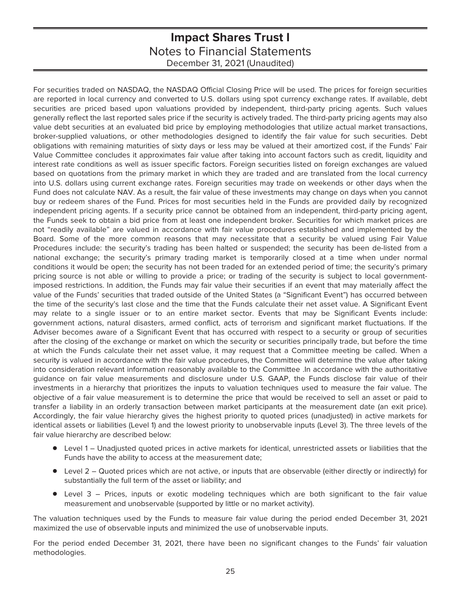For securities traded on NASDAQ, the NASDAQ Official Closing Price will be used. The prices for foreign securities are reported in local currency and converted to U.S. dollars using spot currency exchange rates. If available, debt securities are priced based upon valuations provided by independent, third-party pricing agents. Such values generally reflect the last reported sales price if the security is actively traded. The third-party pricing agents may also value debt securities at an evaluated bid price by employing methodologies that utilize actual market transactions, broker-supplied valuations, or other methodologies designed to identify the fair value for such securities. Debt obligations with remaining maturities of sixty days or less may be valued at their amortized cost, if the Funds' Fair Value Committee concludes it approximates fair value after taking into account factors such as credit, liquidity and interest rate conditions as well as issuer specific factors. Foreign securities listed on foreign exchanges are valued based on quotations from the primary market in which they are traded and are translated from the local currency into U.S. dollars using current exchange rates. Foreign securities may trade on weekends or other days when the Fund does not calculate NAV. As a result, the fair value of these investments may change on days when you cannot buy or redeem shares of the Fund. Prices for most securities held in the Funds are provided daily by recognized independent pricing agents. If a security price cannot be obtained from an independent, third-party pricing agent, the Funds seek to obtain a bid price from at least one independent broker. Securities for which market prices are not "readily available" are valued in accordance with fair value procedures established and implemented by the Board. Some of the more common reasons that may necessitate that a security be valued using Fair Value Procedures include: the security's trading has been halted or suspended; the security has been de-listed from a national exchange; the security's primary trading market is temporarily closed at a time when under normal conditions it would be open; the security has not been traded for an extended period of time; the security's primary pricing source is not able or willing to provide a price; or trading of the security is subject to local governmentimposed restrictions. In addition, the Funds may fair value their securities if an event that may materially affect the value of the Funds' securities that traded outside of the United States (a "Significant Event") has occurred between the time of the security's last close and the time that the Funds calculate their net asset value. A Significant Event may relate to a single issuer or to an entire market sector. Events that may be Significant Events include: government actions, natural disasters, armed conflict, acts of terrorism and significant market fluctuations. If the Adviser becomes aware of a Significant Event that has occurred with respect to a security or group of securities after the closing of the exchange or market on which the security or securities principally trade, but before the time at which the Funds calculate their net asset value, it may request that a Committee meeting be called. When a security is valued in accordance with the fair value procedures, the Committee will determine the value after taking into consideration relevant information reasonably available to the Committee .In accordance with the authoritative guidance on fair value measurements and disclosure under U.S. GAAP, the Funds disclose fair value of their investments in a hierarchy that prioritizes the inputs to valuation techniques used to measure the fair value. The objective of a fair value measurement is to determine the price that would be received to sell an asset or paid to transfer a liability in an orderly transaction between market participants at the measurement date (an exit price). Accordingly, the fair value hierarchy gives the highest priority to quoted prices (unadjusted) in active markets for identical assets or liabilities (Level 1) and the lowest priority to unobservable inputs (Level 3). The three levels of the fair value hierarchy are described below:

- Level 1 Unadjusted quoted prices in active markets for identical, unrestricted assets or liabilities that the Funds have the ability to access at the measurement date;
- Level 2 Quoted prices which are not active, or inputs that are observable (either directly or indirectly) for substantially the full term of the asset or liability; and
- $\bullet$  Level 3 Prices, inputs or exotic modeling techniques which are both significant to the fair value measurement and unobservable (supported by little or no market activity).

The valuation techniques used by the Funds to measure fair value during the period ended December 31, 2021 maximized the use of observable inputs and minimized the use of unobservable inputs.

For the period ended December 31, 2021, there have been no significant changes to the Funds' fair valuation methodologies.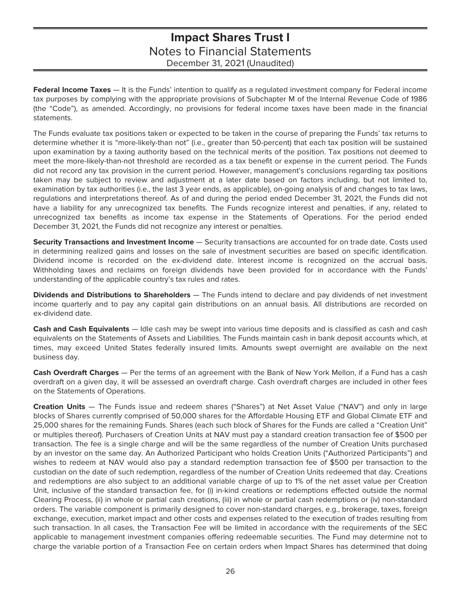**Federal Income Taxes** — It is the Funds' intention to qualify as a regulated investment company for Federal income tax purposes by complying with the appropriate provisions of Subchapter M of the Internal Revenue Code of 1986 (the "Code"), as amended. Accordingly, no provisions for federal income taxes have been made in the financial statements.

The Funds evaluate tax positions taken or expected to be taken in the course of preparing the Funds' tax returns to determine whether it is "more-likely-than not" (i.e., greater than 50-percent) that each tax position will be sustained upon examination by a taxing authority based on the technical merits of the position. Tax positions not deemed to meet the more-likely-than-not threshold are recorded as a tax benefit or expense in the current period. The Funds did not record any tax provision in the current period. However, management's conclusions regarding tax positions taken may be subject to review and adjustment at a later date based on factors including, but not limited to, examination by tax authorities (i.e., the last 3 year ends, as applicable), on-going analysis of and changes to tax laws, regulations and interpretations thereof. As of and during the period ended December 31, 2021, the Funds did not have a liability for any unrecognized tax benefits. The Funds recognize interest and penalties, if any, related to unrecognized tax benefits as income tax expense in the Statements of Operations. For the period ended December 31, 2021, the Funds did not recognize any interest or penalties.

**Security Transactions and Investment Income** — Security transactions are accounted for on trade date. Costs used in determining realized gains and losses on the sale of investment securities are based on specific identification. Dividend income is recorded on the ex-dividend date. Interest income is recognized on the accrual basis. Withholding taxes and reclaims on foreign dividends have been provided for in accordance with the Funds' understanding of the applicable country's tax rules and rates.

**Dividends and Distributions to Shareholders** — The Funds intend to declare and pay dividends of net investment income quarterly and to pay any capital gain distributions on an annual basis. All distributions are recorded on ex-dividend date.

**Cash and Cash Equivalents** — Idle cash may be swept into various time deposits and is classified as cash and cash equivalents on the Statements of Assets and Liabilities. The Funds maintain cash in bank deposit accounts which, at times, may exceed United States federally insured limits. Amounts swept overnight are available on the next business day.

**Cash Overdraft Charges** — Per the terms of an agreement with the Bank of New York Mellon, if a Fund has a cash overdraft on a given day, it will be assessed an overdraft charge. Cash overdraft charges are included in other fees on the Statements of Operations.

**Creation Units** — The Funds issue and redeem shares ("Shares") at Net Asset Value ("NAV") and only in large blocks of Shares currently comprised of 50,000 shares for the Affordable Housing ETF and Global Climate ETF and 25,000 shares for the remaining Funds. Shares (each such block of Shares for the Funds are called a "Creation Unit" or multiples thereof). Purchasers of Creation Units at NAV must pay a standard creation transaction fee of \$500 per transaction. The fee is a single charge and will be the same regardless of the number of Creation Units purchased by an investor on the same day. An Authorized Participant who holds Creation Units ("Authorized Participants") and wishes to redeem at NAV would also pay a standard redemption transaction fee of \$500 per transaction to the custodian on the date of such redemption, regardless of the number of Creation Units redeemed that day. Creations and redemptions are also subject to an additional variable charge of up to 1% of the net asset value per Creation Unit, inclusive of the standard transaction fee, for (i) in-kind creations or redemptions effected outside the normal Clearing Process, (ii) in whole or partial cash creations, (iii) in whole or partial cash redemptions or (iv) non-standard orders. The variable component is primarily designed to cover non-standard charges, e.g., brokerage, taxes, foreign exchange, execution, market impact and other costs and expenses related to the execution of trades resulting from such transaction. In all cases, the Transaction Fee will be limited in accordance with the requirements of the SEC applicable to management investment companies offering redeemable securities. The Fund may determine not to charge the variable portion of a Transaction Fee on certain orders when Impact Shares has determined that doing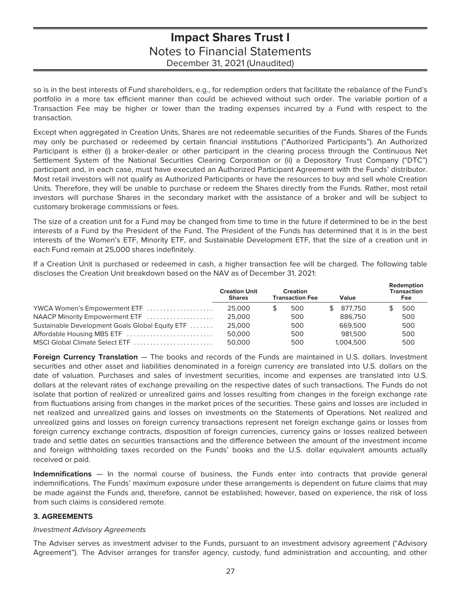so is in the best interests of Fund shareholders, e.g., for redemption orders that facilitate the rebalance of the Fund's portfolio in a more tax efficient manner than could be achieved without such order. The variable portion of a Transaction Fee may be higher or lower than the trading expenses incurred by a Fund with respect to the transaction.

Except when aggregated in Creation Units, Shares are not redeemable securities of the Funds. Shares of the Funds may only be purchased or redeemed by certain financial institutions ("Authorized Participants"). An Authorized Participant is either (i) a broker-dealer or other participant in the clearing process through the Continuous Net Settlement System of the National Securities Clearing Corporation or (ii) a Depository Trust Company ("DTC") participant and, in each case, must have executed an Authorized Participant Agreement with the Funds' distributor. Most retail investors will not qualify as Authorized Participants or have the resources to buy and sell whole Creation Units. Therefore, they will be unable to purchase or redeem the Shares directly from the Funds. Rather, most retail investors will purchase Shares in the secondary market with the assistance of a broker and will be subject to customary brokerage commissions or fees.

The size of a creation unit for a Fund may be changed from time to time in the future if determined to be in the best interests of a Fund by the President of the Fund. The President of the Funds has determined that it is in the best interests of the Women's ETF, Minority ETF, and Sustainable Development ETF, that the size of a creation unit in each Fund remain at 25,000 shares indefinitely.

If a Creation Unit is purchased or redeemed in cash, a higher transaction fee will be charged. The following table discloses the Creation Unit breakdown based on the NAV as of December 31, 2021:

|                                                 | <b>Creation Unit</b><br><b>Shares</b> |   | <b>Creation</b><br><b>Transaction Fee</b> | Value     | Redemption<br>Transaction<br><b>Fee</b> |
|-------------------------------------------------|---------------------------------------|---|-------------------------------------------|-----------|-----------------------------------------|
| YWCA Women's Empowerment ETF                    | 25.000                                | S | 500                                       | 877.750   | 500                                     |
| NAACP Minority Empowerment ETF                  | 25,000                                |   | 500                                       | 886,750   | 500                                     |
| Sustainable Development Goals Global Equity ETF | 25,000                                |   | 500                                       | 669.500   | 500                                     |
| Affordable Housing MBS ETF                      | 50,000                                |   | 500                                       | 981.500   | 500                                     |
| MSCI Global Climate Select ETF                  | 50,000                                |   | 500                                       | 1.004.500 | 500                                     |

**Foreign Currency Translation** — The books and records of the Funds are maintained in U.S. dollars. Investment securities and other asset and liabilities denominated in a foreign currency are translated into U.S. dollars on the date of valuation. Purchases and sales of investment securities, income and expenses are translated into U.S. dollars at the relevant rates of exchange prevailing on the respective dates of such transactions. The Funds do not isolate that portion of realized or unrealized gains and losses resulting from changes in the foreign exchange rate from fluctuations arising from changes in the market prices of the securities. These gains and losses are included in net realized and unrealized gains and losses on investments on the Statements of Operations. Net realized and unrealized gains and losses on foreign currency transactions represent net foreign exchange gains or losses from foreign currency exchange contracts, disposition of foreign currencies, currency gains or losses realized between trade and settle dates on securities transactions and the difference between the amount of the investment income and foreign withholding taxes recorded on the Funds' books and the U.S. dollar equivalent amounts actually received or paid.

**Indemnifications** — In the normal course of business, the Funds enter into contracts that provide general indemnifications. The Funds' maximum exposure under these arrangements is dependent on future claims that may be made against the Funds and, therefore, cannot be established; however, based on experience, the risk of loss from such claims is considered remote.

### **3. AGREEMENTS**

### Investment Advisory Agreements

The Adviser serves as investment adviser to the Funds, pursuant to an investment advisory agreement ("Advisory Agreement"). The Adviser arranges for transfer agency, custody, fund administration and accounting, and other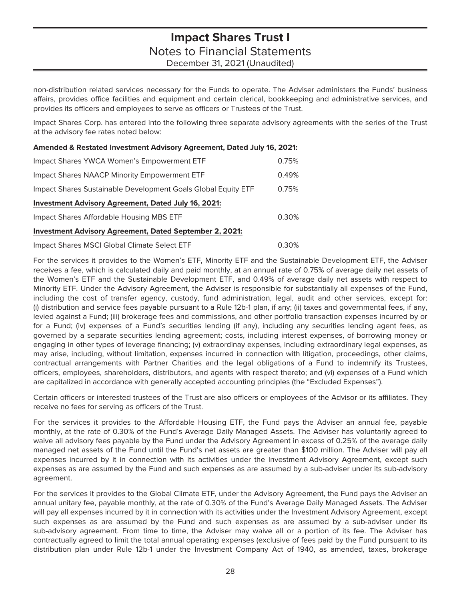non-distribution related services necessary for the Funds to operate. The Adviser administers the Funds' business affairs, provides office facilities and equipment and certain clerical, bookkeeping and administrative services, and provides its officers and employees to serve as officers or Trustees of the Trust.

Impact Shares Corp. has entered into the following three separate advisory agreements with the series of the Trust at the advisory fee rates noted below:

| Amended & Restated Investment Advisory Agreement, Dated July 16, 2021: |       |
|------------------------------------------------------------------------|-------|
| Impact Shares YWCA Women's Empowerment ETF                             | 0.75% |
| Impact Shares NAACP Minority Empowerment ETF                           | 0.49% |
| Impact Shares Sustainable Development Goals Global Equity ETF          | 0.75% |
| <b>Investment Advisory Agreement, Dated July 16, 2021:</b>             |       |
| Impact Shares Affordable Housing MBS ETF                               | 0.30% |
| <b>Investment Advisory Agreement, Dated September 2, 2021:</b>         |       |
| Impact Shares MSCI Global Climate Select ETF                           | 0.30% |

For the services it provides to the Women's ETF, Minority ETF and the Sustainable Development ETF, the Adviser receives a fee, which is calculated daily and paid monthly, at an annual rate of 0.75% of average daily net assets of the Women's ETF and the Sustainable Development ETF, and 0.49% of average daily net assets with respect to Minority ETF. Under the Advisory Agreement, the Adviser is responsible for substantially all expenses of the Fund, including the cost of transfer agency, custody, fund administration, legal, audit and other services, except for: (i) distribution and service fees payable pursuant to a Rule 12b-1 plan, if any; (ii) taxes and governmental fees, if any, levied against a Fund; (iii) brokerage fees and commissions, and other portfolio transaction expenses incurred by or for a Fund; (iv) expenses of a Fund's securities lending (if any), including any securities lending agent fees, as governed by a separate securities lending agreement; costs, including interest expenses, of borrowing money or engaging in other types of leverage financing; (v) extraordinay expenses, including extraordinary legal expenses, as may arise, including, without limitation, expenses incurred in connection with litigation, proceedings, other claims, contractual arrangements with Partner Charities and the legal obligations of a Fund to indemnify its Trustees, officers, employees, shareholders, distributors, and agents with respect thereto; and (vi) expenses of a Fund which are capitalized in accordance with generally accepted accounting principles (the "Excluded Expenses").

Certain officers or interested trustees of the Trust are also officers or employees of the Advisor or its affiliates. They receive no fees for serving as officers of the Trust.

For the services it provides to the Affordable Housing ETF, the Fund pays the Adviser an annual fee, payable monthly, at the rate of 0.30% of the Fund's Average Daily Managed Assets. The Adviser has voluntarily agreed to waive all advisory fees payable by the Fund under the Advisory Agreement in excess of 0.25% of the average daily managed net assets of the Fund until the Fund's net assets are greater than \$100 million. The Adviser will pay all expenses incurred by it in connection with its activities under the Investment Advisory Agreement, except such expenses as are assumed by the Fund and such expenses as are assumed by a sub-adviser under its sub-advisory agreement.

For the services it provides to the Global Climate ETF, under the Advisory Agreement, the Fund pays the Adviser an annual unitary fee, payable monthly, at the rate of 0.30% of the Fund's Average Daily Managed Assets. The Adviser will pay all expenses incurred by it in connection with its activities under the Investment Advisory Agreement, except such expenses as are assumed by the Fund and such expenses as are assumed by a sub-adviser under its sub-advisory agreement. From time to time, the Adviser may waive all or a portion of its fee. The Adviser has contractually agreed to limit the total annual operating expenses (exclusive of fees paid by the Fund pursuant to its distribution plan under Rule 12b-1 under the Investment Company Act of 1940, as amended, taxes, brokerage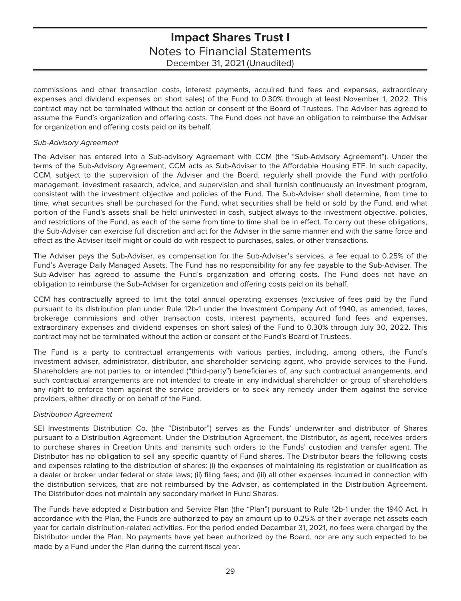commissions and other transaction costs, interest payments, acquired fund fees and expenses, extraordinary expenses and dividend expenses on short sales) of the Fund to 0.30% through at least November 1, 2022. This contract may not be terminated without the action or consent of the Board of Trustees. The Adviser has agreed to assume the Fund's organization and offering costs. The Fund does not have an obligation to reimburse the Adviser for organization and offering costs paid on its behalf.

### Sub-Advisory Agreement

The Adviser has entered into a Sub-advisory Agreement with CCM (the "Sub-Advisory Agreement"). Under the terms of the Sub-Advisory Agreement, CCM acts as Sub-Adviser to the Affordable Housing ETF. In such capacity, CCM, subject to the supervision of the Adviser and the Board, regularly shall provide the Fund with portfolio management, investment research, advice, and supervision and shall furnish continuously an investment program, consistent with the investment objective and policies of the Fund. The Sub-Adviser shall determine, from time to time, what securities shall be purchased for the Fund, what securities shall be held or sold by the Fund, and what portion of the Fund's assets shall be held uninvested in cash, subject always to the investment objective, policies, and restrictions of the Fund, as each of the same from time to time shall be in effect. To carry out these obligations, the Sub-Adviser can exercise full discretion and act for the Adviser in the same manner and with the same force and effect as the Adviser itself might or could do with respect to purchases, sales, or other transactions.

The Adviser pays the Sub-Adviser, as compensation for the Sub-Adviser's services, a fee equal to 0.25% of the Fund's Average Daily Managed Assets. The Fund has no responsibility for any fee payable to the Sub-Adviser. The Sub-Adviser has agreed to assume the Fund's organization and offering costs. The Fund does not have an obligation to reimburse the Sub-Adviser for organization and offering costs paid on its behalf.

CCM has contractually agreed to limit the total annual operating expenses (exclusive of fees paid by the Fund pursuant to its distribution plan under Rule 12b-1 under the Investment Company Act of 1940, as amended, taxes, brokerage commissions and other transaction costs, interest payments, acquired fund fees and expenses, extraordinary expenses and dividend expenses on short sales) of the Fund to 0.30% through July 30, 2022. This contract may not be terminated without the action or consent of the Fund's Board of Trustees.

The Fund is a party to contractual arrangements with various parties, including, among others, the Fund's investment adviser, administrator, distributor, and shareholder servicing agent, who provide services to the Fund. Shareholders are not parties to, or intended ("third-party") beneficiaries of, any such contractual arrangements, and such contractual arrangements are not intended to create in any individual shareholder or group of shareholders any right to enforce them against the service providers or to seek any remedy under them against the service providers, either directly or on behalf of the Fund.

### Distribution Agreement

SEI Investments Distribution Co. (the "Distributor") serves as the Funds' underwriter and distributor of Shares pursuant to a Distribution Agreement. Under the Distribution Agreement, the Distributor, as agent, receives orders to purchase shares in Creation Units and transmits such orders to the Funds' custodian and transfer agent. The Distributor has no obligation to sell any specific quantity of Fund shares. The Distributor bears the following costs and expenses relating to the distribution of shares: (i) the expenses of maintaining its registration or qualification as a dealer or broker under federal or state laws; (ii) filing fees; and (iii) all other expenses incurred in connection with the distribution services, that are not reimbursed by the Adviser, as contemplated in the Distribution Agreement. The Distributor does not maintain any secondary market in Fund Shares.

The Funds have adopted a Distribution and Service Plan (the "Plan") pursuant to Rule 12b-1 under the 1940 Act. In accordance with the Plan, the Funds are authorized to pay an amount up to 0.25% of their average net assets each year for certain distribution-related activities. For the period ended December 31, 2021, no fees were charged by the Distributor under the Plan. No payments have yet been authorized by the Board, nor are any such expected to be made by a Fund under the Plan during the current fiscal year.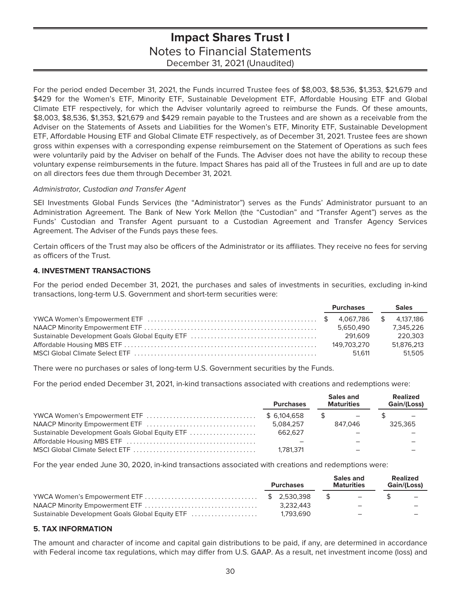For the period ended December 31, 2021, the Funds incurred Trustee fees of \$8,003, \$8,536, \$1,353, \$21,679 and \$429 for the Women's ETF, Minority ETF, Sustainable Development ETF, Affordable Housing ETF and Global Climate ETF respectively, for which the Adviser voluntarily agreed to reimburse the Funds. Of these amounts, \$8,003, \$8,536, \$1,353, \$21,679 and \$429 remain payable to the Trustees and are shown as a receivable from the Adviser on the Statements of Assets and Liabilities for the Women's ETF, Minority ETF, Sustainable Development ETF, Affordable Housing ETF and Global Climate ETF respectively, as of December 31, 2021. Trustee fees are shown gross within expenses with a corresponding expense reimbursement on the Statement of Operations as such fees were voluntarily paid by the Adviser on behalf of the Funds. The Adviser does not have the ability to recoup these voluntary expense reimbursements in the future. Impact Shares has paid all of the Trustees in full and are up to date on all directors fees due them through December 31, 2021.

### Administrator, Custodian and Transfer Agent

SEI Investments Global Funds Services (the "Administrator") serves as the Funds' Administrator pursuant to an Administration Agreement. The Bank of New York Mellon (the "Custodian" and "Transfer Agent") serves as the Funds' Custodian and Transfer Agent pursuant to a Custodian Agreement and Transfer Agency Services Agreement. The Adviser of the Funds pays these fees.

Certain officers of the Trust may also be officers of the Administrator or its affiliates. They receive no fees for serving as officers of the Trust.

### **4. INVESTMENT TRANSACTIONS**

For the period ended December 31, 2021, the purchases and sales of investments in securities, excluding in-kind transactions, long-term U.S. Government and short-term securities were:

|  | <b>Purchases</b> | <b>Sales</b> |
|--|------------------|--------------|
|  |                  |              |
|  | 5.650.490        | 7.345.226    |
|  | 291.609          | 220.303      |
|  | 149.703.270      | 51.876.213   |
|  | 51.611           | 51.505       |

There were no purchases or sales of long-term U.S. Government securities by the Funds.

For the period ended December 31, 2021, in-kind transactions associated with creations and redemptions were:

|                                                 | <b>Purchases</b> | Sales and<br><b>Maturities</b> | <b>Realized</b><br>Gain/(Loss) |
|-------------------------------------------------|------------------|--------------------------------|--------------------------------|
|                                                 | \$ 6.104.658     |                                |                                |
|                                                 | 5.084.257        | 847.046                        | 325.365                        |
| Sustainable Development Goals Global Equity ETF | 662.627          |                                |                                |
|                                                 |                  |                                |                                |
|                                                 | 1.781.371        |                                |                                |

For the year ended June 30, 2020, in-kind transactions associated with creations and redemptions were:

|                                                 | <b>Purchases</b> |              | Sales and<br><b>Maturities</b> | <b>Realized</b><br><b>Gain/(Loss)</b> |
|-------------------------------------------------|------------------|--------------|--------------------------------|---------------------------------------|
|                                                 |                  | $\mathbb{S}$ | $\overline{\phantom{0}}$       |                                       |
|                                                 | 3.232.443        |              | -                              |                                       |
| Sustainable Development Goals Global Equity ETF | 1.793.690        |              | -                              |                                       |

### **5. TAX INFORMATION**

The amount and character of income and capital gain distributions to be paid, if any, are determined in accordance with Federal income tax regulations, which may differ from U.S. GAAP. As a result, net investment income (loss) and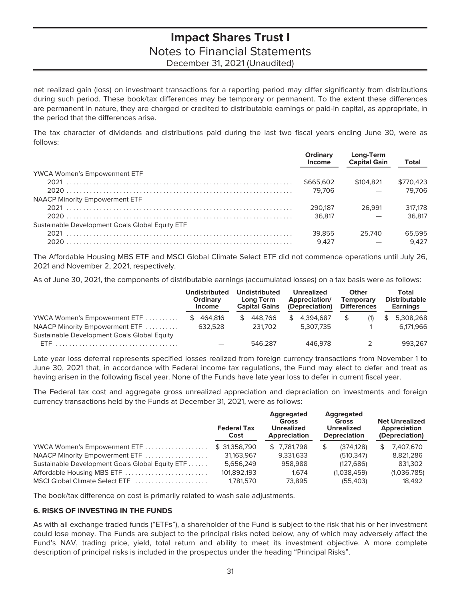net realized gain (loss) on investment transactions for a reporting period may differ significantly from distributions during such period. These book/tax differences may be temporary or permanent. To the extent these differences are permanent in nature, they are charged or credited to distributable earnings or paid-in capital, as appropriate, in the period that the differences arise.

The tax character of dividends and distributions paid during the last two fiscal years ending June 30, were as follows:

|                                                 | <b>Ordinary</b><br>Income | Long-Term<br><b>Capital Gain</b> | Total     |
|-------------------------------------------------|---------------------------|----------------------------------|-----------|
| <b>YWCA Women's Empowerment ETF</b>             |                           |                                  |           |
|                                                 | \$665,602                 | \$104.821                        | \$770.423 |
|                                                 | 79.706                    |                                  | 79.706    |
| <b>NAACP Minority Empowerment ETF</b>           |                           |                                  |           |
|                                                 | 290.187                   | 26.991                           | 317,178   |
|                                                 | 36.817                    |                                  | 36.817    |
| Sustainable Development Goals Global Equity ETF |                           |                                  |           |
|                                                 | 39.855                    | 25.740                           | 65.595    |
|                                                 | 9.427                     |                                  | 9.427     |

The Affordable Housing MBS ETF and MSCI Global Climate Select ETF did not commence operations until July 26, 2021 and November 2, 2021, respectively.

As of June 30, 2021, the components of distributable earnings (accumulated losses) on a tax basis were as follows:

|                                             | <b>Undistributed</b><br>Ordinary<br><b>Income</b> | Undistributed<br>Long Term<br><b>Capital Gains</b> | <b>Unrealized</b><br>Appreciation/<br>(Depreciation) | Other<br><b>Temporary</b><br><b>Differences</b> | <b>Total</b><br><b>Distributable</b><br><b>Earnings</b> |
|---------------------------------------------|---------------------------------------------------|----------------------------------------------------|------------------------------------------------------|-------------------------------------------------|---------------------------------------------------------|
| YWCA Women's Empowerment ETF                | 464.816                                           | 448.766                                            | 4.394.687                                            | (1)                                             | 5.308.268                                               |
| NAACP Minority Empowerment ETF              | 632.528                                           | 231,702                                            | 5.307.735                                            |                                                 | 6.171.966                                               |
| Sustainable Development Goals Global Equity |                                                   |                                                    |                                                      |                                                 |                                                         |
| FTF.                                        |                                                   | 546.287                                            | 446.978                                              |                                                 | 993.267                                                 |

Late year loss deferral represents specified losses realized from foreign currency transactions from November 1 to June 30, 2021 that, in accordance with Federal income tax regulations, the Fund may elect to defer and treat as having arisen in the following fiscal year. None of the Funds have late year loss to defer in current fiscal year.

The Federal tax cost and aggregate gross unrealized appreciation and depreciation on investments and foreign currency transactions held by the Funds at December 31, 2021, were as follows:

|                                                 | <b>Federal Tax</b><br>Cost | Aggregated<br><b>Gross</b><br><b>Unrealized</b><br>Appreciation | Aggregated<br><b>Gross</b><br><b>Unrealized</b><br><b>Depreciation</b> | <b>Net Unrealized</b><br>Appreciation<br>(Depreciation) |
|-------------------------------------------------|----------------------------|-----------------------------------------------------------------|------------------------------------------------------------------------|---------------------------------------------------------|
| YWCA Women's Empowerment ETF                    | \$31,358,790               | \$7.781.798                                                     | (374.128)                                                              | \$<br>7.407.670                                         |
| NAACP Minority Empowerment ETF                  | 31.163.967                 | 9.331.633                                                       | (510.347)                                                              | 8,821,286                                               |
| Sustainable Development Goals Global Equity ETF | 5.656.249                  | 958,988                                                         | (127, 686)                                                             | 831.302                                                 |
| Affordable Housing MBS ETF                      | 101,892,193                | 1.674                                                           | (1,038,459)                                                            | (1,036,785)                                             |
| MSCI Global Climate Select ETF                  | 1.781.570                  | 73.895                                                          | (55.403)                                                               | 18.492                                                  |

The book/tax difference on cost is primarily related to wash sale adjustments.

### **6. RISKS OF INVESTING IN THE FUNDS**

As with all exchange traded funds ("ETFs"), a shareholder of the Fund is subject to the risk that his or her investment could lose money. The Funds are subject to the principal risks noted below, any of which may adversely affect the Fund's NAV, trading price, yield, total return and ability to meet its investment objective. A more complete description of principal risks is included in the prospectus under the heading "Principal Risks".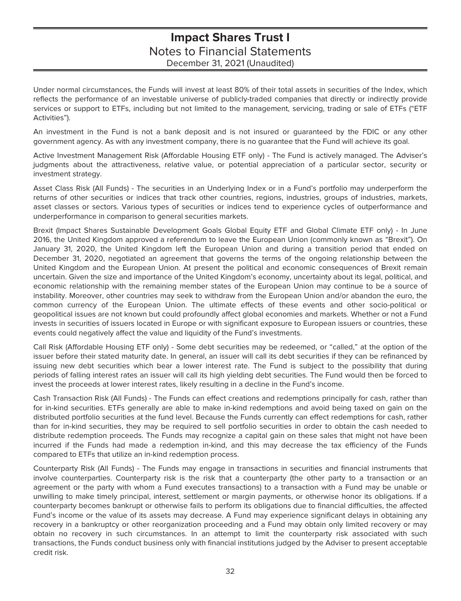Under normal circumstances, the Funds will invest at least 80% of their total assets in securities of the Index, which reflects the performance of an investable universe of publicly-traded companies that directly or indirectly provide services or support to ETFs, including but not limited to the management, servicing, trading or sale of ETFs ("ETF Activities").

An investment in the Fund is not a bank deposit and is not insured or guaranteed by the FDIC or any other government agency. As with any investment company, there is no guarantee that the Fund will achieve its goal.

Active Investment Management Risk (Affordable Housing ETF only) - The Fund is actively managed. The Adviser's judgments about the attractiveness, relative value, or potential appreciation of a particular sector, security or investment strategy.

Asset Class Risk (All Funds) - The securities in an Underlying Index or in a Fund's portfolio may underperform the returns of other securities or indices that track other countries, regions, industries, groups of industries, markets, asset classes or sectors. Various types of securities or indices tend to experience cycles of outperformance and underperformance in comparison to general securities markets.

Brexit (Impact Shares Sustainable Development Goals Global Equity ETF and Global Climate ETF only) - In June 2016, the United Kingdom approved a referendum to leave the European Union (commonly known as "Brexit"). On January 31, 2020, the United Kingdom left the European Union and during a transition period that ended on December 31, 2020, negotiated an agreement that governs the terms of the ongoing relationship between the United Kingdom and the European Union. At present the political and economic consequences of Brexit remain uncertain. Given the size and importance of the United Kingdom's economy, uncertainty about its legal, political, and economic relationship with the remaining member states of the European Union may continue to be a source of instability. Moreover, other countries may seek to withdraw from the European Union and/or abandon the euro, the common currency of the European Union. The ultimate effects of these events and other socio-political or geopolitical issues are not known but could profoundly affect global economies and markets. Whether or not a Fund invests in securities of issuers located in Europe or with significant exposure to European issuers or countries, these events could negatively affect the value and liquidity of the Fund's investments.

Call Risk (Affordable Housing ETF only) - Some debt securities may be redeemed, or "called," at the option of the issuer before their stated maturity date. In general, an issuer will call its debt securities if they can be refinanced by issuing new debt securities which bear a lower interest rate. The Fund is subject to the possibility that during periods of falling interest rates an issuer will call its high yielding debt securities. The Fund would then be forced to invest the proceeds at lower interest rates, likely resulting in a decline in the Fund's income.

Cash Transaction Risk (All Funds) - The Funds can effect creations and redemptions principally for cash, rather than for in-kind securities. ETFs generally are able to make in-kind redemptions and avoid being taxed on gain on the distributed portfolio securities at the fund level. Because the Funds currently can effect redemptions for cash, rather than for in-kind securities, they may be required to sell portfolio securities in order to obtain the cash needed to distribute redemption proceeds. The Funds may recognize a capital gain on these sales that might not have been incurred if the Funds had made a redemption in-kind, and this may decrease the tax efficiency of the Funds compared to ETFs that utilize an in-kind redemption process.

Counterparty Risk (All Funds) - The Funds may engage in transactions in securities and financial instruments that involve counterparties. Counterparty risk is the risk that a counterparty (the other party to a transaction or an agreement or the party with whom a Fund executes transactions) to a transaction with a Fund may be unable or unwilling to make timely principal, interest, settlement or margin payments, or otherwise honor its obligations. If a counterparty becomes bankrupt or otherwise fails to perform its obligations due to financial difficulties, the affected Fund's income or the value of its assets may decrease. A Fund may experience significant delays in obtaining any recovery in a bankruptcy or other reorganization proceeding and a Fund may obtain only limited recovery or may obtain no recovery in such circumstances. In an attempt to limit the counterparty risk associated with such transactions, the Funds conduct business only with financial institutions judged by the Adviser to present acceptable credit risk.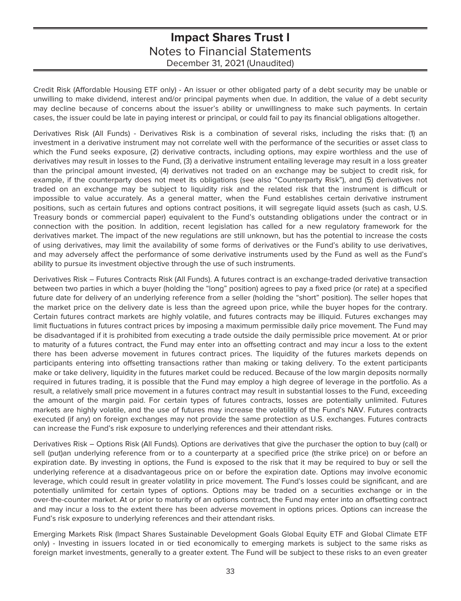Credit Risk (Affordable Housing ETF only) - An issuer or other obligated party of a debt security may be unable or unwilling to make dividend, interest and/or principal payments when due. In addition, the value of a debt security may decline because of concerns about the issuer's ability or unwillingness to make such payments. In certain cases, the issuer could be late in paying interest or principal, or could fail to pay its financial obligations altogether.

Derivatives Risk (All Funds) - Derivatives Risk is a combination of several risks, including the risks that: (1) an investment in a derivative instrument may not correlate well with the performance of the securities or asset class to which the Fund seeks exposure, (2) derivative contracts, including options, may expire worthless and the use of derivatives may result in losses to the Fund, (3) a derivative instrument entailing leverage may result in a loss greater than the principal amount invested, (4) derivatives not traded on an exchange may be subject to credit risk, for example, if the counterparty does not meet its obligations (see also "Counterparty Risk"), and (5) derivatives not traded on an exchange may be subject to liquidity risk and the related risk that the instrument is difficult or impossible to value accurately. As a general matter, when the Fund establishes certain derivative instrument positions, such as certain futures and options contract positions, it will segregate liquid assets (such as cash, U.S. Treasury bonds or commercial paper) equivalent to the Fund's outstanding obligations under the contract or in connection with the position. In addition, recent legislation has called for a new regulatory framework for the derivatives market. The impact of the new regulations are still unknown, but has the potential to increase the costs of using derivatives, may limit the availability of some forms of derivatives or the Fund's ability to use derivatives, and may adversely affect the performance of some derivative instruments used by the Fund as well as the Fund's ability to pursue its investment objective through the use of such instruments.

Derivatives Risk – Futures Contracts Risk (All Funds). A futures contract is an exchange-traded derivative transaction between two parties in which a buyer (holding the "long" position) agrees to pay a fixed price (or rate) at a specified future date for delivery of an underlying reference from a seller (holding the "short" position). The seller hopes that the market price on the delivery date is less than the agreed upon price, while the buyer hopes for the contrary. Certain futures contract markets are highly volatile, and futures contracts may be illiquid. Futures exchanges may limit fluctuations in futures contract prices by imposing a maximum permissible daily price movement. The Fund may be disadvantaged if it is prohibited from executing a trade outside the daily permissible price movement. At or prior to maturity of a futures contract, the Fund may enter into an offsetting contract and may incur a loss to the extent there has been adverse movement in futures contract prices. The liquidity of the futures markets depends on participants entering into offsetting transactions rather than making or taking delivery. To the extent participants make or take delivery, liquidity in the futures market could be reduced. Because of the low margin deposits normally required in futures trading, it is possible that the Fund may employ a high degree of leverage in the portfolio. As a result, a relatively small price movement in a futures contract may result in substantial losses to the Fund, exceeding the amount of the margin paid. For certain types of futures contracts, losses are potentially unlimited. Futures markets are highly volatile, and the use of futures may increase the volatility of the Fund's NAV. Futures contracts executed (if any) on foreign exchanges may not provide the same protection as U.S. exchanges. Futures contracts can increase the Fund's risk exposure to underlying references and their attendant risks.

Derivatives Risk – Options Risk (All Funds). Options are derivatives that give the purchaser the option to buy (call) or sell (put)an underlying reference from or to a counterparty at a specified price (the strike price) on or before an expiration date. By investing in options, the Fund is exposed to the risk that it may be required to buy or sell the underlying reference at a disadvantageous price on or before the expiration date. Options may involve economic leverage, which could result in greater volatility in price movement. The Fund's losses could be significant, and are potentially unlimited for certain types of options. Options may be traded on a securities exchange or in the over-the-counter market. At or prior to maturity of an options contract, the Fund may enter into an offsetting contract and may incur a loss to the extent there has been adverse movement in options prices. Options can increase the Fund's risk exposure to underlying references and their attendant risks.

Emerging Markets Risk (Impact Shares Sustainable Development Goals Global Equity ETF and Global Climate ETF only) - Investing in issuers located in or tied economically to emerging markets is subject to the same risks as foreign market investments, generally to a greater extent. The Fund will be subject to these risks to an even greater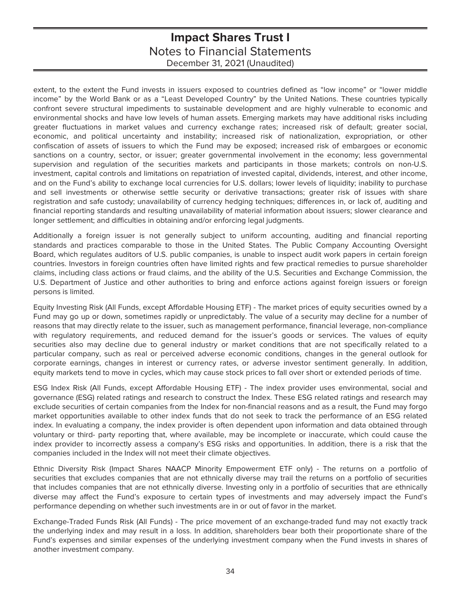extent, to the extent the Fund invests in issuers exposed to countries defined as "low income" or "lower middle income" by the World Bank or as a "Least Developed Country" by the United Nations. These countries typically confront severe structural impediments to sustainable development and are highly vulnerable to economic and environmental shocks and have low levels of human assets. Emerging markets may have additional risks including greater fluctuations in market values and currency exchange rates; increased risk of default; greater social, economic, and political uncertainty and instability; increased risk of nationalization, expropriation, or other confiscation of assets of issuers to which the Fund may be exposed; increased risk of embargoes or economic sanctions on a country, sector, or issuer; greater governmental involvement in the economy; less governmental supervision and regulation of the securities markets and participants in those markets; controls on non-U.S. investment, capital controls and limitations on repatriation of invested capital, dividends, interest, and other income, and on the Fund's ability to exchange local currencies for U.S. dollars; lower levels of liquidity; inability to purchase and sell investments or otherwise settle security or derivative transactions; greater risk of issues with share registration and safe custody; unavailability of currency hedging techniques; differences in, or lack of, auditing and financial reporting standards and resulting unavailability of material information about issuers; slower clearance and longer settlement; and difficulties in obtaining and/or enforcing legal judgments.

Additionally a foreign issuer is not generally subject to uniform accounting, auditing and financial reporting standards and practices comparable to those in the United States. The Public Company Accounting Oversight Board, which regulates auditors of U.S. public companies, is unable to inspect audit work papers in certain foreign countries. Investors in foreign countries often have limited rights and few practical remedies to pursue shareholder claims, including class actions or fraud claims, and the ability of the U.S. Securities and Exchange Commission, the U.S. Department of Justice and other authorities to bring and enforce actions against foreign issuers or foreign persons is limited.

Equity Investing Risk (All Funds, except Affordable Housing ETF) - The market prices of equity securities owned by a Fund may go up or down, sometimes rapidly or unpredictably. The value of a security may decline for a number of reasons that may directly relate to the issuer, such as management performance, financial leverage, non-compliance with regulatory requirements, and reduced demand for the issuer's goods or services. The values of equity securities also may decline due to general industry or market conditions that are not specifically related to a particular company, such as real or perceived adverse economic conditions, changes in the general outlook for corporate earnings, changes in interest or currency rates, or adverse investor sentiment generally. In addition, equity markets tend to move in cycles, which may cause stock prices to fall over short or extended periods of time.

ESG Index Risk (All Funds, except Affordable Housing ETF) - The index provider uses environmental, social and governance (ESG) related ratings and research to construct the Index. These ESG related ratings and research may exclude securities of certain companies from the Index for non-financial reasons and as a result, the Fund may forgo market opportunities available to other index funds that do not seek to track the performance of an ESG related index. In evaluating a company, the index provider is often dependent upon information and data obtained through voluntary or third- party reporting that, where available, may be incomplete or inaccurate, which could cause the index provider to incorrectly assess a company's ESG risks and opportunities. In addition, there is a risk that the companies included in the Index will not meet their climate objectives.

Ethnic Diversity Risk (Impact Shares NAACP Minority Empowerment ETF only) - The returns on a portfolio of securities that excludes companies that are not ethnically diverse may trail the returns on a portfolio of securities that includes companies that are not ethnically diverse. Investing only in a portfolio of securities that are ethnically diverse may affect the Fund's exposure to certain types of investments and may adversely impact the Fund's performance depending on whether such investments are in or out of favor in the market.

Exchange-Traded Funds Risk (All Funds) - The price movement of an exchange-traded fund may not exactly track the underlying index and may result in a loss. In addition, shareholders bear both their proportionate share of the Fund's expenses and similar expenses of the underlying investment company when the Fund invests in shares of another investment company.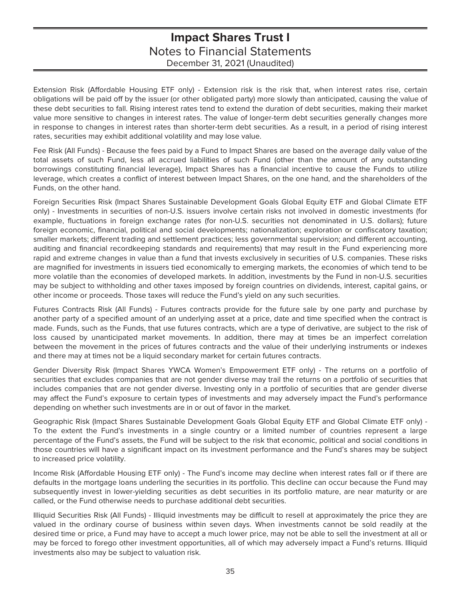Extension Risk (Affordable Housing ETF only) - Extension risk is the risk that, when interest rates rise, certain obligations will be paid off by the issuer (or other obligated party) more slowly than anticipated, causing the value of these debt securities to fall. Rising interest rates tend to extend the duration of debt securities, making their market value more sensitive to changes in interest rates. The value of longer-term debt securities generally changes more in response to changes in interest rates than shorter-term debt securities. As a result, in a period of rising interest rates, securities may exhibit additional volatility and may lose value.

Fee Risk (All Funds) - Because the fees paid by a Fund to Impact Shares are based on the average daily value of the total assets of such Fund, less all accrued liabilities of such Fund (other than the amount of any outstanding borrowings constituting financial leverage), Impact Shares has a financial incentive to cause the Funds to utilize leverage, which creates a conflict of interest between Impact Shares, on the one hand, and the shareholders of the Funds, on the other hand.

Foreign Securities Risk (Impact Shares Sustainable Development Goals Global Equity ETF and Global Climate ETF only) - Investments in securities of non-U.S. issuers involve certain risks not involved in domestic investments (for example, fluctuations in foreign exchange rates (for non-U.S. securities not denominated in U.S. dollars); future foreign economic, financial, political and social developments; nationalization; exploration or confiscatory taxation; smaller markets; different trading and settlement practices; less governmental supervision; and different accounting, auditing and financial recordkeeping standards and requirements) that may result in the Fund experiencing more rapid and extreme changes in value than a fund that invests exclusively in securities of U.S. companies. These risks are magnified for investments in issuers tied economically to emerging markets, the economies of which tend to be more volatile than the economies of developed markets. In addition, investments by the Fund in non-U.S. securities may be subject to withholding and other taxes imposed by foreign countries on dividends, interest, capital gains, or other income or proceeds. Those taxes will reduce the Fund's yield on any such securities.

Futures Contracts Risk (All Funds) - Futures contracts provide for the future sale by one party and purchase by another party of a specified amount of an underlying asset at a price, date and time specified when the contract is made. Funds, such as the Funds, that use futures contracts, which are a type of derivative, are subject to the risk of loss caused by unanticipated market movements. In addition, there may at times be an imperfect correlation between the movement in the prices of futures contracts and the value of their underlying instruments or indexes and there may at times not be a liquid secondary market for certain futures contracts.

Gender Diversity Risk (Impact Shares YWCA Women's Empowerment ETF only) - The returns on a portfolio of securities that excludes companies that are not gender diverse may trail the returns on a portfolio of securities that includes companies that are not gender diverse. Investing only in a portfolio of securities that are gender diverse may affect the Fund's exposure to certain types of investments and may adversely impact the Fund's performance depending on whether such investments are in or out of favor in the market.

Geographic Risk (Impact Shares Sustainable Development Goals Global Equity ETF and Global Climate ETF only) - To the extent the Fund's investments in a single country or a limited number of countries represent a large percentage of the Fund's assets, the Fund will be subject to the risk that economic, political and social conditions in those countries will have a significant impact on its investment performance and the Fund's shares may be subject to increased price volatility.

Income Risk (Affordable Housing ETF only) - The Fund's income may decline when interest rates fall or if there are defaults in the mortgage loans underling the securities in its portfolio. This decline can occur because the Fund may subsequently invest in lower-yielding securities as debt securities in its portfolio mature, are near maturity or are called, or the Fund otherwise needs to purchase additional debt securities.

Illiquid Securities Risk (All Funds) - Illiquid investments may be difficult to resell at approximately the price they are valued in the ordinary course of business within seven days. When investments cannot be sold readily at the desired time or price, a Fund may have to accept a much lower price, may not be able to sell the investment at all or may be forced to forego other investment opportunities, all of which may adversely impact a Fund's returns. Illiquid investments also may be subject to valuation risk.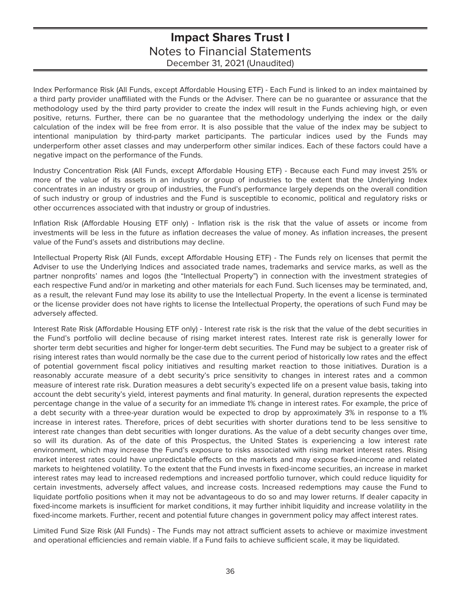Index Performance Risk (All Funds, except Affordable Housing ETF) - Each Fund is linked to an index maintained by a third party provider unaffiliated with the Funds or the Adviser. There can be no guarantee or assurance that the methodology used by the third party provider to create the index will result in the Funds achieving high, or even positive, returns. Further, there can be no guarantee that the methodology underlying the index or the daily calculation of the index will be free from error. It is also possible that the value of the index may be subject to intentional manipulation by third-party market participants. The particular indices used by the Funds may underperform other asset classes and may underperform other similar indices. Each of these factors could have a negative impact on the performance of the Funds.

Industry Concentration Risk (All Funds, except Affordable Housing ETF) - Because each Fund may invest 25% or more of the value of its assets in an industry or group of industries to the extent that the Underlying Index concentrates in an industry or group of industries, the Fund's performance largely depends on the overall condition of such industry or group of industries and the Fund is susceptible to economic, political and regulatory risks or other occurrences associated with that industry or group of industries.

Inflation Risk (Affordable Housing ETF only) - Inflation risk is the risk that the value of assets or income from investments will be less in the future as inflation decreases the value of money. As inflation increases, the present value of the Fund's assets and distributions may decline.

Intellectual Property Risk (All Funds, except Affordable Housing ETF) - The Funds rely on licenses that permit the Adviser to use the Underlying Indices and associated trade names, trademarks and service marks, as well as the partner nonprofits' names and logos (the "Intellectual Property") in connection with the investment strategies of each respective Fund and/or in marketing and other materials for each Fund. Such licenses may be terminated, and, as a result, the relevant Fund may lose its ability to use the Intellectual Property. In the event a license is terminated or the license provider does not have rights to license the Intellectual Property, the operations of such Fund may be adversely affected.

Interest Rate Risk (Affordable Housing ETF only) - Interest rate risk is the risk that the value of the debt securities in the Fund's portfolio will decline because of rising market interest rates. Interest rate risk is generally lower for shorter term debt securities and higher for longer-term debt securities. The Fund may be subject to a greater risk of rising interest rates than would normally be the case due to the current period of historically low rates and the effect of potential government fiscal policy initiatives and resulting market reaction to those initiatives. Duration is a reasonably accurate measure of a debt security's price sensitivity to changes in interest rates and a common measure of interest rate risk. Duration measures a debt security's expected life on a present value basis, taking into account the debt security's yield, interest payments and final maturity. In general, duration represents the expected percentage change in the value of a security for an immediate 1% change in interest rates. For example, the price of a debt security with a three-year duration would be expected to drop by approximately 3% in response to a 1% increase in interest rates. Therefore, prices of debt securities with shorter durations tend to be less sensitive to interest rate changes than debt securities with longer durations. As the value of a debt security changes over time, so will its duration. As of the date of this Prospectus, the United States is experiencing a low interest rate environment, which may increase the Fund's exposure to risks associated with rising market interest rates. Rising market interest rates could have unpredictable effects on the markets and may expose fixed-income and related markets to heightened volatility. To the extent that the Fund invests in fixed-income securities, an increase in market interest rates may lead to increased redemptions and increased portfolio turnover, which could reduce liquidity for certain investments, adversely affect values, and increase costs. Increased redemptions may cause the Fund to liquidate portfolio positions when it may not be advantageous to do so and may lower returns. If dealer capacity in fixed-income markets is insufficient for market conditions, it may further inhibit liquidity and increase volatility in the fixed-income markets. Further, recent and potential future changes in government policy may affect interest rates.

Limited Fund Size Risk (All Funds) - The Funds may not attract sufficient assets to achieve or maximize investment and operational efficiencies and remain viable. If a Fund fails to achieve sufficient scale, it may be liquidated.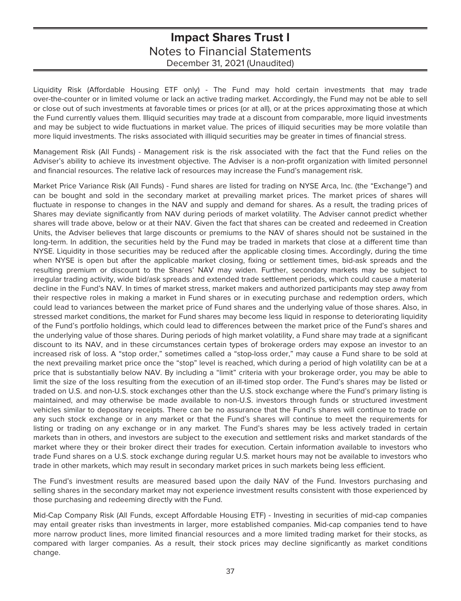Liquidity Risk (Affordable Housing ETF only) - The Fund may hold certain investments that may trade over-the-counter or in limited volume or lack an active trading market. Accordingly, the Fund may not be able to sell or close out of such investments at favorable times or prices (or at all), or at the prices approximating those at which the Fund currently values them. Illiquid securities may trade at a discount from comparable, more liquid investments and may be subject to wide fluctuations in market value. The prices of illiquid securities may be more volatile than more liquid investments. The risks associated with illiquid securities may be greater in times of financial stress.

Management Risk (All Funds) - Management risk is the risk associated with the fact that the Fund relies on the Adviser's ability to achieve its investment objective. The Adviser is a non-profit organization with limited personnel and financial resources. The relative lack of resources may increase the Fund's management risk.

Market Price Variance Risk (All Funds) - Fund shares are listed for trading on NYSE Arca, Inc. (the "Exchange") and can be bought and sold in the secondary market at prevailing market prices. The market prices of shares will fluctuate in response to changes in the NAV and supply and demand for shares. As a result, the trading prices of Shares may deviate significantly from NAV during periods of market volatility. The Adviser cannot predict whether shares will trade above, below or at their NAV. Given the fact that shares can be created and redeemed in Creation Units, the Adviser believes that large discounts or premiums to the NAV of shares should not be sustained in the long-term. In addition, the securities held by the Fund may be traded in markets that close at a different time than NYSE. Liquidity in those securities may be reduced after the applicable closing times. Accordingly, during the time when NYSE is open but after the applicable market closing, fixing or settlement times, bid-ask spreads and the resulting premium or discount to the Shares' NAV may widen. Further, secondary markets may be subject to irregular trading activity, wide bid/ask spreads and extended trade settlement periods, which could cause a material decline in the Fund's NAV. In times of market stress, market makers and authorized participants may step away from their respective roles in making a market in Fund shares or in executing purchase and redemption orders, which could lead to variances between the market price of Fund shares and the underlying value of those shares. Also, in stressed market conditions, the market for Fund shares may become less liquid in response to deteriorating liquidity of the Fund's portfolio holdings, which could lead to differences between the market price of the Fund's shares and the underlying value of those shares. During periods of high market volatility, a Fund share may trade at a significant discount to its NAV, and in these circumstances certain types of brokerage orders may expose an investor to an increased risk of loss. A "stop order," sometimes called a "stop-loss order," may cause a Fund share to be sold at the next prevailing market price once the "stop" level is reached, which during a period of high volatility can be at a price that is substantially below NAV. By including a "limit" criteria with your brokerage order, you may be able to limit the size of the loss resulting from the execution of an ill-timed stop order. The Fund's shares may be listed or traded on U.S. and non-U.S. stock exchanges other than the U.S. stock exchange where the Fund's primary listing is maintained, and may otherwise be made available to non-U.S. investors through funds or structured investment vehicles similar to depositary receipts. There can be no assurance that the Fund's shares will continue to trade on any such stock exchange or in any market or that the Fund's shares will continue to meet the requirements for listing or trading on any exchange or in any market. The Fund's shares may be less actively traded in certain markets than in others, and investors are subject to the execution and settlement risks and market standards of the market where they or their broker direct their trades for execution. Certain information available to investors who trade Fund shares on a U.S. stock exchange during regular U.S. market hours may not be available to investors who trade in other markets, which may result in secondary market prices in such markets being less efficient.

The Fund's investment results are measured based upon the daily NAV of the Fund. Investors purchasing and selling shares in the secondary market may not experience investment results consistent with those experienced by those purchasing and redeeming directly with the Fund.

Mid-Cap Company Risk (All Funds, except Affordable Housing ETF) - Investing in securities of mid-cap companies may entail greater risks than investments in larger, more established companies. Mid-cap companies tend to have more narrow product lines, more limited financial resources and a more limited trading market for their stocks, as compared with larger companies. As a result, their stock prices may decline significantly as market conditions change.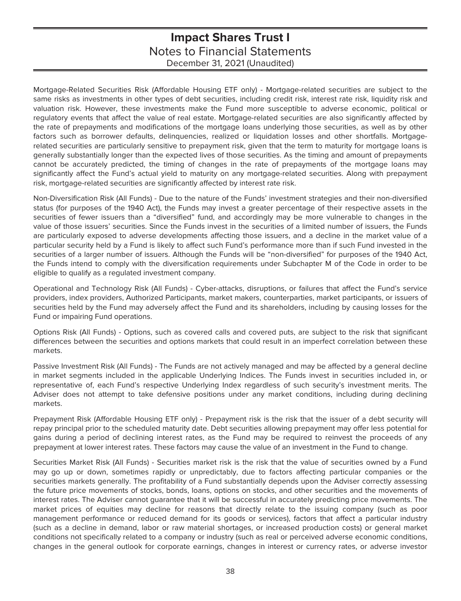Mortgage-Related Securities Risk (Affordable Housing ETF only) - Mortgage-related securities are subject to the same risks as investments in other types of debt securities, including credit risk, interest rate risk, liquidity risk and valuation risk. However, these investments make the Fund more susceptible to adverse economic, political or regulatory events that affect the value of real estate. Mortgage-related securities are also significantly affected by the rate of prepayments and modifications of the mortgage loans underlying those securities, as well as by other factors such as borrower defaults, delinquencies, realized or liquidation losses and other shortfalls. Mortgagerelated securities are particularly sensitive to prepayment risk, given that the term to maturity for mortgage loans is generally substantially longer than the expected lives of those securities. As the timing and amount of prepayments cannot be accurately predicted, the timing of changes in the rate of prepayments of the mortgage loans may significantly affect the Fund's actual yield to maturity on any mortgage-related securities. Along with prepayment risk, mortgage-related securities are significantly affected by interest rate risk.

Non-Diversification Risk (All Funds) - Due to the nature of the Funds' investment strategies and their non-diversified status (for purposes of the 1940 Act), the Funds may invest a greater percentage of their respective assets in the securities of fewer issuers than a "diversified" fund, and accordingly may be more vulnerable to changes in the value of those issuers' securities. Since the Funds invest in the securities of a limited number of issuers, the Funds are particularly exposed to adverse developments affecting those issuers, and a decline in the market value of a particular security held by a Fund is likely to affect such Fund's performance more than if such Fund invested in the securities of a larger number of issuers. Although the Funds will be "non-diversified" for purposes of the 1940 Act, the Funds intend to comply with the diversification requirements under Subchapter M of the Code in order to be eligible to qualify as a regulated investment company.

Operational and Technology Risk (All Funds) - Cyber-attacks, disruptions, or failures that affect the Fund's service providers, index providers, Authorized Participants, market makers, counterparties, market participants, or issuers of securities held by the Fund may adversely affect the Fund and its shareholders, including by causing losses for the Fund or impairing Fund operations.

Options Risk (All Funds) - Options, such as covered calls and covered puts, are subject to the risk that significant differences between the securities and options markets that could result in an imperfect correlation between these markets.

Passive Investment Risk (All Funds) - The Funds are not actively managed and may be affected by a general decline in market segments included in the applicable Underlying Indices. The Funds invest in securities included in, or representative of, each Fund's respective Underlying Index regardless of such security's investment merits. The Adviser does not attempt to take defensive positions under any market conditions, including during declining markets.

Prepayment Risk (Affordable Housing ETF only) - Prepayment risk is the risk that the issuer of a debt security will repay principal prior to the scheduled maturity date. Debt securities allowing prepayment may offer less potential for gains during a period of declining interest rates, as the Fund may be required to reinvest the proceeds of any prepayment at lower interest rates. These factors may cause the value of an investment in the Fund to change.

Securities Market Risk (All Funds) - Securities market risk is the risk that the value of securities owned by a Fund may go up or down, sometimes rapidly or unpredictably, due to factors affecting particular companies or the securities markets generally. The profitability of a Fund substantially depends upon the Adviser correctly assessing the future price movements of stocks, bonds, loans, options on stocks, and other securities and the movements of interest rates. The Adviser cannot guarantee that it will be successful in accurately predicting price movements. The market prices of equities may decline for reasons that directly relate to the issuing company (such as poor management performance or reduced demand for its goods or services), factors that affect a particular industry (such as a decline in demand, labor or raw material shortages, or increased production costs) or general market conditions not specifically related to a company or industry (such as real or perceived adverse economic conditions, changes in the general outlook for corporate earnings, changes in interest or currency rates, or adverse investor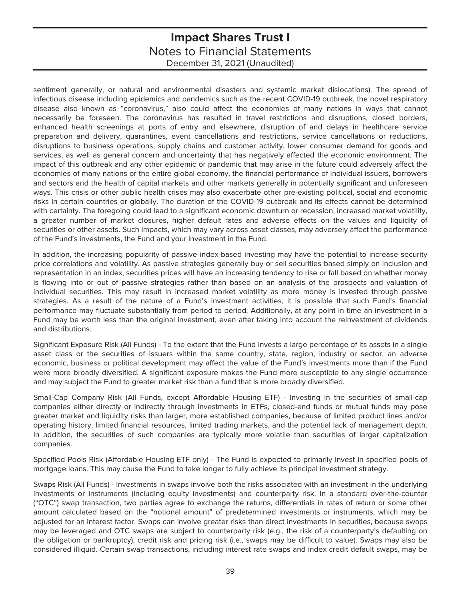sentiment generally, or natural and environmental disasters and systemic market dislocations). The spread of infectious disease including epidemics and pandemics such as the recent COVID-19 outbreak, the novel respiratory disease also known as "coronavirus," also could affect the economies of many nations in ways that cannot necessarily be foreseen. The coronavirus has resulted in travel restrictions and disruptions, closed borders, enhanced health screenings at ports of entry and elsewhere, disruption of and delays in healthcare service preparation and delivery, quarantines, event cancellations and restrictions, service cancellations or reductions, disruptions to business operations, supply chains and customer activity, lower consumer demand for goods and services, as well as general concern and uncertainty that has negatively affected the economic environment. The impact of this outbreak and any other epidemic or pandemic that may arise in the future could adversely affect the economies of many nations or the entire global economy, the financial performance of individual issuers, borrowers and sectors and the health of capital markets and other markets generally in potentially significant and unforeseen ways. This crisis or other public health crises may also exacerbate other pre-existing political, social and economic risks in certain countries or globally. The duration of the COVID-19 outbreak and its effects cannot be determined with certainty. The foregoing could lead to a significant economic downturn or recession, increased market volatility, a greater number of market closures, higher default rates and adverse effects on the values and liquidity of securities or other assets. Such impacts, which may vary across asset classes, may adversely affect the performance of the Fund's investments, the Fund and your investment in the Fund.

In addition, the increasing popularity of passive index-based investing may have the potential to increase security price correlations and volatility. As passive strategies generally buy or sell securities based simply on inclusion and representation in an index, securities prices will have an increasing tendency to rise or fall based on whether money is flowing into or out of passive strategies rather than based on an analysis of the prospects and valuation of individual securities. This may result in increased market volatility as more money is invested through passive strategies. As a result of the nature of a Fund's investment activities, it is possible that such Fund's financial performance may fluctuate substantially from period to period. Additionally, at any point in time an investment in a Fund may be worth less than the original investment, even after taking into account the reinvestment of dividends and distributions.

Significant Exposure Risk (All Funds) - To the extent that the Fund invests a large percentage of its assets in a single asset class or the securities of issuers within the same country, state, region, industry or sector, an adverse economic, business or political development may affect the value of the Fund's investments more than if the Fund were more broadly diversified. A significant exposure makes the Fund more susceptible to any single occurrence and may subject the Fund to greater market risk than a fund that is more broadly diversified.

Small-Cap Company Risk (All Funds, except Affordable Housing ETF) - Investing in the securities of small-cap companies either directly or indirectly through investments in ETFs, closed-end funds or mutual funds may pose greater market and liquidity risks than larger, more established companies, because of limited product lines and/or operating history, limited financial resources, limited trading markets, and the potential lack of management depth. In addition, the securities of such companies are typically more volatile than securities of larger capitalization companies.

Specified Pools Risk (Affordable Housing ETF only) - The Fund is expected to primarily invest in specified pools of mortgage loans. This may cause the Fund to take longer to fully achieve its principal investment strategy.

Swaps Risk (All Funds) - Investments in swaps involve both the risks associated with an investment in the underlying investments or instruments (including equity investments) and counterparty risk. In a standard over-the-counter ("OTC") swap transaction, two parties agree to exchange the returns, differentials in rates of return or some other amount calculated based on the "notional amount" of predetermined investments or instruments, which may be adjusted for an interest factor. Swaps can involve greater risks than direct investments in securities, because swaps may be leveraged and OTC swaps are subject to counterparty risk (e.g., the risk of a counterparty's defaulting on the obligation or bankruptcy), credit risk and pricing risk (i.e., swaps may be difficult to value). Swaps may also be considered illiquid. Certain swap transactions, including interest rate swaps and index credit default swaps, may be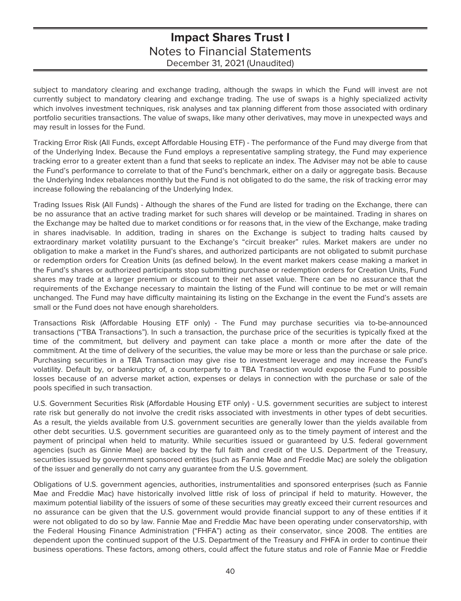subject to mandatory clearing and exchange trading, although the swaps in which the Fund will invest are not currently subject to mandatory clearing and exchange trading. The use of swaps is a highly specialized activity which involves investment techniques, risk analyses and tax planning different from those associated with ordinary portfolio securities transactions. The value of swaps, like many other derivatives, may move in unexpected ways and may result in losses for the Fund.

Tracking Error Risk (All Funds, except Affordable Housing ETF) - The performance of the Fund may diverge from that of the Underlying Index. Because the Fund employs a representative sampling strategy, the Fund may experience tracking error to a greater extent than a fund that seeks to replicate an index. The Adviser may not be able to cause the Fund's performance to correlate to that of the Fund's benchmark, either on a daily or aggregate basis. Because the Underlying Index rebalances monthly but the Fund is not obligated to do the same, the risk of tracking error may increase following the rebalancing of the Underlying Index.

Trading Issues Risk (All Funds) - Although the shares of the Fund are listed for trading on the Exchange, there can be no assurance that an active trading market for such shares will develop or be maintained. Trading in shares on the Exchange may be halted due to market conditions or for reasons that, in the view of the Exchange, make trading in shares inadvisable. In addition, trading in shares on the Exchange is subject to trading halts caused by extraordinary market volatility pursuant to the Exchange's "circuit breaker" rules. Market makers are under no obligation to make a market in the Fund's shares, and authorized participants are not obligated to submit purchase or redemption orders for Creation Units (as defined below). In the event market makers cease making a market in the Fund's shares or authorized participants stop submitting purchase or redemption orders for Creation Units, Fund shares may trade at a larger premium or discount to their net asset value. There can be no assurance that the requirements of the Exchange necessary to maintain the listing of the Fund will continue to be met or will remain unchanged. The Fund may have difficulty maintaining its listing on the Exchange in the event the Fund's assets are small or the Fund does not have enough shareholders.

Transactions Risk (Affordable Housing ETF only) - The Fund may purchase securities via to-be-announced transactions ("TBA Transactions"). In such a transaction, the purchase price of the securities is typically fixed at the time of the commitment, but delivery and payment can take place a month or more after the date of the commitment. At the time of delivery of the securities, the value may be more or less than the purchase or sale price. Purchasing securities in a TBA Transaction may give rise to investment leverage and may increase the Fund's volatility. Default by, or bankruptcy of, a counterparty to a TBA Transaction would expose the Fund to possible losses because of an adverse market action, expenses or delays in connection with the purchase or sale of the pools specified in such transaction.

U.S. Government Securities Risk (Affordable Housing ETF only) - U.S. government securities are subject to interest rate risk but generally do not involve the credit risks associated with investments in other types of debt securities. As a result, the yields available from U.S. government securities are generally lower than the yields available from other debt securities. U.S. government securities are guaranteed only as to the timely payment of interest and the payment of principal when held to maturity. While securities issued or guaranteed by U.S. federal government agencies (such as Ginnie Mae) are backed by the full faith and credit of the U.S. Department of the Treasury, securities issued by government sponsored entities (such as Fannie Mae and Freddie Mac) are solely the obligation of the issuer and generally do not carry any guarantee from the U.S. government.

Obligations of U.S. government agencies, authorities, instrumentalities and sponsored enterprises (such as Fannie Mae and Freddie Mac) have historically involved little risk of loss of principal if held to maturity. However, the maximum potential liability of the issuers of some of these securities may greatly exceed their current resources and no assurance can be given that the U.S. government would provide financial support to any of these entities if it were not obligated to do so by law. Fannie Mae and Freddie Mac have been operating under conservatorship, with the Federal Housing Finance Administration ("FHFA") acting as their conservator, since 2008. The entities are dependent upon the continued support of the U.S. Department of the Treasury and FHFA in order to continue their business operations. These factors, among others, could affect the future status and role of Fannie Mae or Freddie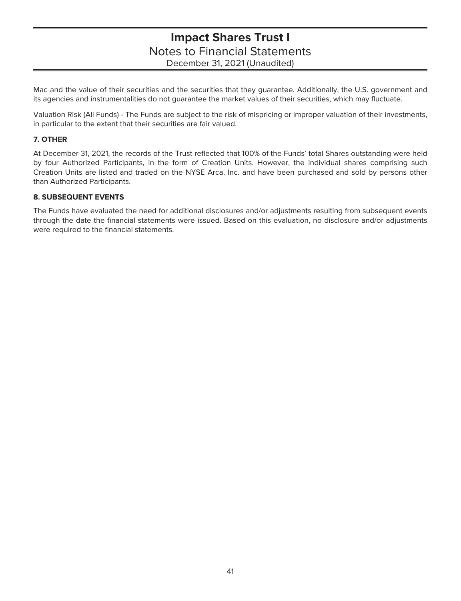Mac and the value of their securities and the securities that they guarantee. Additionally, the U.S. government and its agencies and instrumentalities do not guarantee the market values of their securities, which may fluctuate.

Valuation Risk (All Funds) - The Funds are subject to the risk of mispricing or improper valuation of their investments, in particular to the extent that their securities are fair valued.

### **7. OTHER**

At December 31, 2021, the records of the Trust reflected that 100% of the Funds' total Shares outstanding were held by four Authorized Participants, in the form of Creation Units. However, the individual shares comprising such Creation Units are listed and traded on the NYSE Arca, Inc. and have been purchased and sold by persons other than Authorized Participants.

### **8. SUBSEQUENT EVENTS**

The Funds have evaluated the need for additional disclosures and/or adjustments resulting from subsequent events through the date the financial statements were issued. Based on this evaluation, no disclosure and/or adjustments were required to the financial statements.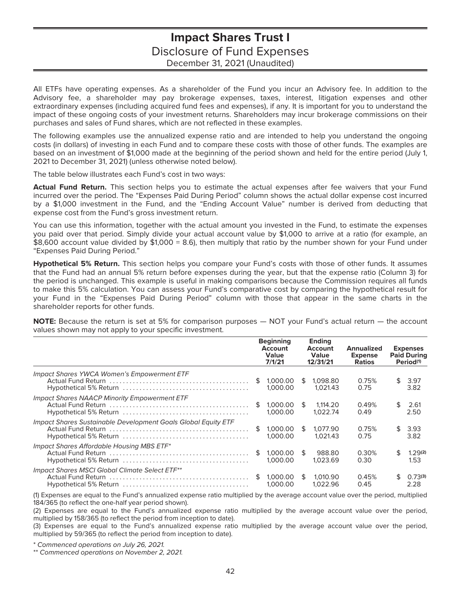# **Impact Shares Trust I** Disclosure of Fund Expenses December 31, 2021 (Unaudited)

<span id="page-43-0"></span>All ETFs have operating expenses. As a shareholder of the Fund you incur an Advisory fee. In addition to the Advisory fee, a shareholder may pay brokerage expenses, taxes, interest, litigation expenses and other extraordinary expenses (including acquired fund fees and expenses), if any. It is important for you to understand the impact of these ongoing costs of your investment returns. Shareholders may incur brokerage commissions on their purchases and sales of Fund shares, which are not reflected in these examples.

The following examples use the annualized expense ratio and are intended to help you understand the ongoing costs (in dollars) of investing in each Fund and to compare these costs with those of other funds. The examples are based on an investment of \$1,000 made at the beginning of the period shown and held for the entire period (July 1, 2021 to December 31, 2021) (unless otherwise noted below).

The table below illustrates each Fund's cost in two ways:

**Actual Fund Return.** This section helps you to estimate the actual expenses after fee waivers that your Fund incurred over the period. The "Expenses Paid During Period" column shows the actual dollar expense cost incurred by a \$1,000 investment in the Fund, and the "Ending Account Value" number is derived from deducting that expense cost from the Fund's gross investment return.

You can use this information, together with the actual amount you invested in the Fund, to estimate the expenses you paid over that period. Simply divide your actual account value by \$1,000 to arrive at a ratio (for example, an \$8,600 account value divided by \$1,000 = 8.6), then multiply that ratio by the number shown for your Fund under "Expenses Paid During Period."

**Hypothetical 5% Return.** This section helps you compare your Fund's costs with those of other funds. It assumes that the Fund had an annual 5% return before expenses during the year, but that the expense ratio (Column 3) for the period is unchanged. This example is useful in making comparisons because the Commission requires all funds to make this 5% calculation. You can assess your Fund's comparative cost by comparing the hypothetical result for your Fund in the "Expenses Paid During Period" column with those that appear in the same charts in the shareholder reports for other funds.

**NOTE:** Because the return is set at 5% for comparison purposes — NOT your Fund's actual return — the account values shown may not apply to your specific investment.

|                                                               |     | <b>Beginning</b><br>Account<br><b>Value</b><br>7/1/21 |     | <b>Ending</b><br>Account<br><b>Value</b><br>12/31/21 | Annualized<br><b>Expense</b><br><b>Ratios</b> |     | <b>Expenses</b><br><b>Paid During</b><br>Period <sup>(1)</sup> |
|---------------------------------------------------------------|-----|-------------------------------------------------------|-----|------------------------------------------------------|-----------------------------------------------|-----|----------------------------------------------------------------|
| Impact Shares YWCA Women's Empowerment ETF                    | \$. | 1.000.00<br>1.000.00                                  | \$  | 1.098.80<br>1.021.43                                 | 0.75%<br>0.75                                 | \$  | 3.97<br>3.82                                                   |
| Impact Shares NAACP Minority Empowerment ETF                  | S   | 1.000.00<br>1.000.00                                  | ·SS | 1.114.20<br>1.022.74                                 | 0.49%<br>0.49                                 | \$  | 2.61<br>2.50                                                   |
| Impact Shares Sustainable Development Goals Global Equity ETF | \$  | 1.000.00<br>1.000.00                                  | \$  | 1.077.90<br>1.021.43                                 | 0.75%<br>0.75                                 | \$. | 3.93<br>3.82                                                   |
| Impact Shares Affordable Housing MBS ETF*                     | \$  | 1.000.00<br>1.000.00                                  | £.  | 988.80<br>1.023.69                                   | 0.30%<br>0.30                                 | \$. | 1.29(2)<br>1.53                                                |
| Impact Shares MSCI Global Climate Select ETF**                | S   | 1.000.00<br>1.000.00                                  | \$  | 1.010.90<br>1.022.96                                 | 0.45%<br>0.45                                 | \$. | 0.73(3)<br>2.28                                                |

(1) Expenses are equal to the Fund's annualized expense ratio multiplied by the average account value over the period, multiplied 184/365 (to reflect the one-half year period shown).

(2) Expenses are equal to the Fund's annualized expense ratio multiplied by the average account value over the period, multiplied by 158/365 (to reflect the period from inception to date).

(3) Expenses are equal to the Fund's annualized expense ratio multiplied by the average account value over the period, multiplied by 59/365 (to reflect the period from inception to date).

\* Commenced operations on July 26, 2021.

\*\* Commenced operations on November 2, 2021.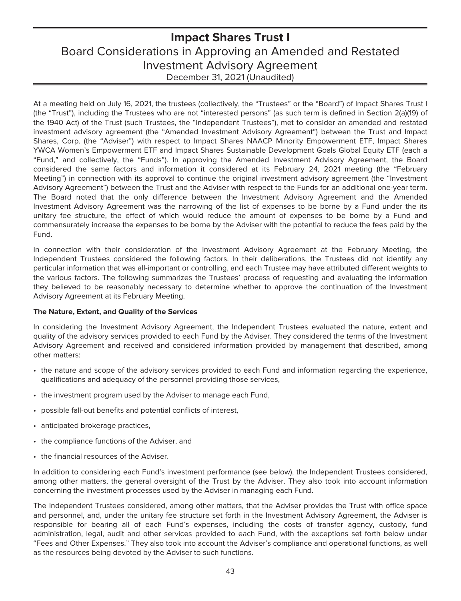# <span id="page-44-0"></span>**Impact Shares Trust I** Board Considerations in Approving an Amended and Restated Investment Advisory Agreement December 31, 2021 (Unaudited)

At a meeting held on July 16, 2021, the trustees (collectively, the "Trustees" or the "Board") of Impact Shares Trust I (the "Trust"), including the Trustees who are not "interested persons" (as such term is defined in Section 2(a)(19) of the 1940 Act) of the Trust (such Trustees, the "Independent Trustees"), met to consider an amended and restated investment advisory agreement (the "Amended Investment Advisory Agreement") between the Trust and Impact Shares, Corp. (the "Adviser") with respect to Impact Shares NAACP Minority Empowerment ETF, Impact Shares YWCA Women's Empowerment ETF and Impact Shares Sustainable Development Goals Global Equity ETF (each a "Fund," and collectively, the "Funds"). In approving the Amended Investment Advisory Agreement, the Board considered the same factors and information it considered at its February 24, 2021 meeting (the "February Meeting") in connection with its approval to continue the original investment advisory agreement (the "Investment Advisory Agreement") between the Trust and the Adviser with respect to the Funds for an additional one-year term. The Board noted that the only difference between the Investment Advisory Agreement and the Amended Investment Advisory Agreement was the narrowing of the list of expenses to be borne by a Fund under the its unitary fee structure, the effect of which would reduce the amount of expenses to be borne by a Fund and commensurately increase the expenses to be borne by the Adviser with the potential to reduce the fees paid by the Fund.

In connection with their consideration of the Investment Advisory Agreement at the February Meeting, the Independent Trustees considered the following factors. In their deliberations, the Trustees did not identify any particular information that was all-important or controlling, and each Trustee may have attributed different weights to the various factors. The following summarizes the Trustees' process of requesting and evaluating the information they believed to be reasonably necessary to determine whether to approve the continuation of the Investment Advisory Agreement at its February Meeting.

### **The Nature, Extent, and Quality of the Services**

In considering the Investment Advisory Agreement, the Independent Trustees evaluated the nature, extent and quality of the advisory services provided to each Fund by the Adviser. They considered the terms of the Investment Advisory Agreement and received and considered information provided by management that described, among other matters:

- the nature and scope of the advisory services provided to each Fund and information regarding the experience, qualifications and adequacy of the personnel providing those services,
- the investment program used by the Adviser to manage each Fund,
- possible fall-out benefits and potential conflicts of interest,
- anticipated brokerage practices,
- the compliance functions of the Adviser, and
- the financial resources of the Adviser.

In addition to considering each Fund's investment performance (see below), the Independent Trustees considered, among other matters, the general oversight of the Trust by the Adviser. They also took into account information concerning the investment processes used by the Adviser in managing each Fund.

The Independent Trustees considered, among other matters, that the Adviser provides the Trust with office space and personnel, and, under the unitary fee structure set forth in the Investment Advisory Agreement, the Adviser is responsible for bearing all of each Fund's expenses, including the costs of transfer agency, custody, fund administration, legal, audit and other services provided to each Fund, with the exceptions set forth below under "Fees and Other Expenses." They also took into account the Adviser's compliance and operational functions, as well as the resources being devoted by the Adviser to such functions.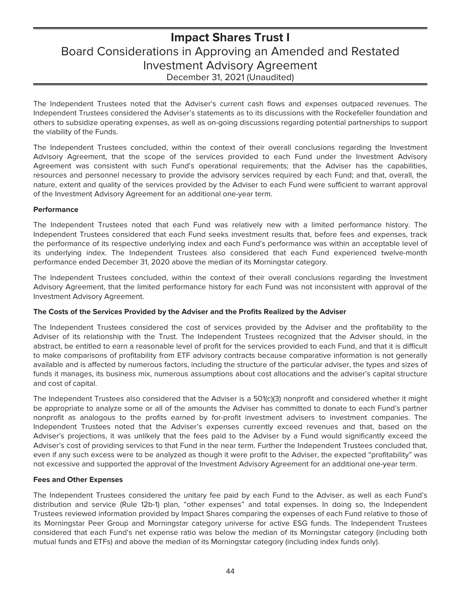# **Impact Shares Trust I** Board Considerations in Approving an Amended and Restated Investment Advisory Agreement December 31, 2021 (Unaudited)

The Independent Trustees noted that the Adviser's current cash flows and expenses outpaced revenues. The Independent Trustees considered the Adviser's statements as to its discussions with the Rockefeller foundation and others to subsidize operating expenses, as well as on-going discussions regarding potential partnerships to support the viability of the Funds.

The Independent Trustees concluded, within the context of their overall conclusions regarding the Investment Advisory Agreement, that the scope of the services provided to each Fund under the Investment Advisory Agreement was consistent with such Fund's operational requirements; that the Adviser has the capabilities, resources and personnel necessary to provide the advisory services required by each Fund; and that, overall, the nature, extent and quality of the services provided by the Adviser to each Fund were sufficient to warrant approval of the Investment Advisory Agreement for an additional one-year term.

### **Performance**

The Independent Trustees noted that each Fund was relatively new with a limited performance history. The Independent Trustees considered that each Fund seeks investment results that, before fees and expenses, track the performance of its respective underlying index and each Fund's performance was within an acceptable level of its underlying index. The Independent Trustees also considered that each Fund experienced twelve-month performance ended December 31, 2020 above the median of its Morningstar category.

The Independent Trustees concluded, within the context of their overall conclusions regarding the Investment Advisory Agreement, that the limited performance history for each Fund was not inconsistent with approval of the Investment Advisory Agreement.

### **The Costs of the Services Provided by the Adviser and the Profits Realized by the Adviser**

The Independent Trustees considered the cost of services provided by the Adviser and the profitability to the Adviser of its relationship with the Trust. The Independent Trustees recognized that the Adviser should, in the abstract, be entitled to earn a reasonable level of profit for the services provided to each Fund, and that it is difficult to make comparisons of profitability from ETF advisory contracts because comparative information is not generally available and is affected by numerous factors, including the structure of the particular adviser, the types and sizes of funds it manages, its business mix, numerous assumptions about cost allocations and the adviser's capital structure and cost of capital.

The Independent Trustees also considered that the Adviser is a 501(c)(3) nonprofit and considered whether it might be appropriate to analyze some or all of the amounts the Adviser has committed to donate to each Fund's partner nonprofit as analogous to the profits earned by for-profit investment advisers to investment companies. The Independent Trustees noted that the Adviser's expenses currently exceed revenues and that, based on the Adviser's projections, it was unlikely that the fees paid to the Adviser by a Fund would significantly exceed the Adviser's cost of providing services to that Fund in the near term. Further the Independent Trustees concluded that, even if any such excess were to be analyzed as though it were profit to the Adviser, the expected "profitability" was not excessive and supported the approval of the Investment Advisory Agreement for an additional one-year term.

### **Fees and Other Expenses**

The Independent Trustees considered the unitary fee paid by each Fund to the Adviser, as well as each Fund's distribution and service (Rule 12b-1) plan, "other expenses" and total expenses. In doing so, the Independent Trustees reviewed information provided by Impact Shares comparing the expenses of each Fund relative to those of its Morningstar Peer Group and Morningstar category universe for active ESG funds. The Independent Trustees considered that each Fund's net expense ratio was below the median of its Morningstar category (including both mutual funds and ETFs) and above the median of its Morningstar category (including index funds only).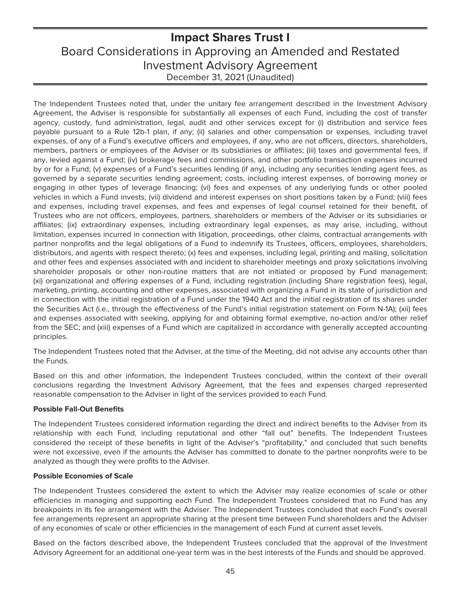# **Impact Shares Trust I** Board Considerations in Approving an Amended and Restated Investment Advisory Agreement December 31, 2021 (Unaudited)

The Independent Trustees noted that, under the unitary fee arrangement described in the Investment Advisory Agreement, the Adviser is responsible for substantially all expenses of each Fund, including the cost of transfer agency, custody, fund administration, legal, audit and other services except for (i) distribution and service fees payable pursuant to a Rule 12b-1 plan, if any; (ii) salaries and other compensation or expenses, including travel expenses, of any of a Fund's executive officers and employees, if any, who are not officers, directors, shareholders, members, partners or employees of the Adviser or its subsidiaries or affiliates; (iii) taxes and governmental fees, if any, levied against a Fund; (iv) brokerage fees and commissions, and other portfolio transaction expenses incurred by or for a Fund; (v) expenses of a Fund's securities lending (if any), including any securities lending agent fees, as governed by a separate securities lending agreement; costs, including interest expenses, of borrowing money or engaging in other types of leverage financing; (vi) fees and expenses of any underlying funds or other pooled vehicles in which a Fund invests; (vii) dividend and interest expenses on short positions taken by a Fund; (viii) fees and expenses, including travel expenses, and fees and expenses of legal counsel retained for their benefit, of Trustees who are not officers, employees, partners, shareholders or members of the Adviser or its subsidiaries or affiliates; (ix) extraordinary expenses, including extraordinary legal expenses, as may arise, including, without limitation, expenses incurred in connection with litigation, proceedings, other claims, contractual arrangements with partner nonprofits and the legal obligations of a Fund to indemnify its Trustees, officers, employees, shareholders, distributors, and agents with respect thereto; (x) fees and expenses, including legal, printing and mailing, solicitation and other fees and expenses associated with and incident to shareholder meetings and proxy solicitations involving shareholder proposals or other non-routine matters that are not initiated or proposed by Fund management; (xi) organizational and offering expenses of a Fund, including registration (including Share registration fees), legal, marketing, printing, accounting and other expenses, associated with organizing a Fund in its state of jurisdiction and in connection with the initial registration of a Fund under the 1940 Act and the initial registration of its shares under the Securities Act (i.e., through the effectiveness of the Fund's initial registration statement on Form N-1A); (xii) fees and expenses associated with seeking, applying for and obtaining formal exemptive, no-action and/or other relief from the SEC; and (xiii) expenses of a Fund which are capitalized in accordance with generally accepted accounting principles.

The Independent Trustees noted that the Adviser, at the time of the Meeting, did not advise any accounts other than the Funds.

Based on this and other information, the Independent Trustees concluded, within the context of their overall conclusions regarding the Investment Advisory Agreement, that the fees and expenses charged represented reasonable compensation to the Adviser in light of the services provided to each Fund.

### **Possible Fall-Out Benefits**

The Independent Trustees considered information regarding the direct and indirect benefits to the Adviser from its relationship with each Fund, including reputational and other "fall out" benefits. The Independent Trustees considered the receipt of these benefits in light of the Adviser's "profitability," and concluded that such benefits were not excessive, even if the amounts the Adviser has committed to donate to the partner nonprofits were to be analyzed as though they were profits to the Adviser.

### **Possible Economies of Scale**

The Independent Trustees considered the extent to which the Adviser may realize economies of scale or other efficiencies in managing and supporting each Fund. The Independent Trustees considered that no Fund has any breakpoints in its fee arrangement with the Adviser. The Independent Trustees concluded that each Fund's overall fee arrangements represent an appropriate sharing at the present time between Fund shareholders and the Adviser of any economies of scale or other efficiencies in the management of each Fund at current asset levels.

Based on the factors described above, the Independent Trustees concluded that the approval of the Investment Advisory Agreement for an additional one-year term was in the best interests of the Funds and should be approved.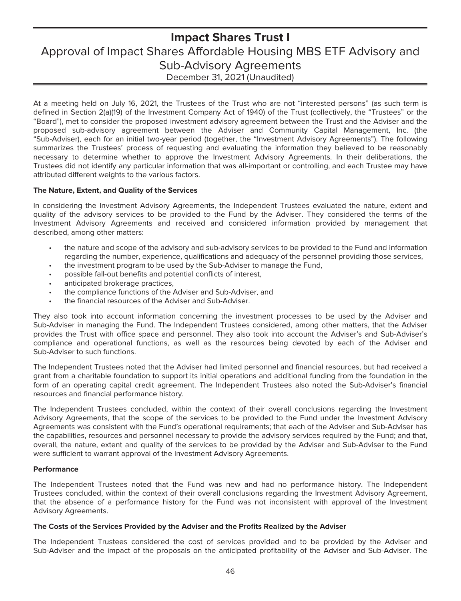# <span id="page-47-0"></span>**Impact Shares Trust I** Approval of Impact Shares Affordable Housing MBS ETF Advisory and Sub-Advisory Agreements December 31, 2021 (Unaudited)

At a meeting held on July 16, 2021, the Trustees of the Trust who are not "interested persons" (as such term is defined in Section 2(a)(19) of the Investment Company Act of 1940) of the Trust (collectively, the "Trustees" or the "Board"), met to consider the proposed investment advisory agreement between the Trust and the Adviser and the proposed sub-advisory agreement between the Adviser and Community Capital Management, Inc. (the "Sub-Adviser), each for an initial two-year period (together, the "Investment Advisory Agreements"). The following summarizes the Trustees' process of requesting and evaluating the information they believed to be reasonably necessary to determine whether to approve the Investment Advisory Agreements. In their deliberations, the Trustees did not identify any particular information that was all-important or controlling, and each Trustee may have attributed different weights to the various factors.

### **The Nature, Extent, and Quality of the Services**

In considering the Investment Advisory Agreements, the Independent Trustees evaluated the nature, extent and quality of the advisory services to be provided to the Fund by the Adviser. They considered the terms of the Investment Advisory Agreements and received and considered information provided by management that described, among other matters:

- the nature and scope of the advisory and sub-advisory services to be provided to the Fund and information regarding the number, experience, qualifications and adequacy of the personnel providing those services,
- the investment program to be used by the Sub-Adviser to manage the Fund,
- possible fall-out benefits and potential conflicts of interest,
- anticipated brokerage practices,
- the compliance functions of the Adviser and Sub-Adviser, and
- the financial resources of the Adviser and Sub-Adviser.

They also took into account information concerning the investment processes to be used by the Adviser and Sub-Adviser in managing the Fund. The Independent Trustees considered, among other matters, that the Adviser provides the Trust with office space and personnel. They also took into account the Adviser's and Sub-Adviser's compliance and operational functions, as well as the resources being devoted by each of the Adviser and Sub-Adviser to such functions.

The Independent Trustees noted that the Adviser had limited personnel and financial resources, but had received a grant from a charitable foundation to support its initial operations and additional funding from the foundation in the form of an operating capital credit agreement. The Independent Trustees also noted the Sub-Adviser's financial resources and financial performance history.

The Independent Trustees concluded, within the context of their overall conclusions regarding the Investment Advisory Agreements, that the scope of the services to be provided to the Fund under the Investment Advisory Agreements was consistent with the Fund's operational requirements; that each of the Adviser and Sub-Adviser has the capabilities, resources and personnel necessary to provide the advisory services required by the Fund; and that, overall, the nature, extent and quality of the services to be provided by the Adviser and Sub-Adviser to the Fund were sufficient to warrant approval of the Investment Advisory Agreements.

### **Performance**

The Independent Trustees noted that the Fund was new and had no performance history. The Independent Trustees concluded, within the context of their overall conclusions regarding the Investment Advisory Agreement, that the absence of a performance history for the Fund was not inconsistent with approval of the Investment Advisory Agreements.

### **The Costs of the Services Provided by the Adviser and the Profits Realized by the Adviser**

The Independent Trustees considered the cost of services provided and to be provided by the Adviser and Sub-Adviser and the impact of the proposals on the anticipated profitability of the Adviser and Sub-Adviser. The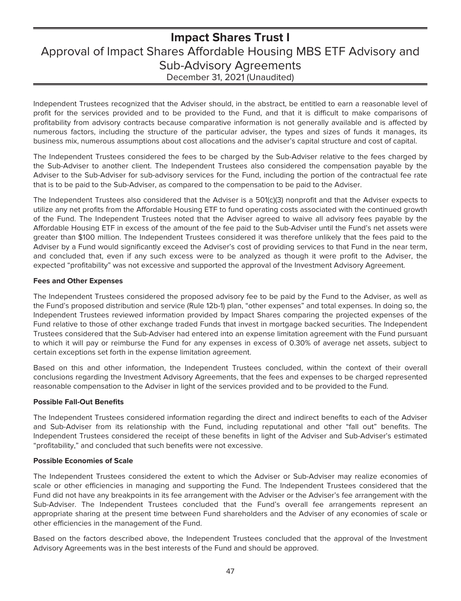# **Impact Shares Trust I** Approval of Impact Shares Affordable Housing MBS ETF Advisory and Sub-Advisory Agreements December 31, 2021 (Unaudited)

Independent Trustees recognized that the Adviser should, in the abstract, be entitled to earn a reasonable level of profit for the services provided and to be provided to the Fund, and that it is difficult to make comparisons of profitability from advisory contracts because comparative information is not generally available and is affected by numerous factors, including the structure of the particular adviser, the types and sizes of funds it manages, its business mix, numerous assumptions about cost allocations and the adviser's capital structure and cost of capital.

The Independent Trustees considered the fees to be charged by the Sub-Adviser relative to the fees charged by the Sub-Adviser to another client. The Independent Trustees also considered the compensation payable by the Adviser to the Sub-Adviser for sub-advisory services for the Fund, including the portion of the contractual fee rate that is to be paid to the Sub-Adviser, as compared to the compensation to be paid to the Adviser.

The Independent Trustees also considered that the Adviser is a 501(c)(3) nonprofit and that the Adviser expects to utilize any net profits from the Affordable Housing ETF to fund operating costs associated with the continued growth of the Fund. The Independent Trustees noted that the Adviser agreed to waive all advisory fees payable by the Affordable Housing ETF in excess of the amount of the fee paid to the Sub-Adviser until the Fund's net assets were greater than \$100 million. The Independent Trustees considered it was therefore unlikely that the fees paid to the Adviser by a Fund would significantly exceed the Adviser's cost of providing services to that Fund in the near term, and concluded that, even if any such excess were to be analyzed as though it were profit to the Adviser, the expected "profitability" was not excessive and supported the approval of the Investment Advisory Agreement.

### **Fees and Other Expenses**

The Independent Trustees considered the proposed advisory fee to be paid by the Fund to the Adviser, as well as the Fund's proposed distribution and service (Rule 12b-1) plan, "other expenses" and total expenses. In doing so, the Independent Trustees reviewed information provided by Impact Shares comparing the projected expenses of the Fund relative to those of other exchange traded Funds that invest in mortgage backed securities. The Independent Trustees considered that the Sub-Adviser had entered into an expense limitation agreement with the Fund pursuant to which it will pay or reimburse the Fund for any expenses in excess of 0.30% of average net assets, subject to certain exceptions set forth in the expense limitation agreement.

Based on this and other information, the Independent Trustees concluded, within the context of their overall conclusions regarding the Investment Advisory Agreements, that the fees and expenses to be charged represented reasonable compensation to the Adviser in light of the services provided and to be provided to the Fund.

### **Possible Fall-Out Benefits**

The Independent Trustees considered information regarding the direct and indirect benefits to each of the Adviser and Sub-Adviser from its relationship with the Fund, including reputational and other "fall out" benefits. The Independent Trustees considered the receipt of these benefits in light of the Adviser and Sub-Adviser's estimated "profitability," and concluded that such benefits were not excessive.

### **Possible Economies of Scale**

The Independent Trustees considered the extent to which the Adviser or Sub-Adviser may realize economies of scale or other efficiencies in managing and supporting the Fund. The Independent Trustees considered that the Fund did not have any breakpoints in its fee arrangement with the Adviser or the Adviser's fee arrangement with the Sub-Adviser. The Independent Trustees concluded that the Fund's overall fee arrangements represent an appropriate sharing at the present time between Fund shareholders and the Adviser of any economies of scale or other efficiencies in the management of the Fund.

Based on the factors described above, the Independent Trustees concluded that the approval of the Investment Advisory Agreements was in the best interests of the Fund and should be approved.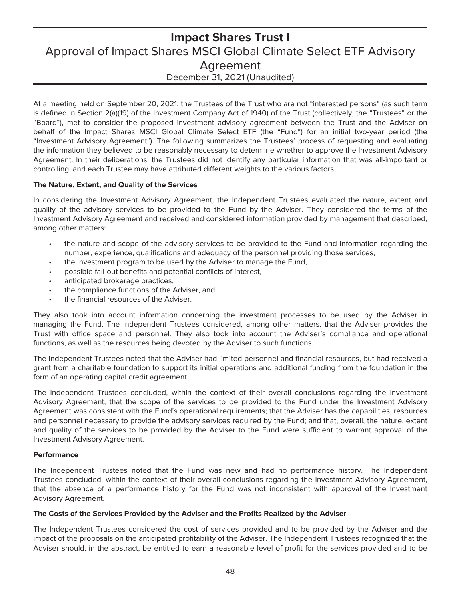# <span id="page-49-0"></span>**Impact Shares Trust I** Approval of Impact Shares MSCI Global Climate Select ETF Advisory Agreement December 31, 2021 (Unaudited)

At a meeting held on September 20, 2021, the Trustees of the Trust who are not "interested persons" (as such term is defined in Section 2(a)(19) of the Investment Company Act of 1940) of the Trust (collectively, the "Trustees" or the "Board"), met to consider the proposed investment advisory agreement between the Trust and the Adviser on behalf of the Impact Shares MSCI Global Climate Select ETF (the "Fund") for an initial two-year period (the "Investment Advisory Agreement"). The following summarizes the Trustees' process of requesting and evaluating the information they believed to be reasonably necessary to determine whether to approve the Investment Advisory Agreement. In their deliberations, the Trustees did not identify any particular information that was all-important or controlling, and each Trustee may have attributed different weights to the various factors.

### **The Nature, Extent, and Quality of the Services**

In considering the Investment Advisory Agreement, the Independent Trustees evaluated the nature, extent and quality of the advisory services to be provided to the Fund by the Adviser. They considered the terms of the Investment Advisory Agreement and received and considered information provided by management that described, among other matters:

- the nature and scope of the advisory services to be provided to the Fund and information regarding the number, experience, qualifications and adequacy of the personnel providing those services,
- the investment program to be used by the Adviser to manage the Fund,
- possible fall-out benefits and potential conflicts of interest,
- anticipated brokerage practices,
- the compliance functions of the Adviser, and
- the financial resources of the Adviser.

They also took into account information concerning the investment processes to be used by the Adviser in managing the Fund. The Independent Trustees considered, among other matters, that the Adviser provides the Trust with office space and personnel. They also took into account the Adviser's compliance and operational functions, as well as the resources being devoted by the Adviser to such functions.

The Independent Trustees noted that the Adviser had limited personnel and financial resources, but had received a grant from a charitable foundation to support its initial operations and additional funding from the foundation in the form of an operating capital credit agreement.

The Independent Trustees concluded, within the context of their overall conclusions regarding the Investment Advisory Agreement, that the scope of the services to be provided to the Fund under the Investment Advisory Agreement was consistent with the Fund's operational requirements; that the Adviser has the capabilities, resources and personnel necessary to provide the advisory services required by the Fund; and that, overall, the nature, extent and quality of the services to be provided by the Adviser to the Fund were sufficient to warrant approval of the Investment Advisory Agreement.

### **Performance**

The Independent Trustees noted that the Fund was new and had no performance history. The Independent Trustees concluded, within the context of their overall conclusions regarding the Investment Advisory Agreement, that the absence of a performance history for the Fund was not inconsistent with approval of the Investment Advisory Agreement.

### **The Costs of the Services Provided by the Adviser and the Profits Realized by the Adviser**

The Independent Trustees considered the cost of services provided and to be provided by the Adviser and the impact of the proposals on the anticipated profitability of the Adviser. The Independent Trustees recognized that the Adviser should, in the abstract, be entitled to earn a reasonable level of profit for the services provided and to be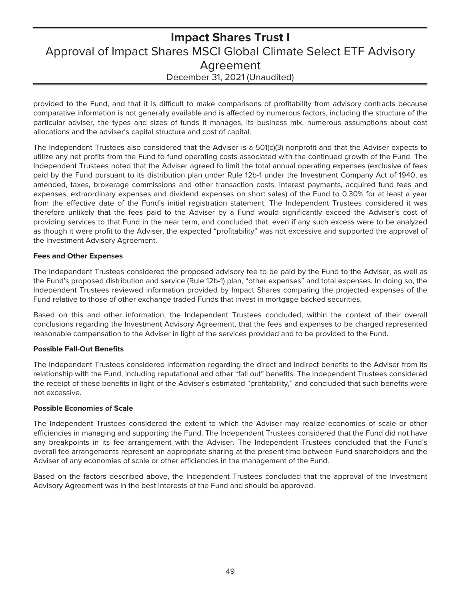# **Impact Shares Trust I** Approval of Impact Shares MSCI Global Climate Select ETF Advisory Agreement December 31, 2021 (Unaudited)

provided to the Fund, and that it is difficult to make comparisons of profitability from advisory contracts because comparative information is not generally available and is affected by numerous factors, including the structure of the particular adviser, the types and sizes of funds it manages, its business mix, numerous assumptions about cost allocations and the adviser's capital structure and cost of capital.

The Independent Trustees also considered that the Adviser is a 501(c)(3) nonprofit and that the Adviser expects to utilize any net profits from the Fund to fund operating costs associated with the continued growth of the Fund. The Independent Trustees noted that the Adviser agreed to limit the total annual operating expenses (exclusive of fees paid by the Fund pursuant to its distribution plan under Rule 12b-1 under the Investment Company Act of 1940, as amended, taxes, brokerage commissions and other transaction costs, interest payments, acquired fund fees and expenses, extraordinary expenses and dividend expenses on short sales) of the Fund to 0.30% for at least a year from the effective date of the Fund's initial registration statement. The Independent Trustees considered it was therefore unlikely that the fees paid to the Adviser by a Fund would significantly exceed the Adviser's cost of providing services to that Fund in the near term, and concluded that, even if any such excess were to be analyzed as though it were profit to the Adviser, the expected "profitability" was not excessive and supported the approval of the Investment Advisory Agreement.

### **Fees and Other Expenses**

The Independent Trustees considered the proposed advisory fee to be paid by the Fund to the Adviser, as well as the Fund's proposed distribution and service (Rule 12b-1) plan, "other expenses" and total expenses. In doing so, the Independent Trustees reviewed information provided by Impact Shares comparing the projected expenses of the Fund relative to those of other exchange traded Funds that invest in mortgage backed securities.

Based on this and other information, the Independent Trustees concluded, within the context of their overall conclusions regarding the Investment Advisory Agreement, that the fees and expenses to be charged represented reasonable compensation to the Adviser in light of the services provided and to be provided to the Fund.

### **Possible Fall-Out Benefits**

The Independent Trustees considered information regarding the direct and indirect benefits to the Adviser from its relationship with the Fund, including reputational and other "fall out" benefits. The Independent Trustees considered the receipt of these benefits in light of the Adviser's estimated "profitability," and concluded that such benefits were not excessive.

### **Possible Economies of Scale**

The Independent Trustees considered the extent to which the Adviser may realize economies of scale or other efficiencies in managing and supporting the Fund. The Independent Trustees considered that the Fund did not have any breakpoints in its fee arrangement with the Adviser. The Independent Trustees concluded that the Fund's overall fee arrangements represent an appropriate sharing at the present time between Fund shareholders and the Adviser of any economies of scale or other efficiencies in the management of the Fund.

Based on the factors described above, the Independent Trustees concluded that the approval of the Investment Advisory Agreement was in the best interests of the Fund and should be approved.